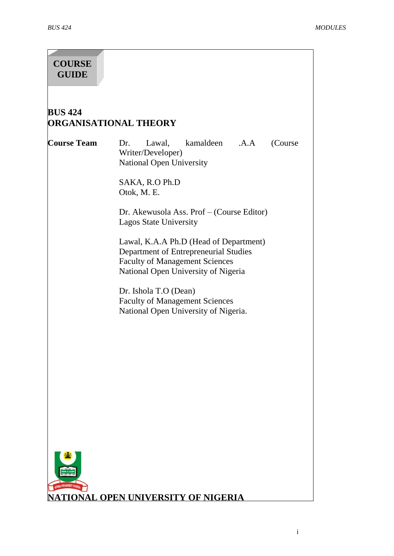# **COURSE GUIDE**

# **BUS 424 ORGANISATIONAL THEORY**

**Course Team** Dr. Lawal, kamaldeen .A.A (Course Writer/Developer) National Open University

> SAKA, R.O Ph.D Otok, M. E.

Dr. Akewusola Ass. Prof – (Course Editor) Lagos State University

Lawal, K.A.A Ph.D (Head of Department) Department of Entrepreneurial Studies Faculty of Management Sciences National Open University of Nigeria

Dr. Ishola T.O (Dean) Faculty of Management Sciences National Open University of Nigeria.

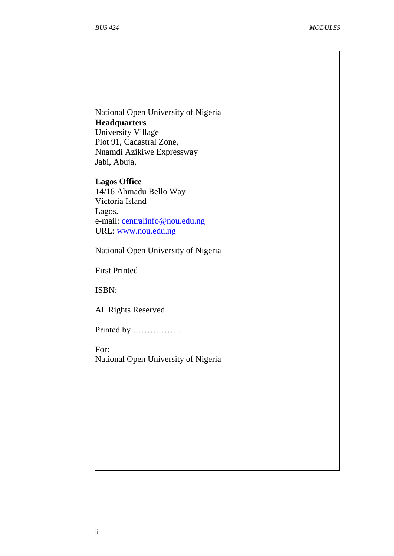National Open University of Nigeria **Headquarters** University Village Plot 91, Cadastral Zone, Nnamdi Azikiwe Expressway Jabi, Abuja.

**Lagos Office** 14/16 Ahmadu Bello Way Victoria Island Lagos. e-mail: [centralinfo@nou.edu.ng](mailto:centralinfo@nou.edu.ng) URL: [www.nou.edu.ng](http://www.nou.edu.ng/)

National Open University of Nigeria

First Printed

ISBN:

All Rights Reserved

Printed by ………………

For: National Open University of Nigeria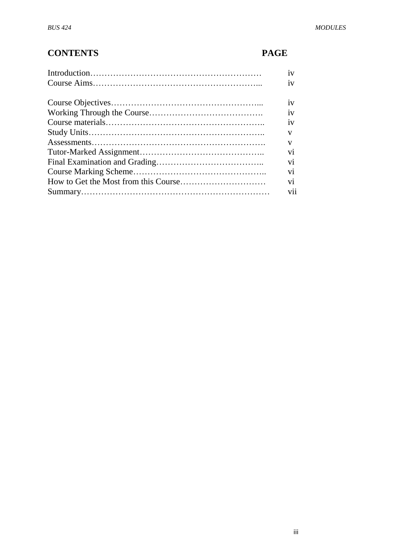# **CONTENTS PAGE**

| 1V             |
|----------------|
| 1V             |
|                |
| iv             |
| 1V             |
| 1V             |
| v              |
| V              |
| V <sub>1</sub> |
| V <sub>1</sub> |
| vi             |
| vi             |
| vii            |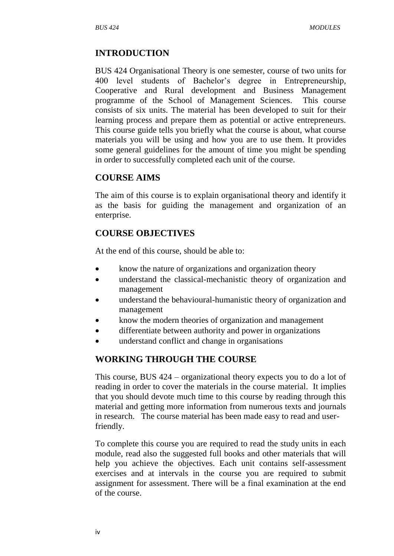## **INTRODUCTION**

BUS 424 Organisational Theory is one semester, course of two units for 400 level students of Bachelor"s degree in Entrepreneurship, Cooperative and Rural development and Business Management programme of the School of Management Sciences. This course consists of six units. The material has been developed to suit for their learning process and prepare them as potential or active entrepreneurs. This course guide tells you briefly what the course is about, what course materials you will be using and how you are to use them. It provides some general guidelines for the amount of time you might be spending in order to successfully completed each unit of the course.

## **COURSE AIMS**

The aim of this course is to explain organisational theory and identify it as the basis for guiding the management and organization of an enterprise.

## **COURSE OBJECTIVES**

At the end of this course, should be able to:

- know the nature of organizations and organization theory
- understand the classical-mechanistic theory of organization and management
- understand the behavioural-humanistic theory of organization and management
- know the modern theories of organization and management
- differentiate between authority and power in organizations
- understand conflict and change in organisations

## **WORKING THROUGH THE COURSE**

This course, BUS 424 – organizational theory expects you to do a lot of reading in order to cover the materials in the course material. It implies that you should devote much time to this course by reading through this material and getting more information from numerous texts and journals in research. The course material has been made easy to read and userfriendly.

To complete this course you are required to read the study units in each module, read also the suggested full books and other materials that will help you achieve the objectives. Each unit contains self-assessment exercises and at intervals in the course you are required to submit assignment for assessment. There will be a final examination at the end of the course.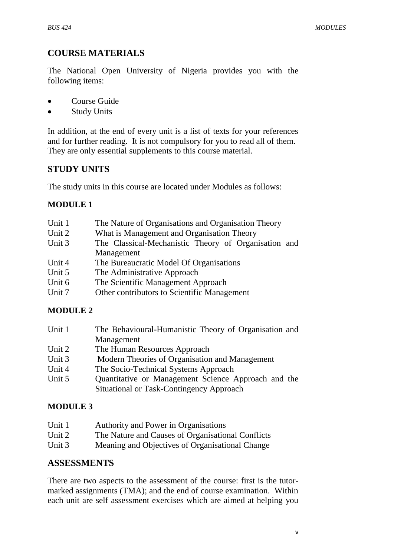# **COURSE MATERIALS**

The National Open University of Nigeria provides you with the following items:

- Course Guide
- Study Units

In addition, at the end of every unit is a list of texts for your references and for further reading. It is not compulsory for you to read all of them. They are only essential supplements to this course material.

# **STUDY UNITS**

The study units in this course are located under Modules as follows:

# **MODULE 1**

| Unit 1 | The Nature of Organisations and Organisation Theory  |
|--------|------------------------------------------------------|
| Unit 2 | What is Management and Organisation Theory           |
| Unit 3 | The Classical-Mechanistic Theory of Organisation and |
|        | Management                                           |
| Unit 4 | The Bureaucratic Model Of Organisations              |
| Unit 5 | The Administrative Approach                          |
| Unit 6 | The Scientific Management Approach                   |
| Unit 7 | Other contributors to Scientific Management          |

# **MODULE 2**

| Unit 1 | The Behavioural-Humanistic Theory of Organisation and |
|--------|-------------------------------------------------------|
|        | Management                                            |
| Unit 2 | The Human Resources Approach                          |
| Unit 3 | Modern Theories of Organisation and Management        |
| Unit 4 | The Socio-Technical Systems Approach                  |
| Unit 5 | Quantitative or Management Science Approach and the   |
|        | Situational or Task-Contingency Approach              |

# **MODULE 3**

| Unit 1 | Authority and Power in Organisations              |
|--------|---------------------------------------------------|
| Unit 2 | The Nature and Causes of Organisational Conflicts |
| Unit 3 | Meaning and Objectives of Organisational Change   |

## **ASSESSMENTS**

There are two aspects to the assessment of the course: first is the tutormarked assignments (TMA); and the end of course examination. Within each unit are self assessment exercises which are aimed at helping you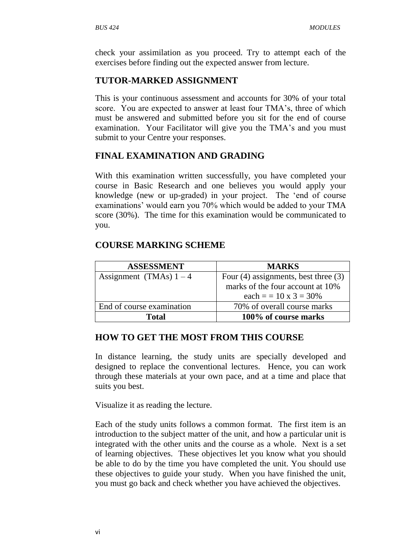check your assimilation as you proceed. Try to attempt each of the exercises before finding out the expected answer from lecture.

# **TUTOR-MARKED ASSIGNMENT**

This is your continuous assessment and accounts for 30% of your total score. You are expected to answer at least four TMA's, three of which must be answered and submitted before you sit for the end of course examination. Your Facilitator will give you the TMA's and you must submit to your Centre your responses.

# **FINAL EXAMINATION AND GRADING**

With this examination written successfully, you have completed your course in Basic Research and one believes you would apply your knowledge (new or up-graded) in your project. The "end of course examinations' would earn you 70% which would be added to your TMA score (30%). The time for this examination would be communicated to you.

## **COURSE MARKING SCHEME**

| <b>ASSESSMENT</b>         | <b>MARKS</b>                             |
|---------------------------|------------------------------------------|
| Assignment (TMAs) $1-4$   | Four $(4)$ assignments, best three $(3)$ |
|                           | marks of the four account at 10%         |
|                           | each = $= 10 \times 3 = 30\%$            |
| End of course examination | 70% of overall course marks              |
| Total                     | 100% of course marks                     |

## **HOW TO GET THE MOST FROM THIS COURSE**

In distance learning, the study units are specially developed and designed to replace the conventional lectures. Hence, you can work through these materials at your own pace, and at a time and place that suits you best.

Visualize it as reading the lecture.

Each of the study units follows a common format. The first item is an introduction to the subject matter of the unit, and how a particular unit is integrated with the other units and the course as a whole. Next is a set of learning objectives. These objectives let you know what you should be able to do by the time you have completed the unit. You should use these objectives to guide your study. When you have finished the unit, you must go back and check whether you have achieved the objectives.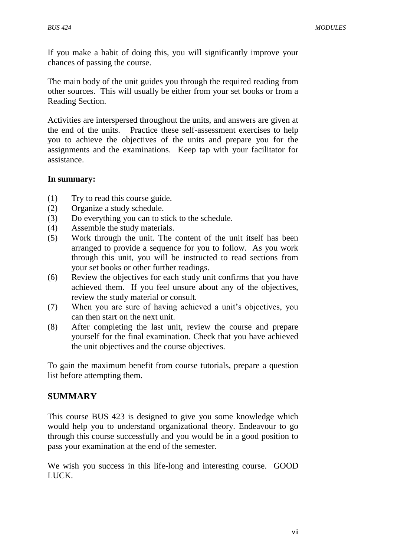If you make a habit of doing this, you will significantly improve your chances of passing the course.

The main body of the unit guides you through the required reading from other sources. This will usually be either from your set books or from a Reading Section.

Activities are interspersed throughout the units, and answers are given at the end of the units. Practice these self-assessment exercises to help you to achieve the objectives of the units and prepare you for the assignments and the examinations. Keep tap with your facilitator for assistance.

#### **In summary:**

- (1) Try to read this course guide.
- (2) Organize a study schedule.
- (3) Do everything you can to stick to the schedule.
- (4) Assemble the study materials.
- (5) Work through the unit. The content of the unit itself has been arranged to provide a sequence for you to follow. As you work through this unit, you will be instructed to read sections from your set books or other further readings.
- (6) Review the objectives for each study unit confirms that you have achieved them. If you feel unsure about any of the objectives, review the study material or consult.
- (7) When you are sure of having achieved a unit"s objectives, you can then start on the next unit.
- (8) After completing the last unit, review the course and prepare yourself for the final examination. Check that you have achieved the unit objectives and the course objectives.

To gain the maximum benefit from course tutorials, prepare a question list before attempting them.

#### **SUMMARY**

This course BUS 423 is designed to give you some knowledge which would help you to understand organizational theory. Endeavour to go through this course successfully and you would be in a good position to pass your examination at the end of the semester.

We wish you success in this life-long and interesting course. GOOD LUCK.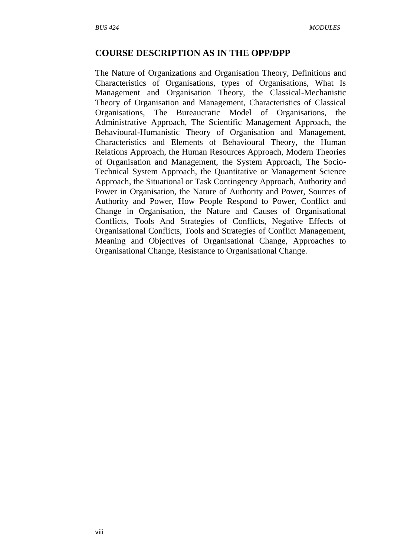#### **COURSE DESCRIPTION AS IN THE OPP/DPP**

The Nature of Organizations and Organisation Theory, Definitions and Characteristics of Organisations, types of Organisations, What Is Management and Organisation Theory, the Classical-Mechanistic Theory of Organisation and Management, Characteristics of Classical Organisations, The Bureaucratic Model of Organisations, the Administrative Approach, The Scientific Management Approach, the Behavioural-Humanistic Theory of Organisation and Management, Characteristics and Elements of Behavioural Theory, the Human Relations Approach, the Human Resources Approach, Modern Theories of Organisation and Management, the System Approach, The Socio-Technical System Approach, the Quantitative or Management Science Approach, the Situational or Task Contingency Approach, Authority and Power in Organisation, the Nature of Authority and Power, Sources of Authority and Power, How People Respond to Power, Conflict and Change in Organisation, the Nature and Causes of Organisational Conflicts, Tools And Strategies of Conflicts, Negative Effects of Organisational Conflicts, Tools and Strategies of Conflict Management, Meaning and Objectives of Organisational Change, Approaches to Organisational Change, Resistance to Organisational Change.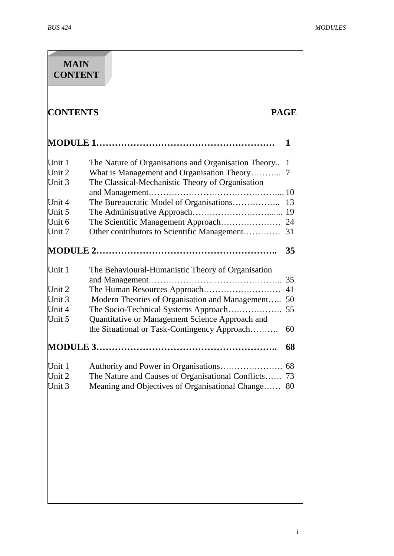| <b>MAIN</b><br><b>CONTENT</b> |                                                                                                 |             |
|-------------------------------|-------------------------------------------------------------------------------------------------|-------------|
| <b>CONTENTS</b>               |                                                                                                 | <b>PAGE</b> |
|                               |                                                                                                 | 1           |
| Unit 1                        | The Nature of Organisations and Organisation Theory                                             | 1           |
| Unit 2                        | What is Management and Organisation Theory                                                      | 7           |
| Unit 3                        | The Classical-Mechanistic Theory of Organisation                                                |             |
|                               |                                                                                                 | 10          |
| Unit 4                        | The Bureaucratic Model of Organisations                                                         | 13          |
| Unit 5                        |                                                                                                 | 19          |
| Unit 6                        | The Scientific Management Approach                                                              | 24          |
| Unit 7                        | Other contributors to Scientific Management                                                     | 31          |
|                               |                                                                                                 | 35          |
| Unit 1                        | The Behavioural-Humanistic Theory of Organisation                                               | 35          |
| Unit 2                        |                                                                                                 | 41          |
| Unit 3                        | Modern Theories of Organisation and Management                                                  | 50          |
| Unit 4                        | The Socio-Technical Systems Approach                                                            | 55          |
| Unit 5                        | Quantitative or Management Science Approach and<br>the Situational or Task-Contingency Approach | 60          |
| <b>MODULE 3.</b>              |                                                                                                 | 68          |
| Unit 1                        |                                                                                                 | 68          |
| Unit 2                        | The Nature and Causes of Organisational Conflicts 73                                            |             |
| Unit 3                        | Meaning and Objectives of Organisational Change                                                 | 80          |
|                               |                                                                                                 |             |
|                               |                                                                                                 |             |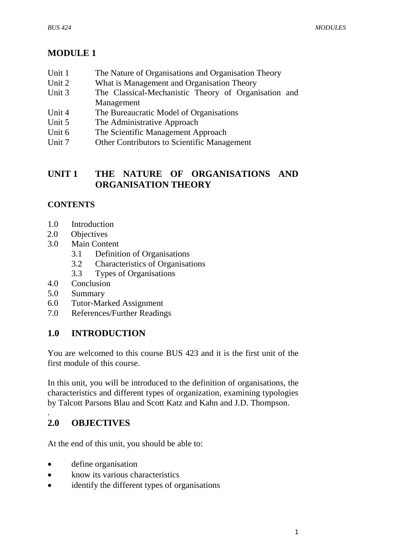# **MODULE 1**

- Unit 1 The Nature of Organisations and Organisation Theory
- Unit 2 What is Management and Organisation Theory
- Unit 3 The Classical-Mechanistic Theory of Organisation and Management
- Unit 4 The Bureaucratic Model of Organisations
- Unit 5 The Administrative Approach
- Unit 6 The Scientific Management Approach
- Unit 7 Other Contributors to Scientific Management

# **UNIT 1 THE NATURE OF ORGANISATIONS AND ORGANISATION THEORY**

# **CONTENTS**

- 1.0 Introduction
- 2.0 Objectives
- 3.0 Main Content
	- 3.1 Definition of Organisations
	- 3.2 Characteristics of Organisations
	- 3.3 Types of Organisations
- 4.0 Conclusion
- 5.0 Summary
- 6.0 Tutor-Marked Assignment
- 7.0 References/Further Readings

# **1.0 INTRODUCTION**

You are welcomed to this course BUS 423 and it is the first unit of the first module of this course.

In this unit, you will be introduced to the definition of organisations, the characteristics and different types of organization, examining typologies by Talcott Parsons Blau and Scott Katz and Kahn and J.D. Thompson.

# **2.0 OBJECTIVES**

.

At the end of this unit, you should be able to:

- define organisation
- know its various characteristics
- identify the different types of organisations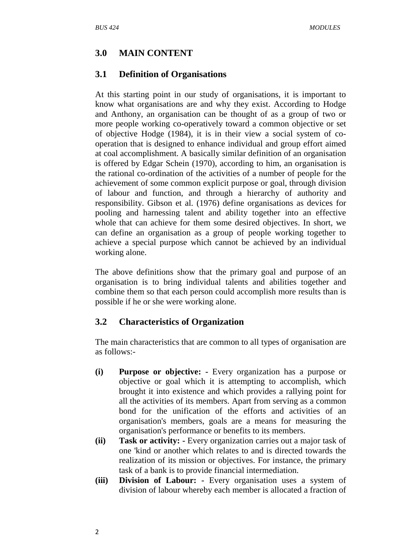## **3.0 MAIN CONTENT**

#### **3.1 Definition of Organisations**

At this starting point in our study of organisations, it is important to know what organisations are and why they exist. According to Hodge and Anthony, an organisation can be thought of as a group of two or more people working co-operatively toward a common objective or set of objective Hodge (1984), it is in their view a social system of cooperation that is designed to enhance individual and group effort aimed at coal accomplishment. A basically similar definition of an organisation is offered by Edgar Schein (1970), according to him, an organisation is the rational co-ordination of the activities of a number of people for the achievement of some common explicit purpose or goal, through division of labour and function, and through a hierarchy of authority and responsibility. Gibson et al. (1976) define organisations as devices for pooling and harnessing talent and ability together into an effective whole that can achieve for them some desired objectives. In short, we can define an organisation as a group of people working together to achieve a special purpose which cannot be achieved by an individual working alone.

The above definitions show that the primary goal and purpose of an organisation is to bring individual talents and abilities together and combine them so that each person could accomplish more results than is possible if he or she were working alone.

#### **3.2 Characteristics of Organization**

The main characteristics that are common to all types of organisation are as follows:-

- **(i) Purpose or objective: -** Every organization has a purpose or objective or goal which it is attempting to accomplish, which brought it into existence and which provides a rallying point for all the activities of its members. Apart from serving as a common bond for the unification of the efforts and activities of an organisation's members, goals are a means for measuring the organisation's performance or benefits to its members.
- **(ii) Task or activity: -** Every organization carries out a major task of one 'kind or another which relates to and is directed towards the realization of its mission or objectives. For instance, the primary task of a bank is to provide financial intermediation.
- **(iii) Division of Labour: -** Every organisation uses a system of division of labour whereby each member is allocated a fraction of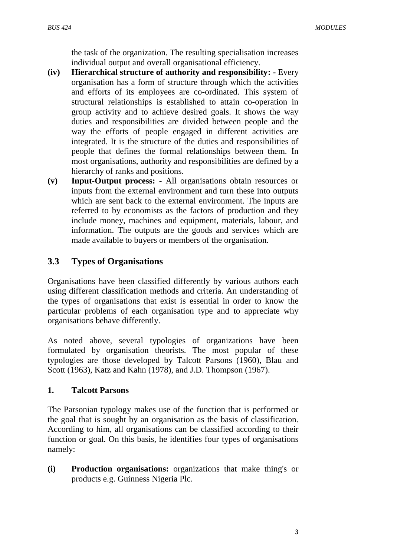the task of the organization. The resulting specialisation increases individual output and overall organisational efficiency.

- **(iv) Hierarchical structure of authority and responsibility: -** Every organisation has a form of structure through which the activities and efforts of its employees are co-ordinated. This system of structural relationships is established to attain co-operation in group activity and to achieve desired goals. It shows the way duties and responsibilities are divided between people and the way the efforts of people engaged in different activities are integrated. It is the structure of the duties and responsibilities of people that defines the formal relationships between them. In most organisations, authority and responsibilities are defined by a hierarchy of ranks and positions.
- **(v) Input-Output process: -** All organisations obtain resources or inputs from the external environment and turn these into outputs which are sent back to the external environment. The inputs are referred to by economists as the factors of production and they include money, machines and equipment, materials, labour, and information. The outputs are the goods and services which are made available to buyers or members of the organisation.

## **3.3 Types of Organisations**

Organisations have been classified differently by various authors each using different classification methods and criteria. An understanding of the types of organisations that exist is essential in order to know the particular problems of each organisation type and to appreciate why organisations behave differently.

As noted above, several typologies of organizations have been formulated by organisation theorists. The most popular of these typologies are those developed by Talcott Parsons (1960), Blau and Scott (1963), Katz and Kahn (1978), and J.D. Thompson (1967).

#### **1. Talcott Parsons**

The Parsonian typology makes use of the function that is performed or the goal that is sought by an organisation as the basis of classification. According to him, all organisations can be classified according to their function or goal. On this basis, he identifies four types of organisations namely:

**(i) Production organisations:** organizations that make thing's or products e.g. Guinness Nigeria Plc.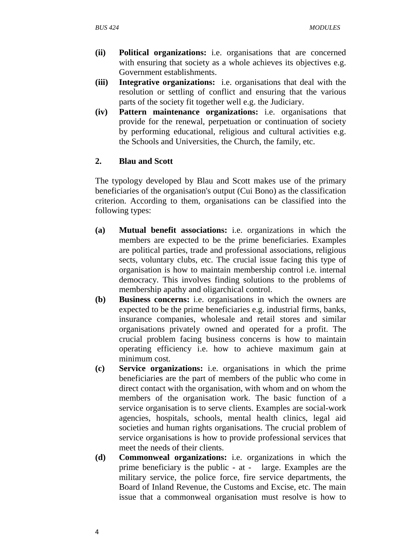- **(ii) Political organizations:** i.e. organisations that are concerned with ensuring that society as a whole achieves its objectives e.g. Government establishments.
- **(iii) Integrative organizations:** i.e. organisations that deal with the resolution or settling of conflict and ensuring that the various parts of the society fit together well e.g. the Judiciary.
- **(iv) Pattern maintenance organizations:** i.e. organisations that provide for the renewal, perpetuation or continuation of society by performing educational, religious and cultural activities e.g. the Schools and Universities, the Church, the family, etc.

## **2. Blau and Scott**

The typology developed by Blau and Scott makes use of the primary beneficiaries of the organisation's output (Cui Bono) as the classification criterion. According to them, organisations can be classified into the following types:

- **(a) Mutual benefit associations:** i.e. organizations in which the members are expected to be the prime beneficiaries. Examples are political parties, trade and professional associations, religious sects, voluntary clubs, etc. The crucial issue facing this type of organisation is how to maintain membership control i.e. internal democracy. This involves finding solutions to the problems of membership apathy and oligarchical control.
- **(b) Business concerns:** i.e. organisations in which the owners are expected to be the prime beneficiaries e.g. industrial firms, banks, insurance companies, wholesale and retail stores and similar organisations privately owned and operated for a profit. The crucial problem facing business concerns is how to maintain operating efficiency i.e. how to achieve maximum gain at minimum cost.
- **(c) Service organizations:** i.e. organisations in which the prime beneficiaries are the part of members of the public who come in direct contact with the organisation, with whom and on whom the members of the organisation work. The basic function of a service organisation is to serve clients. Examples are social-work agencies, hospitals, schools, mental health clinics, legal aid societies and human rights organisations. The crucial problem of service organisations is how to provide professional services that meet the needs of their clients.
- **(d) Commonweal organizations:** i.e. organizations in which the prime beneficiary is the public - at - large. Examples are the military service, the police force, fire service departments, the Board of Inland Revenue, the Customs and Excise, etc. The main issue that a commonweal organisation must resolve is how to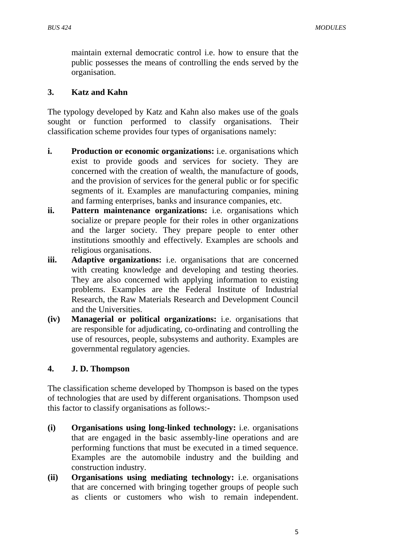maintain external democratic control i.e. how to ensure that the public possesses the means of controlling the ends served by the organisation.

## **3. Katz and Kahn**

The typology developed by Katz and Kahn also makes use of the goals sought or function performed to classify organisations. Their classification scheme provides four types of organisations namely:

- **i. Production or economic organizations:** i.e. organisations which exist to provide goods and services for society. They are concerned with the creation of wealth, the manufacture of goods, and the provision of services for the general public or for specific segments of it. Examples are manufacturing companies, mining and farming enterprises, banks and insurance companies, etc.
- **ii. Pattern maintenance organizations:** i.e. organisations which socialize or prepare people for their roles in other organizations and the larger society. They prepare people to enter other institutions smoothly and effectively. Examples are schools and religious organisations.
- **iii. Adaptive organizations:** i.e. organisations that are concerned with creating knowledge and developing and testing theories. They are also concerned with applying information to existing problems. Examples are the Federal Institute of Industrial Research, the Raw Materials Research and Development Council and the Universities.
- **(iv) Managerial or political organizations:** i.e. organisations that are responsible for adjudicating, co-ordinating and controlling the use of resources, people, subsystems and authority. Examples are governmental regulatory agencies.

## **4. J. D. Thompson**

The classification scheme developed by Thompson is based on the types of technologies that are used by different organisations. Thompson used this factor to classify organisations as follows:-

- **(i) Organisations using long-linked technology:** i.e. organisations that are engaged in the basic assembly-line operations and are performing functions that must be executed in a timed sequence. Examples are the automobile industry and the building and construction industry.
- **(ii) Organisations using mediating technology:** i.e. organisations that are concerned with bringing together groups of people such as clients or customers who wish to remain independent.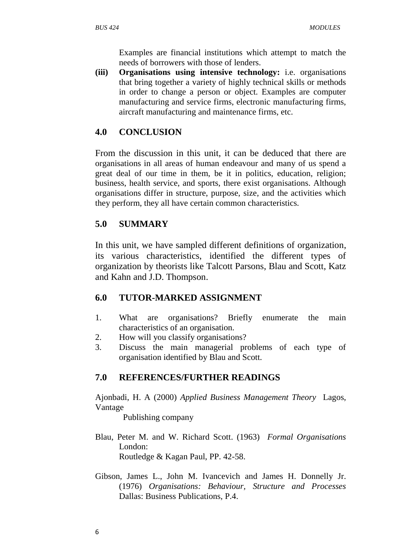Examples are financial institutions which attempt to match the needs of borrowers with those of lenders.

**(iii) Organisations using intensive technology:** i.e. organisations that bring together a variety of highly technical skills or methods in order to change a person or object. Examples are computer manufacturing and service firms, electronic manufacturing firms, aircraft manufacturing and maintenance firms, etc.

# **4.0 CONCLUSION**

From the discussion in this unit, it can be deduced that there are organisations in all areas of human endeavour and many of us spend a great deal of our time in them, be it in politics, education, religion; business, health service, and sports, there exist organisations. Although organisations differ in structure, purpose, size, and the activities which they perform, they all have certain common characteristics.

# **5.0 SUMMARY**

In this unit, we have sampled different definitions of organization, its various characteristics, identified the different types of organization by theorists like Talcott Parsons, Blau and Scott, Katz and Kahn and J.D. Thompson.

# **6.0 TUTOR-MARKED ASSIGNMENT**

- 1. What are organisations? Briefly enumerate the main characteristics of an organisation.
- 2. How will you classify organisations?
- 3. Discuss the main managerial problems of each type of organisation identified by Blau and Scott.

# **7.0 REFERENCES/FURTHER READINGS**

Ajonbadi, H. A (2000) *Applied Business Management Theory* Lagos, Vantage

Publishing company

- Blau, Peter M. and W. Richard Scott. (1963) *Formal Organisations* London: Routledge & Kagan Paul, PP. 42-58.
- Gibson, James L., John M. Ivancevich and James H. Donnelly Jr. (1976) *Organisations: Behaviour, Structure and Processes* Dallas: Business Publications, P.4.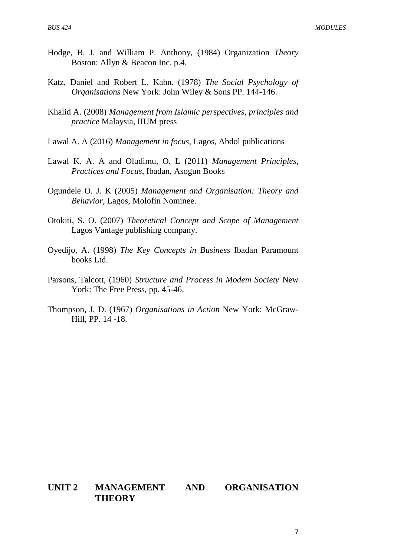- Hodge, B. J. and William P. Anthony, (1984) Organization *Theory* Boston: Allyn & Beacon Inc. p.4.
- Katz, Daniel and Robert L. Kahn. (1978) *The Social Psychology of Organisations* New York: John Wiley & Sons PP. 144-146.
- Khalid A. (2008) *Management from Islamic perspectives, principles and practice* Malaysia, IIUM press
- Lawal A. A (2016) *Management in focus*, Lagos, Abdol publications
- Lawal K. A. A and Oludimu, O. L (2011) *Management Principles, Practices and Focus*, Ibadan, Asogun Books
- Ogundele O. J. K (2005) *Management and Organisation: Theory and Behavior,* Lagos, Molofin Nominee.
- Otokiti, S. O. (2007) *Theoretical Concept and Scope of Management*  Lagos Vantage publishing company.
- Oyedijo, A. (1998) *The Key Concepts in Business* Ibadan Paramount books Ltd.
- Parsons, Talcott, (1960) *Structure and Process in Modem Society* New York: The Free Press, pp. 45-46.
- Thompson, J. D. (1967) *Organisations in Action* New York: McGraw-Hill, PP. 14 -18.

## **UNIT 2 MANAGEMENT AND ORGANISATION THEORY**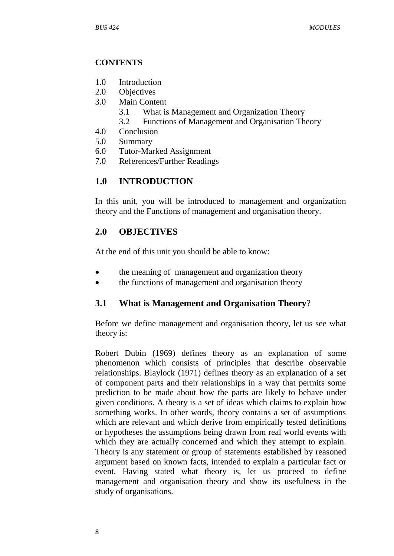## **CONTENTS**

- 1.0 Introduction
- 2.0 Objectives
- 3.0 Main Content
	- 3.1 What is Management and Organization Theory
	- 3.2 Functions of Management and Organisation Theory
- 4.0 Conclusion
- 5.0 Summary
- 6.0 Tutor-Marked Assignment
- 7.0 References/Further Readings

# **1.0 INTRODUCTION**

In this unit, you will be introduced to management and organization theory and the Functions of management and organisation theory.

# **2.0 OBJECTIVES**

At the end of this unit you should be able to know:

- the meaning of management and organization theory
- the functions of management and organisation theory

# **3.1 What is Management and Organisation Theory**?

Before we define management and organisation theory, let us see what theory is:

Robert Dubin (1969) defines theory as an explanation of some phenomenon which consists of principles that describe observable relationships. Blaylock (1971) defines theory as an explanation of a set of component parts and their relationships in a way that permits some prediction to be made about how the parts are likely to behave under given conditions. A theory is a set of ideas which claims to explain how something works. In other words, theory contains a set of assumptions which are relevant and which derive from empirically tested definitions or hypotheses the assumptions being drawn from real world events with which they are actually concerned and which they attempt to explain. Theory is any statement or group of statements established by reasoned argument based on known facts, intended to explain a particular fact or event. Having stated what theory is, let us proceed to define management and organisation theory and show its usefulness in the study of organisations.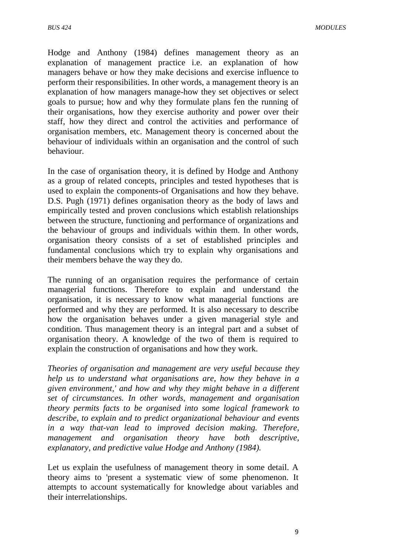Hodge and Anthony (1984) defines management theory as an explanation of management practice i.e. an explanation of how managers behave or how they make decisions and exercise influence to perform their responsibilities. In other words, a management theory is an explanation of how managers manage-how they set objectives or select goals to pursue; how and why they formulate plans fen the running of their organisations, how they exercise authority and power over their staff, how they direct and control the activities and performance of organisation members, etc. Management theory is concerned about the behaviour of individuals within an organisation and the control of such behaviour.

In the case of organisation theory, it is defined by Hodge and Anthony as a group of related concepts, principles and tested hypotheses that is used to explain the components-of Organisations and how they behave. D.S. Pugh (1971) defines organisation theory as the body of laws and empirically tested and proven conclusions which establish relationships between the structure, functioning and performance of organizations and the behaviour of groups and individuals within them. In other words, organisation theory consists of a set of established principles and fundamental conclusions which try to explain why organisations and their members behave the way they do.

The running of an organisation requires the performance of certain managerial functions. Therefore to explain and understand the organisation, it is necessary to know what managerial functions are performed and why they are performed. It is also necessary to describe how the organisation behaves under a given managerial style and condition. Thus management theory is an integral part and a subset of organisation theory. A knowledge of the two of them is required to explain the construction of organisations and how they work.

*Theories of organisation and management are very useful because they help us to understand what organisations are, how they behave in a given environment,' and how and why they might behave in a different set of circumstances. In other words, management and organisation theory permits facts to be organised into some logical framework to describe, to explain and to predict organizational behaviour and events in a way that-van lead to improved decision making. Therefore, management and organisation theory have both descriptive, explanatory, and predictive value Hodge and Anthony (1984).*

Let us explain the usefulness of management theory in some detail. A theory aims to 'present a systematic view of some phenomenon. It attempts to account systematically for knowledge about variables and their interrelationships.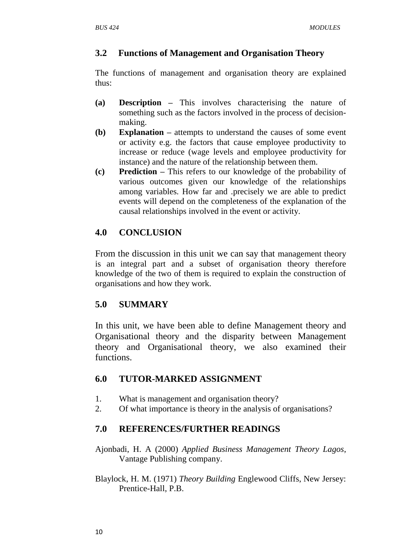# **3.2 Functions of Management and Organisation Theory**

The functions of management and organisation theory are explained thus:

- **(a) Description –** This involves characterising the nature of something such as the factors involved in the process of decisionmaking.
- **(b) Explanation –** attempts to understand the causes of some event or activity e.g. the factors that cause employee productivity to increase or reduce (wage levels and employee productivity for instance) and the nature of the relationship between them.
- **(c) Prediction –** This refers to our knowledge of the probability of various outcomes given our knowledge of the relationships among variables. How far and .precisely we are able to predict events will depend on the completeness of the explanation of the causal relationships involved in the event or activity.

# **4.0 CONCLUSION**

From the discussion in this unit we can say that management theory is an integral part and a subset of organisation theory therefore knowledge of the two of them is required to explain the construction of organisations and how they work.

# **5.0 SUMMARY**

In this unit, we have been able to define Management theory and Organisational theory and the disparity between Management theory and Organisational theory, we also examined their functions.

# **6.0 TUTOR-MARKED ASSIGNMENT**

- 1. What is management and organisation theory?
- 2. Of what importance is theory in the analysis of organisations?

# **7.0 REFERENCES/FURTHER READINGS**

- Ajonbadi, H. A (2000) *Applied Business Management Theory Lagos*, Vantage Publishing company.
- Blaylock, H. M. (1971) *Theory Building* Englewood Cliffs, New Jersey: Prentice-Hall, P.B.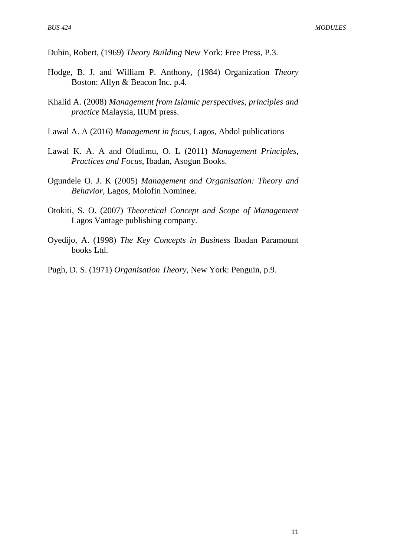Dubin, Robert, (1969) *Theory Building* New York: Free Press, P.3.

- Hodge, B. J. and William P. Anthony, (1984) Organization *Theory* Boston: Allyn & Beacon Inc. p.4.
- Khalid A. (2008) *Management from Islamic perspectives, principles and practice* Malaysia, IIUM press.
- Lawal A. A (2016) *Management in focus*, Lagos, Abdol publications
- Lawal K. A. A and Oludimu, O. L (2011) *Management Principles, Practices and Focus*, Ibadan, Asogun Books.
- Ogundele O. J. K (2005) *Management and Organisation: Theory and Behavior,* Lagos, Molofin Nominee.
- Otokiti, S. O. (2007) *Theoretical Concept and Scope of Management* Lagos Vantage publishing company.
- Oyedijo, A. (1998) *The Key Concepts in Business* Ibadan Paramount books Ltd.
- Pugh, D. S. (1971) *Organisation Theory*, New York: Penguin, p.9.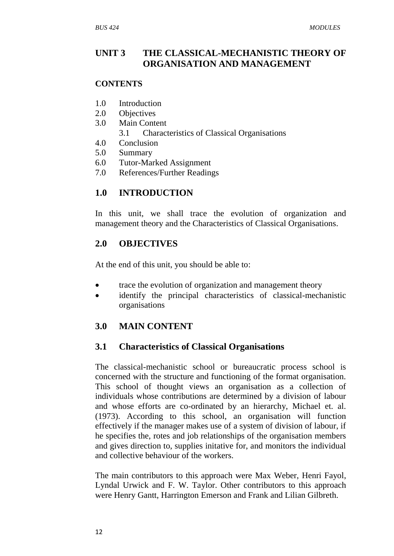# **UNIT 3 THE CLASSICAL-MECHANISTIC THEORY OF ORGANISATION AND MANAGEMENT**

## **CONTENTS**

- 1.0 Introduction
- 2.0 Objectives
- 3.0 Main Content
	- 3.1 Characteristics of Classical Organisations
- 4.0 Conclusion
- 5.0 Summary
- 6.0 Tutor-Marked Assignment
- 7.0 References/Further Readings

# **1.0 INTRODUCTION**

In this unit, we shall trace the evolution of organization and management theory and the Characteristics of Classical Organisations.

# **2.0 OBJECTIVES**

At the end of this unit, you should be able to:

- trace the evolution of organization and management theory
- identify the principal characteristics of classical-mechanistic organisations

# **3.0 MAIN CONTENT**

## **3.1 Characteristics of Classical Organisations**

The classical-mechanistic school or bureaucratic process school is concerned with the structure and functioning of the format organisation. This school of thought views an organisation as a collection of individuals whose contributions are determined by a division of labour and whose efforts are co-ordinated by an hierarchy, Michael et. al. (1973). According to this school, an organisation will function effectively if the manager makes use of a system of division of labour, if he specifies the, rotes and job relationships of the organisation members and gives direction to, supplies initative for, and monitors the individual and collective behaviour of the workers.

The main contributors to this approach were Max Weber, Henri Fayol, Lyndal Urwick and F. W. Taylor. Other contributors to this approach were Henry Gantt, Harrington Emerson and Frank and Lilian Gilbreth.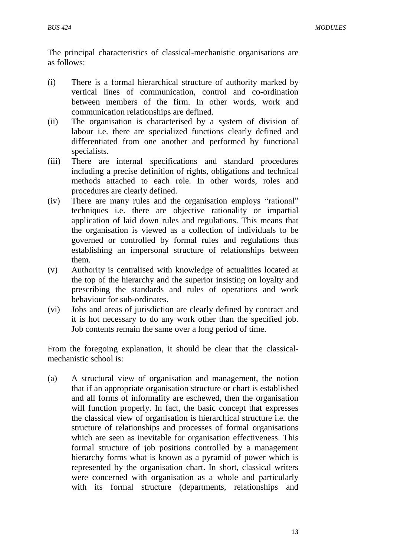The principal characteristics of classical-mechanistic organisations are as follows:

- (i) There is a formal hierarchical structure of authority marked by vertical lines of communication, control and co-ordination between members of the firm. In other words, work and communication relationships are defined.
- (ii) The organisation is characterised by a system of division of labour i.e. there are specialized functions clearly defined and differentiated from one another and performed by functional specialists.
- (iii) There are internal specifications and standard procedures including a precise definition of rights, obligations and technical methods attached to each role. In other words, roles and procedures are clearly defined.
- (iv) There are many rules and the organisation employs "rational" techniques i.e. there are objective rationality or impartial application of laid down rules and regulations. This means that the organisation is viewed as a collection of individuals to be governed or controlled by formal rules and regulations thus establishing an impersonal structure of relationships between them.
- (v) Authority is centralised with knowledge of actualities located at the top of the hierarchy and the superior insisting on loyalty and prescribing the standards and rules of operations and work behaviour for sub-ordinates.
- (vi) Jobs and areas of jurisdiction are clearly defined by contract and it is hot necessary to do any work other than the specified job. Job contents remain the same over a long period of time.

From the foregoing explanation, it should be clear that the classicalmechanistic school is:

(a) A structural view of organisation and management, the notion that if an appropriate organisation structure or chart is established and all forms of informality are eschewed, then the organisation will function properly. In fact, the basic concept that expresses the classical view of organisation is hierarchical structure i.e. the structure of relationships and processes of formal organisations which are seen as inevitable for organisation effectiveness. This formal structure of job positions controlled by a management hierarchy forms what is known as a pyramid of power which is represented by the organisation chart. In short, classical writers were concerned with organisation as a whole and particularly with its formal structure (departments, relationships and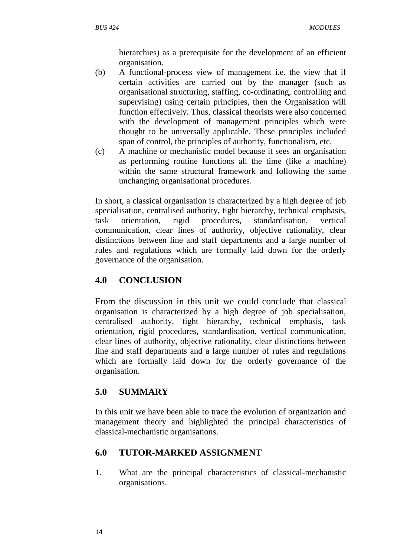hierarchies) as a prerequisite for the development of an efficient organisation.

- (b) A functional-process view of management i.e. the view that if certain activities are carried out by the manager (such as organisational structuring, staffing, co-ordinating, controlling and supervising) using certain principles, then the Organisation will function effectively. Thus, classical theorists were also concerned with the development of management principles which were thought to be universally applicable. These principles included span of control, the principles of authority, functionalism, etc.
- (c) A machine or mechanistic model because it sees an organisation as performing routine functions all the time (like a machine) within the same structural framework and following the same unchanging organisational procedures.

In short, a classical organisation is characterized by a high degree of job specialisation, centralised authority, tight hierarchy, technical emphasis, task orientation, rigid procedures, standardisation, vertical communication, clear lines of authority, objective rationality, clear distinctions between line and staff departments and a large number of rules and regulations which are formally laid down for the orderly governance of the organisation.

# **4.0 CONCLUSION**

From the discussion in this unit we could conclude that classical organisation is characterized by a high degree of job specialisation, centralised authority, tight hierarchy, technical emphasis, task orientation, rigid procedures, standardisation, vertical communication, clear lines of authority, objective rationality, clear distinctions between line and staff departments and a large number of rules and regulations which are formally laid down for the orderly governance of the organisation.

# **5.0 SUMMARY**

In this unit we have been able to trace the evolution of organization and management theory and highlighted the principal characteristics of classical-mechanistic organisations.

# **6.0 TUTOR-MARKED ASSIGNMENT**

1. What are the principal characteristics of classical-mechanistic organisations.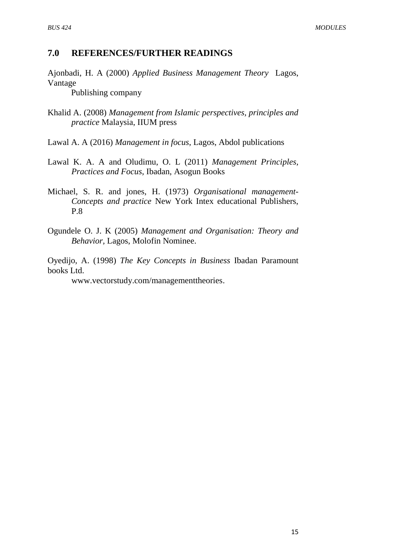## **7.0 REFERENCES/FURTHER READINGS**

Ajonbadi, H. A (2000) *Applied Business Management Theory* Lagos, Vantage

Publishing company

- Khalid A. (2008) *Management from Islamic perspectives, principles and practice* Malaysia, IIUM press
- Lawal A. A (2016) *Management in focus*, Lagos, Abdol publications
- Lawal K. A. A and Oludimu, O. L (2011) *Management Principles, Practices and Focus*, Ibadan, Asogun Books
- Michael, S. R. and jones, H. (1973) *Organisational management-Concepts and practice* New York Intex educational Publishers, P.8
- Ogundele O. J. K (2005) *Management and Organisation: Theory and Behavior,* Lagos, Molofin Nominee.

Oyedijo, A. (1998) *The Key Concepts in Business* Ibadan Paramount books Ltd.

[www.vectorstudy.com/managementtheories.](http://www.vectorstudy.com/managementtheories)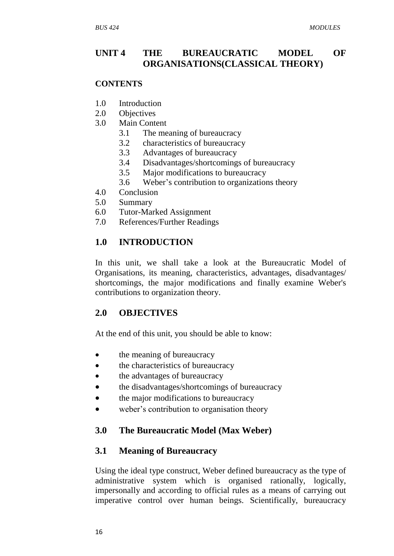# **UNIT 4 THE BUREAUCRATIC MODEL OF ORGANISATIONS(CLASSICAL THEORY)**

#### **CONTENTS**

- 1.0 Introduction
- 2.0 Objectives
- 3.0 Main Content
	- 3.1 The meaning of bureaucracy
	- 3.2 characteristics of bureaucracy
	- 3.3 Advantages of bureaucracy
	- 3.4 Disadvantages/shortcomings of bureaucracy
	- 3.5 Major modifications to bureaucracy
	- 3.6 Weber"s contribution to organizations theory
- 4.0 Conclusion
- 5.0 Summary
- 6.0 Tutor-Marked Assignment
- 7.0 References/Further Readings

# **1.0 INTRODUCTION**

In this unit, we shall take a look at the Bureaucratic Model of Organisations, its meaning, characteristics, advantages, disadvantages/ shortcomings, the major modifications and finally examine Weber's contributions to organization theory.

# **2.0 OBJECTIVES**

At the end of this unit, you should be able to know:

- the meaning of bureaucracy
- the characteristics of bureaucracy
- the advantages of bureaucracy
- the disadvantages/shortcomings of bureaucracy
- the major modifications to bureaucracy
- weber's contribution to organisation theory

# **3.0 The Bureaucratic Model (Max Weber)**

## **3.1 Meaning of Bureaucracy**

Using the ideal type construct, Weber defined bureaucracy as the type of administrative system which is organised rationally, logically, impersonally and according to official rules as a means of carrying out imperative control over human beings. Scientifically, bureaucracy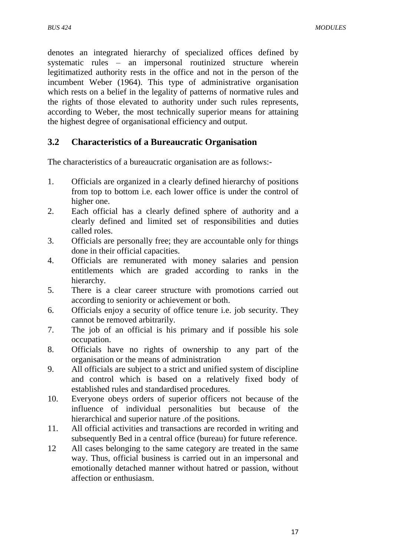denotes an integrated hierarchy of specialized offices defined by systematic rules – an impersonal routinized structure wherein legitimatized authority rests in the office and not in the person of the incumbent Weber (1964). This type of administrative organisation which rests on a belief in the legality of patterns of normative rules and the rights of those elevated to authority under such rules represents, according to Weber, the most technically superior means for attaining the highest degree of organisational efficiency and output.

# **3.2 Characteristics of a Bureaucratic Organisation**

The characteristics of a bureaucratic organisation are as follows:-

- 1. Officials are organized in a clearly defined hierarchy of positions from top to bottom i.e. each lower office is under the control of higher one.
- 2. Each official has a clearly defined sphere of authority and a clearly defined and limited set of responsibilities and duties called roles.
- 3. Officials are personally free; they are accountable only for things done in their official capacities.
- 4. Officials are remunerated with money salaries and pension entitlements which are graded according to ranks in the hierarchy.
- 5. There is a clear career structure with promotions carried out according to seniority or achievement or both.
- 6. Officials enjoy a security of office tenure i.e. job security. They cannot be removed arbitrarily.
- 7. The job of an official is his primary and if possible his sole occupation.
- 8. Officials have no rights of ownership to any part of the organisation or the means of administration
- 9. All officials are subject to a strict and unified system of discipline and control which is based on a relatively fixed body of established rules and standardised procedures.
- 10. Everyone obeys orders of superior officers not because of the influence of individual personalities but because of the hierarchical and superior nature .of the positions.
- 11. All official activities and transactions are recorded in writing and subsequently Bed in a central office (bureau) for future reference.
- 12 All cases belonging to the same category are treated in the same way. Thus, official business is carried out in an impersonal and emotionally detached manner without hatred or passion, without affection or enthusiasm.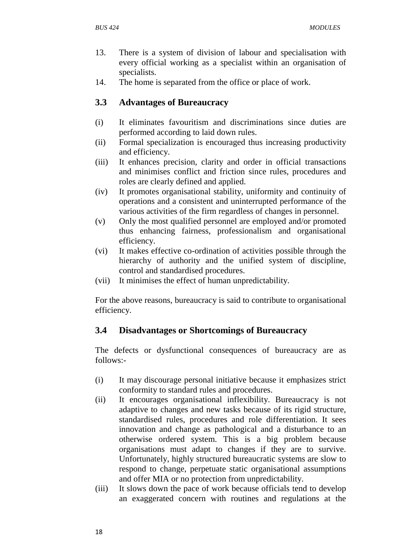- 13. There is a system of division of labour and specialisation with every official working as a specialist within an organisation of specialists.
- 14. The home is separated from the office or place of work.

# **3.3 Advantages of Bureaucracy**

- (i) It eliminates favouritism and discriminations since duties are performed according to laid down rules.
- (ii) Formal specialization is encouraged thus increasing productivity and efficiency.
- (iii) It enhances precision, clarity and order in official transactions and minimises conflict and friction since rules, procedures and roles are clearly defined and applied.
- (iv) It promotes organisational stability, uniformity and continuity of operations and a consistent and uninterrupted performance of the various activities of the firm regardless of changes in personnel.
- (v) Only the most qualified personnel are employed and/or promoted thus enhancing fairness, professionalism and organisational efficiency.
- (vi) It makes effective co-ordination of activities possible through the hierarchy of authority and the unified system of discipline, control and standardised procedures.
- (vii) It minimises the effect of human unpredictability.

For the above reasons, bureaucracy is said to contribute to organisational efficiency.

# **3.4 Disadvantages or Shortcomings of Bureaucracy**

The defects or dysfunctional consequences of bureaucracy are as follows:-

- (i) It may discourage personal initiative because it emphasizes strict conformity to standard rules and procedures.
- (ii) It encourages organisational inflexibility. Bureaucracy is not adaptive to changes and new tasks because of its rigid structure, standardised rules, procedures and role differentiation. It sees innovation and change as pathological and a disturbance to an otherwise ordered system. This is a big problem because organisations must adapt to changes if they are to survive. Unfortunately, highly structured bureaucratic systems are slow to respond to change, perpetuate static organisational assumptions and offer MIA or no protection from unpredictability.
- (iii) It slows down the pace of work because officials tend to develop an exaggerated concern with routines and regulations at the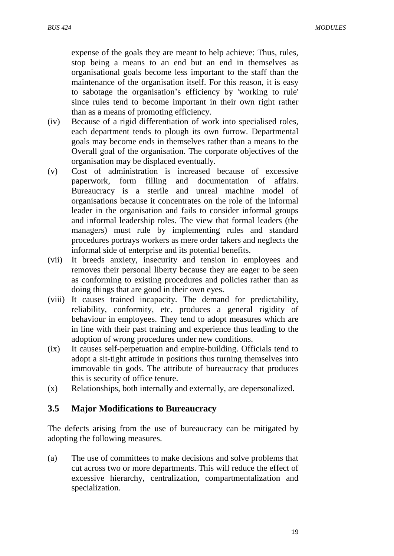expense of the goals they are meant to help achieve: Thus, rules, stop being a means to an end but an end in themselves as organisational goals become less important to the staff than the maintenance of the organisation itself. For this reason, it is easy to sabotage the organisation"s efficiency by 'working to rule' since rules tend to become important in their own right rather than as a means of promoting efficiency.

- (iv) Because of a rigid differentiation of work into specialised roles, each department tends to plough its own furrow. Departmental goals may become ends in themselves rather than a means to the Overall goal of the organisation. The corporate objectives of the organisation may be displaced eventually.
- (v) Cost of administration is increased because of excessive paperwork, form filling and documentation of affairs. Bureaucracy is a sterile and unreal machine model of organisations because it concentrates on the role of the informal leader in the organisation and fails to consider informal groups and informal leadership roles. The view that formal leaders (the managers) must rule by implementing rules and standard procedures portrays workers as mere order takers and neglects the informal side of enterprise and its potential benefits.
- (vii) It breeds anxiety, insecurity and tension in employees and removes their personal liberty because they are eager to be seen as conforming to existing procedures and policies rather than as doing things that are good in their own eyes.
- (viii) It causes trained incapacity. The demand for predictability, reliability, conformity, etc. produces a general rigidity of behaviour in employees. They tend to adopt measures which are in line with their past training and experience thus leading to the adoption of wrong procedures under new conditions.
- (ix) It causes self-perpetuation and empire-building. Officials tend to adopt a sit-tight attitude in positions thus turning themselves into immovable tin gods. The attribute of bureaucracy that produces this is security of office tenure.
- (x) Relationships, both internally and externally, are depersonalized.

#### **3.5 Major Modifications to Bureaucracy**

The defects arising from the use of bureaucracy can be mitigated by adopting the following measures.

(a) The use of committees to make decisions and solve problems that cut across two or more departments. This will reduce the effect of excessive hierarchy, centralization, compartmentalization and specialization.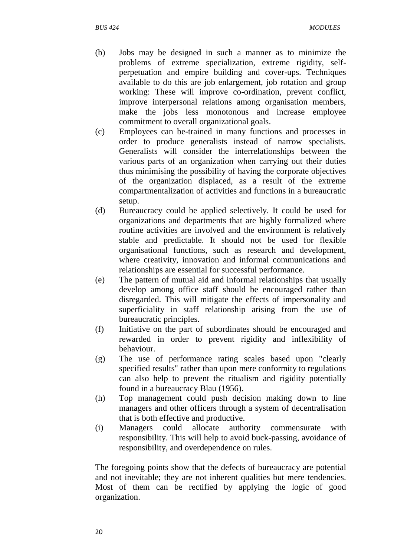- (b) Jobs may be designed in such a manner as to minimize the problems of extreme specialization, extreme rigidity, selfperpetuation and empire building and cover-ups. Techniques available to do this are job enlargement, job rotation and group working: These will improve co-ordination, prevent conflict, improve interpersonal relations among organisation members, make the jobs less monotonous and increase employee commitment to overall organizational goals.
- (c) Employees can be-trained in many functions and processes in order to produce generalists instead of narrow specialists. Generalists will consider the interrelationships between the various parts of an organization when carrying out their duties thus minimising the possibility of having the corporate objectives of the organization displaced, as a result of the extreme compartmentalization of activities and functions in a bureaucratic setup.
- (d) Bureaucracy could be applied selectively. It could be used for organizations and departments that are highly formalized where routine activities are involved and the environment is relatively stable and predictable. It should not be used for flexible organisational functions, such as research and development, where creativity, innovation and informal communications and relationships are essential for successful performance.
- (e) The pattern of mutual aid and informal relationships that usually develop among office staff should be encouraged rather than disregarded. This will mitigate the effects of impersonality and superficiality in staff relationship arising from the use of bureaucratic principles.
- (f) Initiative on the part of subordinates should be encouraged and rewarded in order to prevent rigidity and inflexibility of behaviour.
- (g) The use of performance rating scales based upon "clearly specified results" rather than upon mere conformity to regulations can also help to prevent the ritualism and rigidity potentially found in a bureaucracy Blau (1956).
- (h) Top management could push decision making down to line managers and other officers through a system of decentralisation that is both effective and productive.
- (i) Managers could allocate authority commensurate with responsibility. This will help to avoid buck-passing, avoidance of responsibility, and overdependence on rules.

The foregoing points show that the defects of bureaucracy are potential and not inevitable; they are not inherent qualities but mere tendencies. Most of them can be rectified by applying the logic of good organization.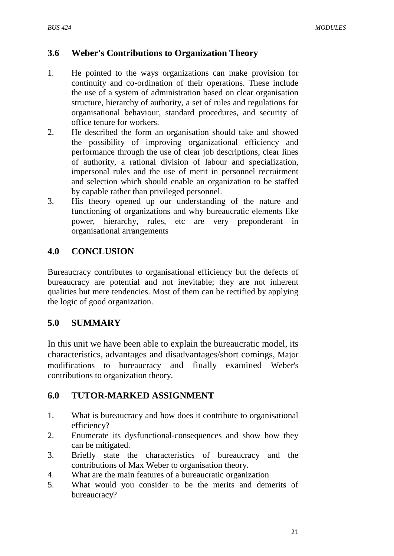# **3.6 Weber's Contributions to Organization Theory**

- 1. He pointed to the ways organizations can make provision for continuity and co-ordination of their operations. These include the use of a system of administration based on clear organisation structure, hierarchy of authority, a set of rules and regulations for organisational behaviour, standard procedures, and security of office tenure for workers.
- 2. He described the form an organisation should take and showed the possibility of improving organizational efficiency and performance through the use of clear job descriptions, clear lines of authority, a rational division of labour and specialization, impersonal rules and the use of merit in personnel recruitment and selection which should enable an organization to be staffed by capable rather than privileged personnel.
- 3. His theory opened up our understanding of the nature and functioning of organizations and why bureaucratic elements like power, hierarchy, rules, etc are very preponderant in organisational arrangements

# **4.0 CONCLUSION**

Bureaucracy contributes to organisational efficiency but the defects of bureaucracy are potential and not inevitable; they are not inherent qualities but mere tendencies. Most of them can be rectified by applying the logic of good organization.

# **5.0 SUMMARY**

In this unit we have been able to explain the bureaucratic model, its characteristics, advantages and disadvantages/short comings, Major modifications to bureaucracy and finally examined Weber's contributions to organization theory.

# **6.0 TUTOR-MARKED ASSIGNMENT**

- 1. What is bureaucracy and how does it contribute to organisational efficiency?
- 2. Enumerate its dysfunctional-consequences and show how they can be mitigated.
- 3. Briefly state the characteristics of bureaucracy and the contributions of Max Weber to organisation theory.
- 4. What are the main features of a bureaucratic organization
- 5. What would you consider to be the merits and demerits of bureaucracy?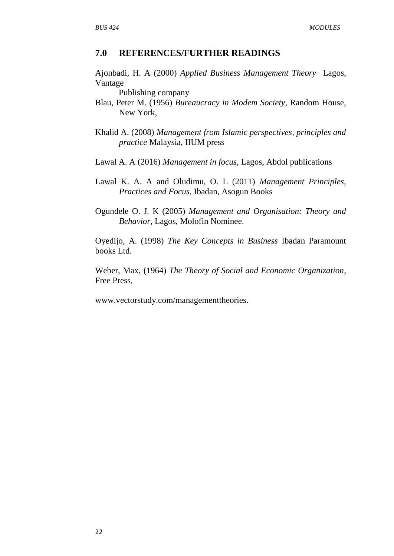#### **7.0 REFERENCES/FURTHER READINGS**

Ajonbadi, H. A (2000) *Applied Business Management Theory* Lagos, Vantage

Publishing company

- Blau, Peter M. (1956) *Bureaucracy in Modem Society*, Random House, New York,
- Khalid A. (2008) *Management from Islamic perspectives, principles and practice* Malaysia, IIUM press
- Lawal A. A (2016) *Management in focus*, Lagos, Abdol publications
- Lawal K. A. A and Oludimu, O. L (2011) *Management Principles, Practices and Focus*, Ibadan, Asogun Books
- Ogundele O. J. K (2005) *Management and Organisation: Theory and Behavior,* Lagos, Molofin Nominee.

Oyedijo, A. (1998) *The Key Concepts in Business* Ibadan Paramount books Ltd.

Weber, Max, (1964) *The Theory of Social and Economic Organization*, Free Press,

[www.vectorstudy.com/managementtheories.](http://www.vectorstudy.com/managementtheories)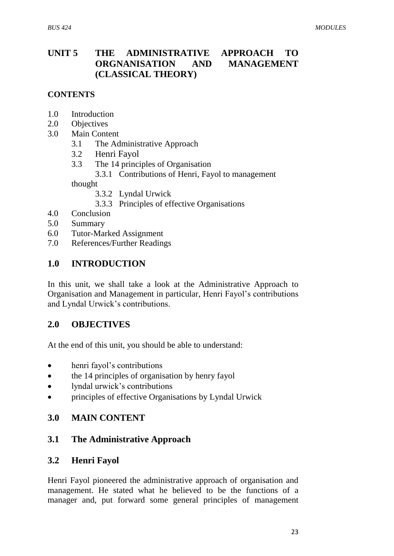# **UNIT 5 THE ADMINISTRATIVE APPROACH TO ORGNANISATION AND MANAGEMENT (CLASSICAL THEORY)**

## **CONTENTS**

- 1.0 Introduction
- 2.0 Objectives
- 3.0 Main Content
	- 3.1 The Administrative Approach
	- 3.2 Henri Fayol
	- 3.3 The 14 principles of Organisation
		- 3.3.1 Contributions of Henri, Fayol to management

thought

- 3.3.2 Lyndal Urwick
- 3.3.3 Principles of effective Organisations
- 4.0 Conclusion
- 5.0 Summary
- 6.0 Tutor-Marked Assignment
- 7.0 References/Further Readings

## **1.0 INTRODUCTION**

In this unit, we shall take a look at the Administrative Approach to Organisation and Management in particular, Henri Fayol"s contributions and Lyndal Urwick"s contributions.

## **2.0 OBJECTIVES**

At the end of this unit, you should be able to understand:

- henri fayol"s contributions
- the 14 principles of organisation by henry fayol
- lyndal urwick's contributions
- principles of effective Organisations by Lyndal Urwick

## **3.0 MAIN CONTENT**

## **3.1 The Administrative Approach**

## **3.2 Henri Fayol**

Henri Fayol pioneered the administrative approach of organisation and management. He stated what he believed to be the functions of a manager and, put forward some general principles of management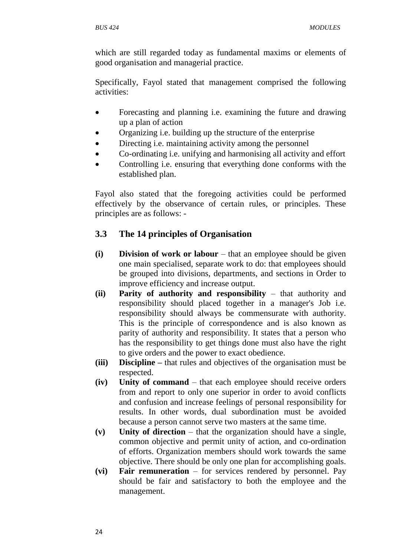which are still regarded today as fundamental maxims or elements of good organisation and managerial practice.

Specifically, Fayol stated that management comprised the following activities:

- Forecasting and planning i.e. examining the future and drawing up a plan of action
- Organizing i.e. building up the structure of the enterprise
- Directing i.e. maintaining activity among the personnel
- Co-ordinating i.e. unifying and harmonising all activity and effort
- Controlling i.e. ensuring that everything done conforms with the established plan.

Fayol also stated that the foregoing activities could be performed effectively by the observance of certain rules, or principles. These principles are as follows: -

# **3.3 The 14 principles of Organisation**

- **(i) Division of work or labour** that an employee should be given one main specialised, separate work to do: that employees should be grouped into divisions, departments, and sections in Order to improve efficiency and increase output.
- **(ii) Parity of authority and responsibility** that authority and responsibility should placed together in a manager's Job i.e. responsibility should always be commensurate with authority. This is the principle of correspondence and is also known as parity of authority and responsibility. It states that a person who has the responsibility to get things done must also have the right to give orders and the power to exact obedience.
- **(iii) Discipline –** that rules and objectives of the organisation must be respected.
- **(iv) Unity of command** that each employee should receive orders from and report to only one superior in order to avoid conflicts and confusion and increase feelings of personal responsibility for results. In other words, dual subordination must be avoided because a person cannot serve two masters at the same time.
- **(v) Unity of direction** that the organization should have a single, common objective and permit unity of action, and co-ordination of efforts. Organization members should work towards the same objective. There should be only one plan for accomplishing goals.
- **(vi) Fair remuneration** for services rendered by personnel. Pay should be fair and satisfactory to both the employee and the management.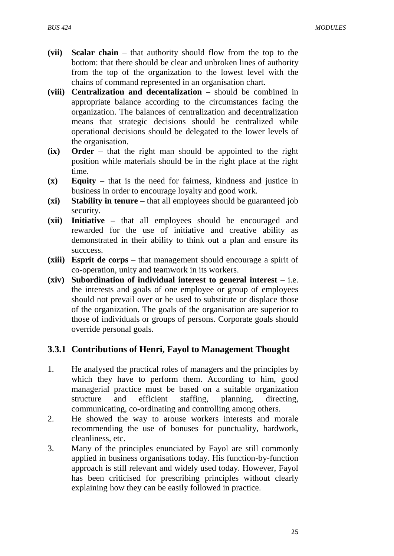- **(vii) Scalar chain** that authority should flow from the top to the bottom: that there should be clear and unbroken lines of authority from the top of the organization to the lowest level with the chains of command represented in an organisation chart.
- **(viii) Centralization and decentalization** should be combined in appropriate balance according to the circumstances facing the organization. The balances of centralization and decentralization means that strategic decisions should be centralized while operational decisions should be delegated to the lower levels of the organisation.
- **(ix) Order** that the right man should be appointed to the right position while materials should be in the right place at the right time.
- **(x) Equity** that is the need for fairness, kindness and justice in business in order to encourage loyalty and good work.
- **(xi) Stability in tenure** that all employees should be guaranteed job security.
- **(xii) Initiative –** that all employees should be encouraged and rewarded for the use of initiative and creative ability as demonstrated in their ability to think out a plan and ensure its succcess.
- **(xiii) Esprit de corps** that management should encourage a spirit of co-operation, unity and teamwork in its workers.
- **(xiv) Subordination of individual interest to general interest** i.e. the interests and goals of one employee or group of employees should not prevail over or be used to substitute or displace those of the organization. The goals of the organisation are superior to those of individuals or groups of persons. Corporate goals should override personal goals.

## **3.3.1 Contributions of Henri, Fayol to Management Thought**

- 1. He analysed the practical roles of managers and the principles by which they have to perform them. According to him, good managerial practice must be based on a suitable organization structure and efficient staffing, planning, directing, communicating, co-ordinating and controlling among others.
- 2. He showed the way to arouse workers interests and morale recommending the use of bonuses for punctuality, hardwork, cleanliness, etc.
- 3. Many of the principles enunciated by Fayol are still commonly applied in business organisations today. His function-by-function approach is still relevant and widely used today. However, Fayol has been criticised for prescribing principles without clearly explaining how they can be easily followed in practice.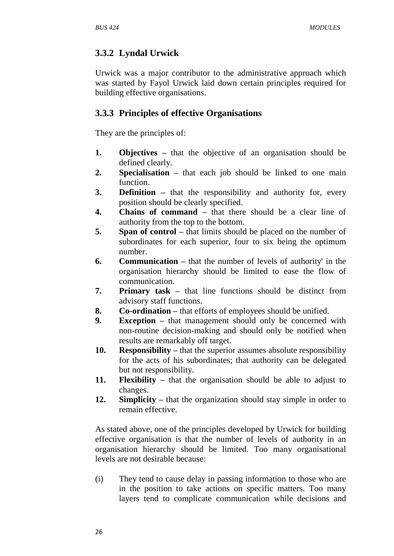# **3.3.2 Lyndal Urwick**

Urwick was a major contributor to the administrative approach which was started by Fayol Urwick laid down certain principles required for building effective organisations.

## **3.3.3 Principles of effective Organisations**

They are the principles of:

- **1. Objectives –** that the objective of an organisation should be defined clearly.
- **2. Specialisation –** that each job should be linked to one main function.
- **3. Definition –** that the responsibility and authority for, every position should be clearly specified.
- **4. Chains of command –** that there should be a clear line of authority from the top to the bottom.
- **5. Span of control –** that limits should be placed on the number of subordinates for each superior, four to six being the optimum number.
- **6. Communication –** that the number of levels of authority' in the organisation hierarchy should be limited to ease the flow of communication.
- **7. Primary task –** that line functions should be distinct from advisory staff functions.
- **8. Co-ordination –** that efforts of employees should be unified.
- **9. Exception –** that management should only be concerned with non-routine decision-making and should only be notified when results are remarkably off target.
- **10. Responsibility –** that the superior assumes absolute responsibility for the acts of his subordinates; that authority can be delegated but not responsibility.
- **11. Flexibility –** that the organisation should be able to adjust to changes.
- **12. Simplicity –** that the organization should stay simple in order to remain effective.

As stated above, one of the principles developed by Urwick for building effective organisation is that the number of levels of authority in an organisation hierarchy should be limited. Too many organisational levels are not desirable because:

(i) They tend to cause delay in passing information to those who are in the position to take actions on specific matters. Too many layers tend to complicate communication while decisions and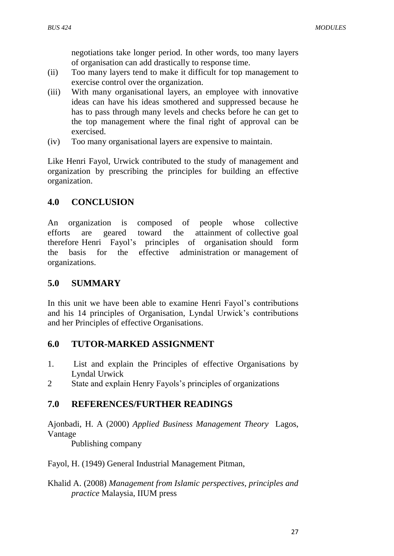negotiations take longer period. In other words, too many layers of organisation can add drastically to response time.

- (ii) Too many layers tend to make it difficult for top management to exercise control over the organization.
- (iii) With many organisational layers, an employee with innovative ideas can have his ideas smothered and suppressed because he has to pass through many levels and checks before he can get to the top management where the final right of approval can be exercised.
- (iv) Too many organisational layers are expensive to maintain.

Like Henri Fayol, Urwick contributed to the study of management and organization by prescribing the principles for building an effective organization.

#### **4.0 CONCLUSION**

An organization is composed of people whose collective efforts are geared toward the attainment of collective goal therefore Henri Fayol"s principles of organisation should form the basis for the effective administration or management of organizations.

#### **5.0 SUMMARY**

In this unit we have been able to examine Henri Fayol"s contributions and his 14 principles of Organisation, Lyndal Urwick"s contributions and her Principles of effective Organisations.

#### **6.0 TUTOR-MARKED ASSIGNMENT**

- 1. List and explain the Principles of effective Organisations by Lyndal Urwick
- 2 State and explain Henry Fayols"s principles of organizations

## **7.0 REFERENCES/FURTHER READINGS**

Ajonbadi, H. A (2000) *Applied Business Management Theory* Lagos, Vantage

Publishing company

#### Fayol, H. (1949) General Industrial Management Pitman,

#### Khalid A. (2008) *Management from Islamic perspectives, principles and practice* Malaysia, IIUM press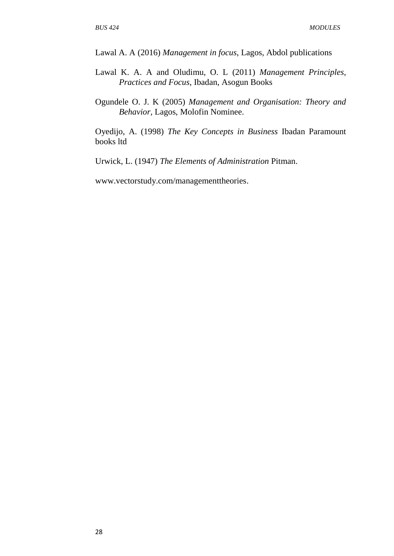Lawal A. A (2016) *Management in focus*, Lagos, Abdol publications

- Lawal K. A. A and Oludimu, O. L (2011) *Management Principles, Practices and Focus*, Ibadan, Asogun Books
- Ogundele O. J. K (2005) *Management and Organisation: Theory and Behavior,* Lagos, Molofin Nominee.

Oyedijo, A. (1998) *The Key Concepts in Business* Ibadan Paramount books ltd

Urwick, L. (1947) *The Elements of Administration* Pitman.

[www.vectorstudy.com/managementtheories.](http://www.vectorstudy.com/managementtheories)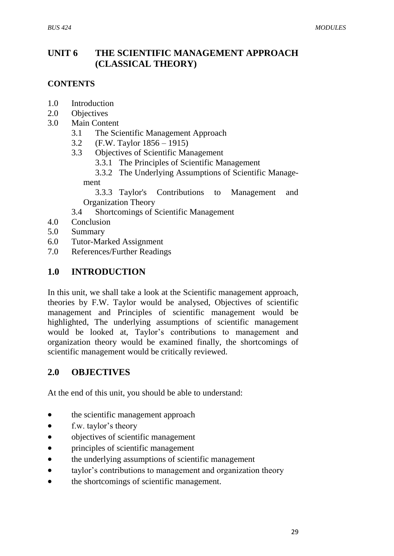# **UNIT 6 THE SCIENTIFIC MANAGEMENT APPROACH (CLASSICAL THEORY)**

#### **CONTENTS**

- 1.0 Introduction
- 2.0 Objectives
- 3.0 Main Content
	- 3.1 The Scientific Management Approach
	- 3.2 (F.W. Taylor 1856 1915)
	- 3.3 Objectives of Scientific Management
		- 3.3.1 The Principles of Scientific Management
		- 3.3.2 The Underlying Assumptions of Scientific Manage-

ment

3.3.3 Taylor's Contributions to Management and Organization Theory

3.4 Shortcomings of Scientific Management

- 4.0 Conclusion
- 5.0 Summary
- 6.0 Tutor-Marked Assignment
- 7.0 References/Further Readings

## **1.0 INTRODUCTION**

In this unit, we shall take a look at the Scientific management approach, theories by F.W. Taylor would be analysed, Objectives of scientific management and Principles of scientific management would be highlighted, The underlying assumptions of scientific management would be looked at, Taylor's contributions to management and organization theory would be examined finally, the shortcomings of scientific management would be critically reviewed.

## **2.0 OBJECTIVES**

At the end of this unit, you should be able to understand:

- the scientific management approach
- f.w. taylor's theory
- objectives of scientific management
- principles of scientific management
- the underlying assumptions of scientific management
- taylor"s contributions to management and organization theory
- the shortcomings of scientific management.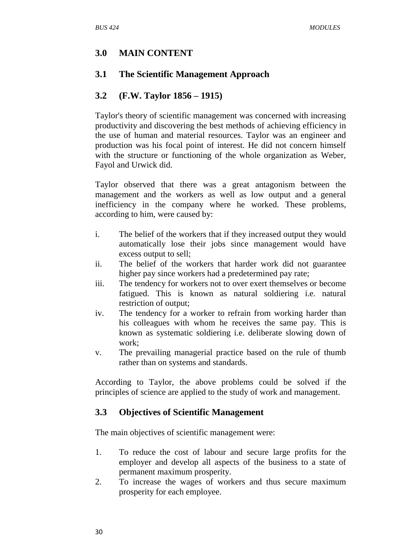#### **3.0 MAIN CONTENT**

#### **3.1 The Scientific Management Approach**

#### **3.2 (F.W. Taylor 1856 – 1915)**

Taylor's theory of scientific management was concerned with increasing productivity and discovering the best methods of achieving efficiency in the use of human and material resources. Taylor was an engineer and production was his focal point of interest. He did not concern himself with the structure or functioning of the whole organization as Weber, Fayol and Urwick did.

Taylor observed that there was a great antagonism between the management and the workers as well as low output and a general inefficiency in the company where he worked. These problems, according to him, were caused by:

- i. The belief of the workers that if they increased output they would automatically lose their jobs since management would have excess output to sell;
- ii. The belief of the workers that harder work did not guarantee higher pay since workers had a predetermined pay rate;
- iii. The tendency for workers not to over exert themselves or become fatigued. This is known as natural soldiering i.e. natural restriction of output;
- iv. The tendency for a worker to refrain from working harder than his colleagues with whom he receives the same pay. This is known as systematic soldiering i.e. deliberate slowing down of work;
- v. The prevailing managerial practice based on the rule of thumb rather than on systems and standards.

According to Taylor, the above problems could be solved if the principles of science are applied to the study of work and management.

#### **3.3 Objectives of Scientific Management**

The main objectives of scientific management were:

- 1. To reduce the cost of labour and secure large profits for the employer and develop all aspects of the business to a state of permanent maximum prosperity.
- 2. To increase the wages of workers and thus secure maximum prosperity for each employee.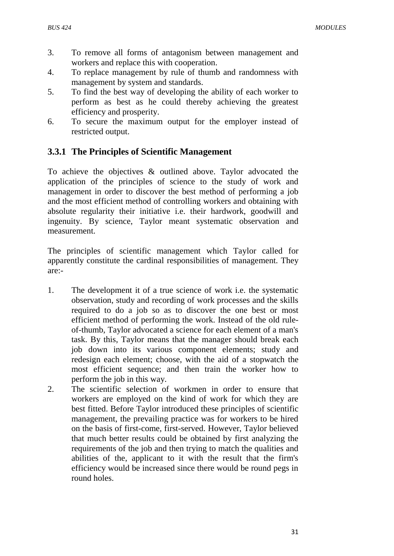- 3. To remove all forms of antagonism between management and workers and replace this with cooperation.
- 4. To replace management by rule of thumb and randomness with management by system and standards.
- 5. To find the best way of developing the ability of each worker to perform as best as he could thereby achieving the greatest efficiency and prosperity.
- 6. To secure the maximum output for the employer instead of restricted output.

# **3.3.1 The Principles of Scientific Management**

To achieve the objectives & outlined above. Taylor advocated the application of the principles of science to the study of work and management in order to discover the best method of performing a job and the most efficient method of controlling workers and obtaining with absolute regularity their initiative i.e. their hardwork, goodwill and ingenuity. By science, Taylor meant systematic observation and measurement.

The principles of scientific management which Taylor called for apparently constitute the cardinal responsibilities of management. They are:-

- 1. The development it of a true science of work i.e. the systematic observation, study and recording of work processes and the skills required to do a job so as to discover the one best or most efficient method of performing the work. Instead of the old ruleof-thumb, Taylor advocated a science for each element of a man's task. By this, Taylor means that the manager should break each job down into its various component elements; study and redesign each element; choose, with the aid of a stopwatch the most efficient sequence; and then train the worker how to perform the job in this way.
- 2. The scientific selection of workmen in order to ensure that workers are employed on the kind of work for which they are best fitted. Before Taylor introduced these principles of scientific management, the prevailing practice was for workers to be hired on the basis of first-come, first-served. However, Taylor believed that much better results could be obtained by first analyzing the requirements of the job and then trying to match the qualities and abilities of the, applicant to it with the result that the firm's efficiency would be increased since there would be round pegs in round holes.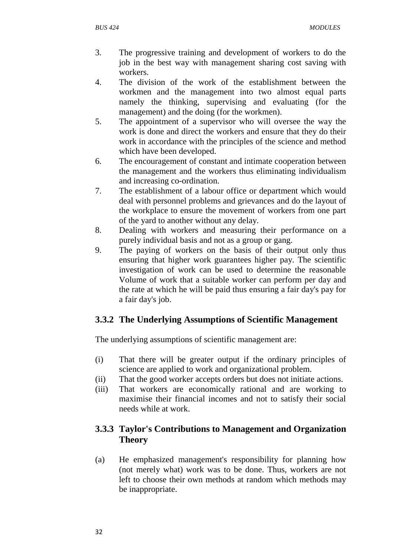- 3. The progressive training and development of workers to do the job in the best way with management sharing cost saving with workers.
- 4. The division of the work of the establishment between the workmen and the management into two almost equal parts namely the thinking, supervising and evaluating (for the management) and the doing (for the workmen).
- 5. The appointment of a supervisor who will oversee the way the work is done and direct the workers and ensure that they do their work in accordance with the principles of the science and method which have been developed.
- 6. The encouragement of constant and intimate cooperation between the management and the workers thus eliminating individualism and increasing co-ordination.
- 7. The establishment of a labour office or department which would deal with personnel problems and grievances and do the layout of the workplace to ensure the movement of workers from one part of the yard to another without any delay.
- 8. Dealing with workers and measuring their performance on a purely individual basis and not as a group or gang.
- 9. The paying of workers on the basis of their output only thus ensuring that higher work guarantees higher pay. The scientific investigation of work can be used to determine the reasonable Volume of work that a suitable worker can perform per day and the rate at which he will be paid thus ensuring a fair day's pay for a fair day's job.

# **3.3.2 The Underlying Assumptions of Scientific Management**

The underlying assumptions of scientific management are:

- (i) That there will be greater output if the ordinary principles of science are applied to work and organizational problem.
- (ii) That the good worker accepts orders but does not initiate actions.
- (iii) That workers are economically rational and are working to maximise their financial incomes and not to satisfy their social needs while at work.

# **3.3.3 Taylor's Contributions to Management and Organization Theory**

(a) He emphasized management's responsibility for planning how (not merely what) work was to be done. Thus, workers are not left to choose their own methods at random which methods may be inappropriate.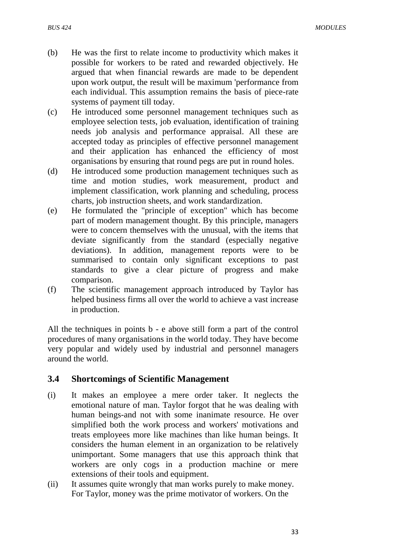- (b) He was the first to relate income to productivity which makes it possible for workers to be rated and rewarded objectively. He argued that when financial rewards are made to be dependent upon work output, the result will be maximum 'performance from each individual. This assumption remains the basis of piece-rate systems of payment till today.
- (c) He introduced some personnel management techniques such as employee selection tests, job evaluation, identification of training needs job analysis and performance appraisal. All these are accepted today as principles of effective personnel management and their application has enhanced the efficiency of most organisations by ensuring that round pegs are put in round holes.
- (d) He introduced some production management techniques such as time and motion studies, work measurement, product and implement classification, work planning and scheduling, process charts, job instruction sheets, and work standardization.
- (e) He formulated the "principle of exception" which has become part of modern management thought. By this principle, managers were to concern themselves with the unusual, with the items that deviate significantly from the standard (especially negative deviations). In addition, management reports were to be summarised to contain only significant exceptions to past standards to give a clear picture of progress and make comparison.
- (f) The scientific management approach introduced by Taylor has helped business firms all over the world to achieve a vast increase in production.

All the techniques in points b - e above still form a part of the control procedures of many organisations in the world today. They have become very popular and widely used by industrial and personnel managers around the world.

#### **3.4 Shortcomings of Scientific Management**

- (i) It makes an employee a mere order taker. It neglects the emotional nature of man. Taylor forgot that he was dealing with human beings-and not with some inanimate resource. He over simplified both the work process and workers' motivations and treats employees more like machines than like human beings. It considers the human element in an organization to be relatively unimportant. Some managers that use this approach think that workers are only cogs in a production machine or mere extensions of their tools and equipment.
- (ii) It assumes quite wrongly that man works purely to make money. For Taylor, money was the prime motivator of workers. On the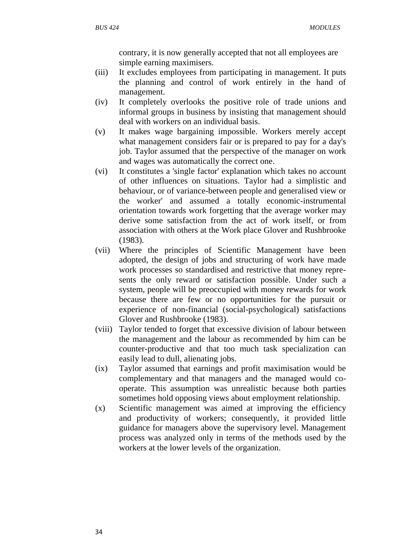contrary, it is now generally accepted that not all employees are simple earning maximisers.

- (iii) It excludes employees from participating in management. It puts the planning and control of work entirely in the hand of management.
- (iv) It completely overlooks the positive role of trade unions and informal groups in business by insisting that management should deal with workers on an individual basis.
- (v) It makes wage bargaining impossible. Workers merely accept what management considers fair or is prepared to pay for a day's job. Taylor assumed that the perspective of the manager on work and wages was automatically the correct one.
- (vi) It constitutes a 'single factor' explanation which takes no account of other influences on situations. Taylor had a simplistic and behaviour, or of variance-between people and generalised view or the worker' and assumed a totally economic-instrumental orientation towards work forgetting that the average worker may derive some satisfaction from the act of work itself, or from association with others at the Work place Glover and Rushbrooke (1983).
- (vii) Where the principles of Scientific Management have been adopted, the design of jobs and structuring of work have made work processes so standardised and restrictive that money represents the only reward or satisfaction possible. Under such a system, people will be preoccupied with money rewards for work because there are few or no opportunities for the pursuit or experience of non-financial (social-psychological) satisfactions Glover and Rushbrooke (1983).
- (viii) Taylor tended to forget that excessive division of labour between the management and the labour as recommended by him can be counter-productive and that too much task specialization can easily lead to dull, alienating jobs.
- (ix) Taylor assumed that earnings and profit maximisation would be complementary and that managers and the managed would cooperate. This assumption was unrealistic because both parties sometimes hold opposing views about employment relationship.
- (x) Scientific management was aimed at improving the efficiency and productivity of workers; consequently, it provided little guidance for managers above the supervisory level. Management process was analyzed only in terms of the methods used by the workers at the lower levels of the organization.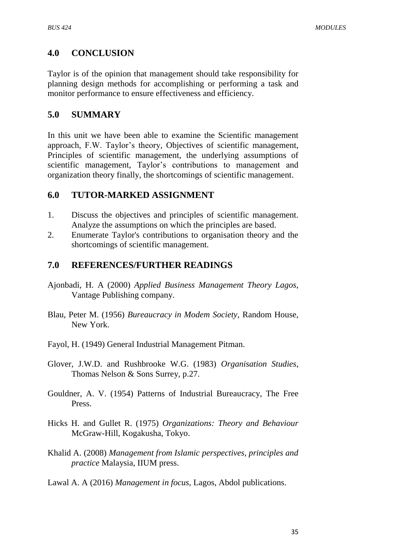## **4.0 CONCLUSION**

Taylor is of the opinion that management should take responsibility for planning design methods for accomplishing or performing a task and monitor performance to ensure effectiveness and efficiency.

## **5.0 SUMMARY**

In this unit we have been able to examine the Scientific management approach, F.W. Taylor"s theory, Objectives of scientific management, Principles of scientific management, the underlying assumptions of scientific management, Taylor"s contributions to management and organization theory finally, the shortcomings of scientific management.

## **6.0 TUTOR-MARKED ASSIGNMENT**

- 1. Discuss the objectives and principles of scientific management. Analyze the assumptions on which the principles are based.
- 2. Enumerate Taylor's contributions to organisation theory and the shortcomings of scientific management.

## **7.0 REFERENCES/FURTHER READINGS**

- Ajonbadi, H. A (2000) *Applied Business Management Theory Lagos*, Vantage Publishing company.
- Blau, Peter M. (1956) *Bureaucracy in Modem Society*, Random House, New York.
- Fayol, H. (1949) General Industrial Management Pitman.
- Glover, J.W.D. and Rushbrooke W.G. (1983) *Organisation Studies*, Thomas Nelson & Sons Surrey, p.27.
- Gouldner, A. V. (1954) Patterns of Industrial Bureaucracy, The Free Press.
- Hicks H. and Gullet R. (1975) *Organizations: Theory and Behaviour* McGraw-Hill, Kogakusha, Tokyo.
- Khalid A. (2008) *Management from Islamic perspectives, principles and practice* Malaysia, IIUM press.
- Lawal A. A (2016) *Management in focus*, Lagos, Abdol publications.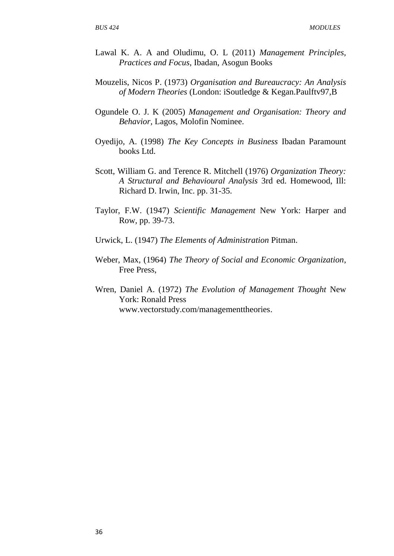- Lawal K. A. A and Oludimu, O. L (2011) *Management Principles, Practices and Focus*, Ibadan, Asogun Books
- Mouzelis, Nicos P. (1973) *Organisation and Bureaucracy: An Analysis of Modern Theories* (London: iSoutledge & Kegan.Paulftv97,B
- Ogundele O. J. K (2005) *Management and Organisation: Theory and Behavior,* Lagos, Molofin Nominee.
- Oyedijo, A. (1998) *The Key Concepts in Business* Ibadan Paramount books Ltd.
- Scott, William G. and Terence R. Mitchell (1976) *Organization Theory: A Structural and Behavioural Analysis* 3rd ed. Homewood, Ill: Richard D. Irwin, Inc. pp. 31-35.
- Taylor, F.W. (1947) *Scientific Management* New York: Harper and Row, pp. 39-73.
- Urwick, L. (1947) *The Elements of Administration* Pitman.
- Weber, Max, (1964) *The Theory of Social and Economic Organization*, Free Press,
- Wren, Daniel A. (1972) *The Evolution of Management Thought* New York: Ronald Press [www.vectorstudy.com/managementtheories.](http://www.vectorstudy.com/managementtheories)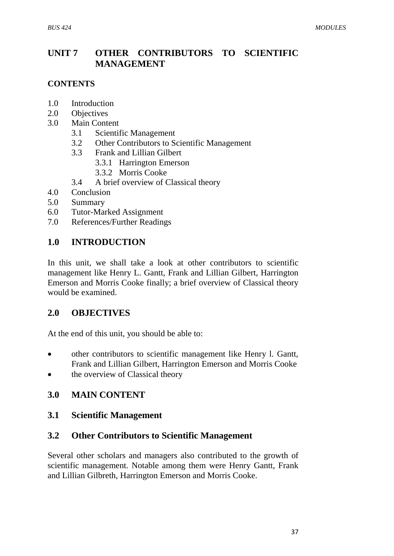## **UNIT 7 OTHER CONTRIBUTORS TO SCIENTIFIC MANAGEMENT**

#### **CONTENTS**

- 1.0 Introduction
- 2.0 Objectives
- 3.0 Main Content
	- 3.1 Scientific Management
	- 3.2 Other Contributors to Scientific Management
	- 3.3 Frank and Lillian Gilbert
		- 3.3.1 Harrington Emerson
		- 3.3.2 Morris Cooke
	- 3.4 A brief overview of Classical theory
- 4.0 Conclusion
- 5.0 Summary
- 6.0 Tutor-Marked Assignment
- 7.0 References/Further Readings

#### **1.0 INTRODUCTION**

In this unit, we shall take a look at other contributors to scientific management like Henry L. Gantt, Frank and Lillian Gilbert, Harrington Emerson and Morris Cooke finally; a brief overview of Classical theory would be examined.

#### **2.0 OBJECTIVES**

At the end of this unit, you should be able to:

- other contributors to scientific management like Henry l. Gantt, Frank and Lillian Gilbert, Harrington Emerson and Morris Cooke
- the overview of Classical theory

## **3.0 MAIN CONTENT**

#### **3.1 Scientific Management**

#### **3.2 Other Contributors to Scientific Management**

Several other scholars and managers also contributed to the growth of scientific management. Notable among them were Henry Gantt, Frank and Lillian Gilbreth, Harrington Emerson and Morris Cooke.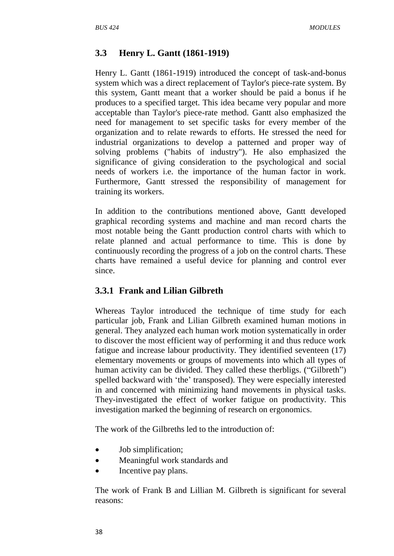# **3.3 Henry L. Gantt (1861-1919)**

Henry L. Gantt (1861-1919) introduced the concept of task-and-bonus system which was a direct replacement of Taylor's piece-rate system. By this system, Gantt meant that a worker should be paid a bonus if he produces to a specified target. This idea became very popular and more acceptable than Taylor's piece-rate method. Gantt also emphasized the need for management to set specific tasks for every member of the organization and to relate rewards to efforts. He stressed the need for industrial organizations to develop a patterned and proper way of solving problems ("habits of industry"). He also emphasized the significance of giving consideration to the psychological and social needs of workers i.e. the importance of the human factor in work. Furthermore, Gantt stressed the responsibility of management for training its workers.

In addition to the contributions mentioned above, Gantt developed graphical recording systems and machine and man record charts the most notable being the Gantt production control charts with which to relate planned and actual performance to time. This is done by continuously recording the progress of a job on the control charts. These charts have remained a useful device for planning and control ever since.

## **3.3.1 Frank and Lilian Gilbreth**

Whereas Taylor introduced the technique of time study for each particular job, Frank and Lilian Gilbreth examined human motions in general. They analyzed each human work motion systematically in order to discover the most efficient way of performing it and thus reduce work fatigue and increase labour productivity. They identified seventeen (17) elementary movements or groups of movements into which all types of human activity can be divided. They called these therbligs. ("Gilbreth") spelled backward with "the" transposed). They were especially interested in and concerned with minimizing hand movements in physical tasks. They-investigated the effect of worker fatigue on productivity. This investigation marked the beginning of research on ergonomics.

The work of the Gilbreths led to the introduction of:

- Job simplification;
- Meaningful work standards and
- Incentive pay plans.

The work of Frank B and Lillian M. Gilbreth is significant for several reasons: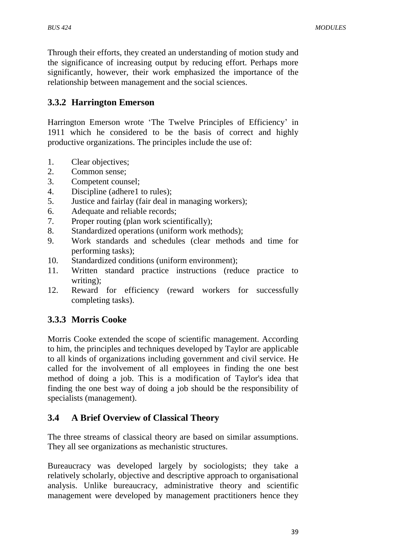Through their efforts, they created an understanding of motion study and the significance of increasing output by reducing effort. Perhaps more significantly, however, their work emphasized the importance of the relationship between management and the social sciences.

# **3.3.2 Harrington Emerson**

Harrington Emerson wrote "The Twelve Principles of Efficiency" in 1911 which he considered to be the basis of correct and highly productive organizations. The principles include the use of:

- 1. Clear objectives;
- 2. Common sense;
- 3. Competent counsel;
- 4. Discipline (adhere1 to rules);
- 5. Justice and fairlay (fair deal in managing workers);
- 6. Adequate and reliable records;
- 7. Proper routing (plan work scientifically);
- 8. Standardized operations (uniform work methods);
- 9. Work standards and schedules (clear methods and time for performing tasks);
- 10. Standardized conditions (uniform environment);
- 11. Written standard practice instructions (reduce practice to writing);
- 12. Reward for efficiency (reward workers for successfully completing tasks).

# **3.3.3 Morris Cooke**

Morris Cooke extended the scope of scientific management. According to him, the principles and techniques developed by Taylor are applicable to all kinds of organizations including government and civil service. He called for the involvement of all employees in finding the one best method of doing a job. This is a modification of Taylor's idea that finding the one best way of doing a job should be the responsibility of specialists (management).

## **3.4 A Brief Overview of Classical Theory**

The three streams of classical theory are based on similar assumptions. They all see organizations as mechanistic structures.

Bureaucracy was developed largely by sociologists; they take a relatively scholarly, objective and descriptive approach to organisational analysis. Unlike bureaucracy, administrative theory and scientific management were developed by management practitioners hence they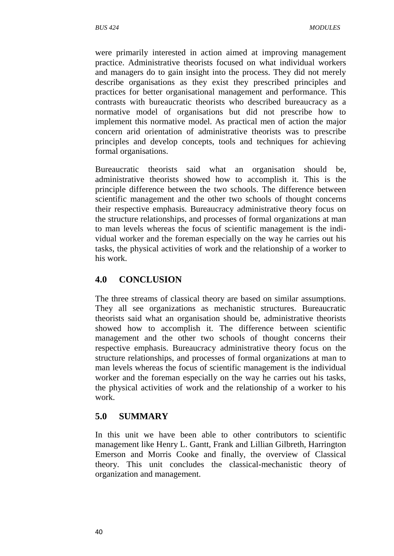were primarily interested in action aimed at improving management practice. Administrative theorists focused on what individual workers and managers do to gain insight into the process. They did not merely describe organisations as they exist they prescribed principles and practices for better organisational management and performance. This contrasts with bureaucratic theorists who described bureaucracy as a normative model of organisations but did not prescribe how to implement this normative model. As practical men of action the major concern arid orientation of administrative theorists was to prescribe principles and develop concepts, tools and techniques for achieving formal organisations.

Bureaucratic theorists said what an organisation should be, administrative theorists showed how to accomplish it. This is the principle difference between the two schools. The difference between scientific management and the other two schools of thought concerns their respective emphasis. Bureaucracy administrative theory focus on the structure relationships, and processes of formal organizations at man to man levels whereas the focus of scientific management is the individual worker and the foreman especially on the way he carries out his tasks, the physical activities of work and the relationship of a worker to his work.

## **4.0 CONCLUSION**

The three streams of classical theory are based on similar assumptions. They all see organizations as mechanistic structures. Bureaucratic theorists said what an organisation should be, administrative theorists showed how to accomplish it. The difference between scientific management and the other two schools of thought concerns their respective emphasis. Bureaucracy administrative theory focus on the structure relationships, and processes of formal organizations at man to man levels whereas the focus of scientific management is the individual worker and the foreman especially on the way he carries out his tasks, the physical activities of work and the relationship of a worker to his work.

## **5.0 SUMMARY**

In this unit we have been able to other contributors to scientific management like Henry L. Gantt, Frank and Lillian Gilbreth, Harrington Emerson and Morris Cooke and finally, the overview of Classical theory. This unit concludes the classical-mechanistic theory of organization and management.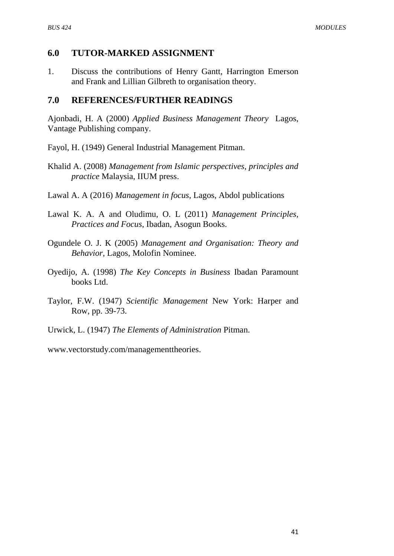#### **6.0 TUTOR-MARKED ASSIGNMENT**

1. Discuss the contributions of Henry Gantt, Harrington Emerson and Frank and Lillian Gilbreth to organisation theory.

## **7.0 REFERENCES/FURTHER READINGS**

Ajonbadi, H. A (2000) *Applied Business Management Theory* Lagos, Vantage Publishing company.

- Fayol, H. (1949) General Industrial Management Pitman.
- Khalid A. (2008) *Management from Islamic perspectives, principles and practice* Malaysia, IIUM press.
- Lawal A. A (2016) *Management in focus*, Lagos, Abdol publications
- Lawal K. A. A and Oludimu, O. L (2011) *Management Principles, Practices and Focus*, Ibadan, Asogun Books.
- Ogundele O. J. K (2005) *Management and Organisation: Theory and Behavior,* Lagos, Molofin Nominee.
- Oyedijo, A. (1998) *The Key Concepts in Business* Ibadan Paramount books Ltd.
- Taylor, F.W. (1947) *Scientific Management* New York: Harper and Row, pp. 39-73.
- Urwick, L. (1947) *The Elements of Administration* Pitman.

[www.vectorstudy.com/managementtheories.](http://www.vectorstudy.com/managementtheories)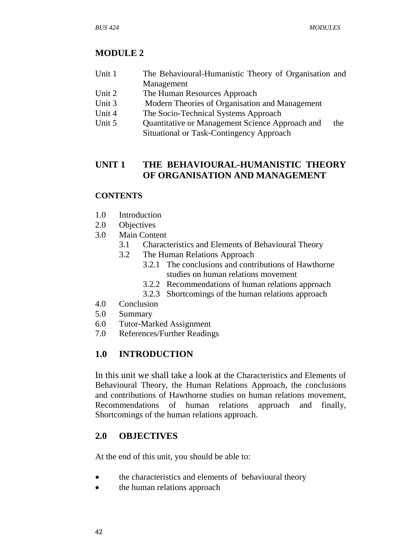# **MODULE 2**

- Unit 1 The Behavioural-Humanistic Theory of Organisation and Management
- Unit 2 The Human Resources Approach
- Unit 3 Modern Theories of Organisation and Management
- Unit 4 The Socio-Technical Systems Approach
- Unit 5 Quantitative or Management Science Approach and the Situational or Task-Contingency Approach

## **UNIT 1 THE BEHAVIOURAL-HUMANISTIC THEORY OF ORGANISATION AND MANAGEMENT**

## **CONTENTS**

- 1.0 Introduction
- 2.0 Objectives
- 3.0 Main Content
	- 3.1 Characteristics and Elements of Behavioural Theory
	- 3.2 The Human Relations Approach
		- 3.2.1 The conclusions and contributions of Hawthorne studies on human relations movement
		- 3.2.2 Recommendations of human relations approach
		- 3.2.3 Shortcomings of the human relations approach
- 4.0 Conclusion
- 5.0 Summary
- 6.0 Tutor-Marked Assignment
- 7.0 References/Further Readings

# **1.0 INTRODUCTION**

In this unit we shall take a look at the Characteristics and Elements of Behavioural Theory, the Human Relations Approach, the conclusions and contributions of Hawthorne studies on human relations movement, Recommendations of human relations approach and finally, Shortcomings of the human relations approach.

## **2.0 OBJECTIVES**

At the end of this unit, you should be able to:

- the characteristics and elements of behavioural theory
- the human relations approach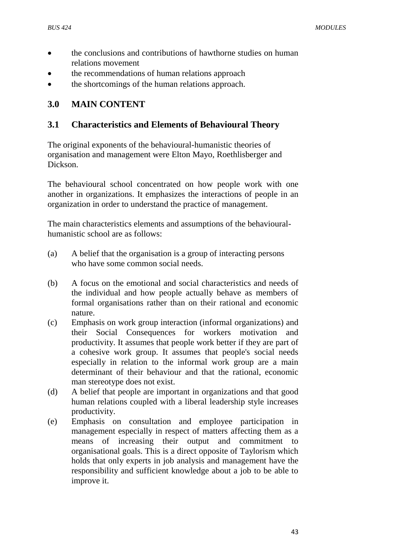- the conclusions and contributions of hawthorne studies on human relations movement
- the recommendations of human relations approach
- the shortcomings of the human relations approach.

## **3.0 MAIN CONTENT**

#### **3.1 Characteristics and Elements of Behavioural Theory**

The original exponents of the behavioural-humanistic theories of organisation and management were Elton Mayo, Roethlisberger and Dickson.

The behavioural school concentrated on how people work with one another in organizations. It emphasizes the interactions of people in an organization in order to understand the practice of management.

The main characteristics elements and assumptions of the behaviouralhumanistic school are as follows:

- (a) A belief that the organisation is a group of interacting persons who have some common social needs.
- (b) A focus on the emotional and social characteristics and needs of the individual and how people actually behave as members of formal organisations rather than on their rational and economic nature.
- (c) Emphasis on work group interaction (informal organizations) and their Social Consequences for workers motivation and productivity. It assumes that people work better if they are part of a cohesive work group. It assumes that people's social needs especially in relation to the informal work group are a main determinant of their behaviour and that the rational, economic man stereotype does not exist.
- (d) A belief that people are important in organizations and that good human relations coupled with a liberal leadership style increases productivity.
- (e) Emphasis on consultation and employee participation in management especially in respect of matters affecting them as a means of increasing their output and commitment to organisational goals. This is a direct opposite of Taylorism which holds that only experts in job analysis and management have the responsibility and sufficient knowledge about a job to be able to improve it.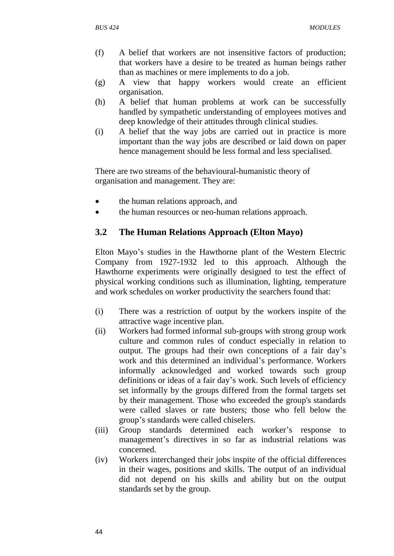- (f) A belief that workers are not insensitive factors of production; that workers have a desire to be treated as human beings rather than as machines or mere implements to do a job.
- (g) A view that happy workers would create an efficient organisation.
- (h) A belief that human problems at work can be successfully handled by sympathetic understanding of employees motives and deep knowledge of their attitudes through clinical studies.
- (i) A belief that the way jobs are carried out in practice is more important than the way jobs are described or laid down on paper hence management should be less formal and less specialised.

There are two streams of the behavioural-humanistic theory of organisation and management. They are:

- the human relations approach, and
- the human resources or neo-human relations approach.

## **3.2 The Human Relations Approach (Elton Mayo)**

Elton Mayo"s studies in the Hawthorne plant of the Western Electric Company from 1927-1932 led to this approach. Although the Hawthorne experiments were originally designed to test the effect of physical working conditions such as illumination, lighting, temperature and work schedules on worker productivity the searchers found that:

- (i) There was a restriction of output by the workers inspite of the attractive wage incentive plan.
- (ii) Workers had formed informal sub-groups with strong group work culture and common rules of conduct especially in relation to output. The groups had their own conceptions of a fair day"s work and this determined an individual"s performance. Workers informally acknowledged and worked towards such group definitions or ideas of a fair day"s work. Such levels of efficiency set informally by the groups differed from the formal targets set by their management. Those who exceeded the group's standards were called slaves or rate busters; those who fell below the group"s standards were called chiselers.
- (iii) Group standards determined each worker"s response to management's directives in so far as industrial relations was concerned.
- (iv) Workers interchanged their jobs inspite of the official differences in their wages, positions and skills. The output of an individual did not depend on his skills and ability but on the output standards set by the group.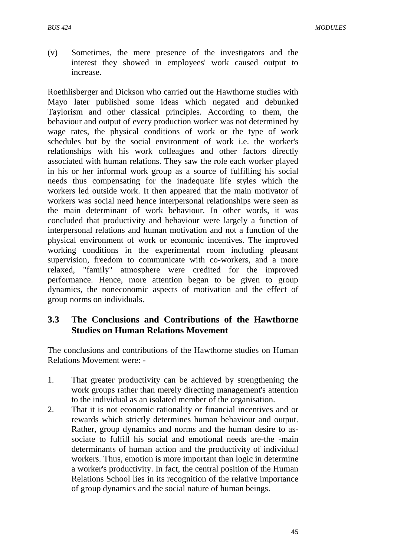(v) Sometimes, the mere presence of the investigators and the interest they showed in employees' work caused output to increase.

Roethlisberger and Dickson who carried out the Hawthorne studies with Mayo later published some ideas which negated and debunked Taylorism and other classical principles. According to them, the behaviour and output of every production worker was not determined by wage rates, the physical conditions of work or the type of work schedules but by the social environment of work i.e. the worker's relationships with his work colleagues and other factors directly associated with human relations. They saw the role each worker played in his or her informal work group as a source of fulfilling his social needs thus compensating for the inadequate life styles which the workers led outside work. It then appeared that the main motivator of workers was social need hence interpersonal relationships were seen as the main determinant of work behaviour. In other words, it was concluded that productivity and behaviour were largely a function of interpersonal relations and human motivation and not a function of the physical environment of work or economic incentives. The improved working conditions in the experimental room including pleasant supervision, freedom to communicate with co-workers, and a more relaxed, "family" atmosphere were credited for the improved performance. Hence, more attention began to be given to group dynamics, the noneconomic aspects of motivation and the effect of group norms on individuals.

## **3.3 The Conclusions and Contributions of the Hawthorne Studies on Human Relations Movement**

The conclusions and contributions of the Hawthorne studies on Human Relations Movement were: -

- 1. That greater productivity can be achieved by strengthening the work groups rather than merely directing management's attention to the individual as an isolated member of the organisation.
- 2. That it is not economic rationality or financial incentives and or rewards which strictly determines human behaviour and output. Rather, group dynamics and norms and the human desire to associate to fulfill his social and emotional needs are-the -main determinants of human action and the productivity of individual workers. Thus, emotion is more important than logic in determine a worker's productivity. In fact, the central position of the Human Relations School lies in its recognition of the relative importance of group dynamics and the social nature of human beings.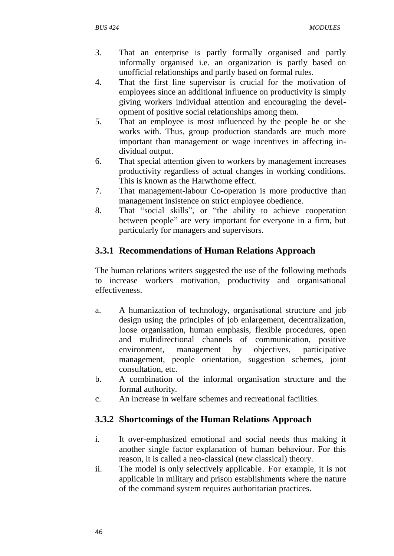- 3. That an enterprise is partly formally organised and partly informally organised i.e. an organization is partly based on unofficial relationships and partly based on formal rules.
- 4. That the first line supervisor is crucial for the motivation of employees since an additional influence on productivity is simply giving workers individual attention and encouraging the development of positive social relationships among them.
- 5. That an employee is most influenced by the people he or she works with. Thus, group production standards are much more important than management or wage incentives in affecting individual output.
- 6. That special attention given to workers by management increases productivity regardless of actual changes in working conditions. This is known as the Harwthome effect.
- 7. That management-labour Co-operation is more productive than management insistence on strict employee obedience.
- 8. That "social skills", or "the ability to achieve cooperation between people" are very important for everyone in a firm, but particularly for managers and supervisors.

# **3.3.1 Recommendations of Human Relations Approach**

The human relations writers suggested the use of the following methods to increase workers motivation, productivity and organisational effectiveness.

- a. A humanization of technology, organisational structure and job design using the principles of job enlargement, decentralization, loose organisation, human emphasis, flexible procedures, open and multidirectional channels of communication, positive environment, management by objectives, participative management, people orientation, suggestion schemes, joint consultation, etc.
- b. A combination of the informal organisation structure and the formal authority.
- c. An increase in welfare schemes and recreational facilities.

# **3.3.2 Shortcomings of the Human Relations Approach**

- i. It over-emphasized emotional and social needs thus making it another single factor explanation of human behaviour. For this reason, it is called a neo-classical (new classical) theory.
- ii. The model is only selectively applicable. For example, it is not applicable in military and prison establishments where the nature of the command system requires authoritarian practices.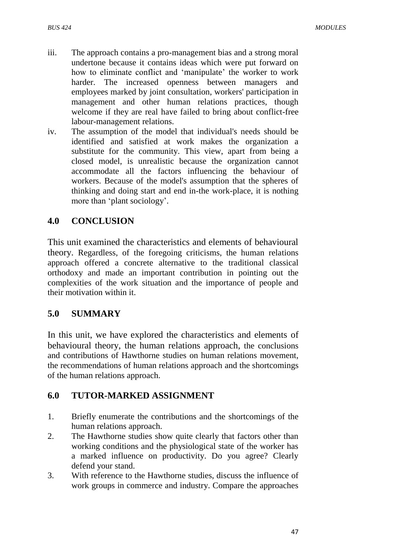- iii. The approach contains a pro-management bias and a strong moral undertone because it contains ideas which were put forward on how to eliminate conflict and 'manipulate' the worker to work harder. The increased openness between managers and employees marked by joint consultation, workers' participation in management and other human relations practices, though welcome if they are real have failed to bring about conflict-free labour-management relations.
- iv. The assumption of the model that individual's needs should be identified and satisfied at work makes the organization a substitute for the community. This view, apart from being a closed model, is unrealistic because the organization cannot accommodate all the factors influencing the behaviour of workers. Because of the model's assumption that the spheres of thinking and doing start and end in-the work-place, it is nothing more than "plant sociology".

## **4.0 CONCLUSION**

This unit examined the characteristics and elements of behavioural theory. Regardless, of the foregoing criticisms, the human relations approach offered a concrete alternative to the traditional classical orthodoxy and made an important contribution in pointing out the complexities of the work situation and the importance of people and their motivation within it.

## **5.0 SUMMARY**

In this unit, we have explored the characteristics and elements of behavioural theory, the human relations approach, the conclusions and contributions of Hawthorne studies on human relations movement, the recommendations of human relations approach and the shortcomings of the human relations approach.

## **6.0 TUTOR-MARKED ASSIGNMENT**

- 1. Briefly enumerate the contributions and the shortcomings of the human relations approach.
- 2. The Hawthorne studies show quite clearly that factors other than working conditions and the physiological state of the worker has a marked influence on productivity. Do you agree? Clearly defend your stand.
- 3. With reference to the Hawthorne studies, discuss the influence of work groups in commerce and industry. Compare the approaches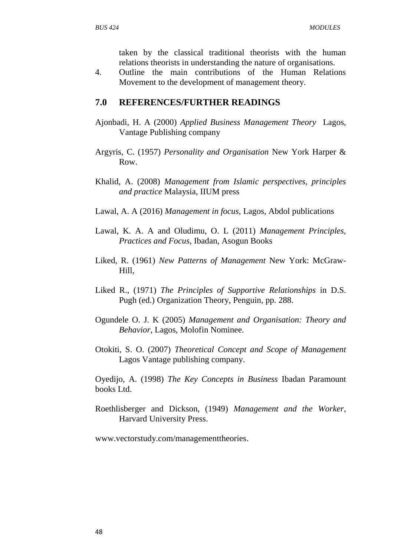taken by the classical traditional theorists with the human relations theorists in understanding the nature of organisations.

4. Outline the main contributions of the Human Relations Movement to the development of management theory.

#### **7.0 REFERENCES/FURTHER READINGS**

- Ajonbadi, H. A (2000) *Applied Business Management Theory* Lagos, Vantage Publishing company
- Argyris, C. (1957) *Personality and Organisation* New York Harper & Row.
- Khalid, A. (2008) *Management from Islamic perspectives, principles and practice* Malaysia, IIUM press
- Lawal, A. A (2016) *Management in focus*, Lagos, Abdol publications
- Lawal, K. A. A and Oludimu, O. L (2011) *Management Principles, Practices and Focus*, Ibadan, Asogun Books
- Liked, R. (1961) *New Patterns of Management* New York: McGraw-Hill,
- Liked R., (1971) *The Principles of Supportive Relationships* in D.S. Pugh (ed.) Organization Theory, Penguin, pp. 288.
- Ogundele O. J. K (2005) *Management and Organisation: Theory and Behavior,* Lagos, Molofin Nominee.
- Otokiti, S. O. (2007) *Theoretical Concept and Scope of Management*  Lagos Vantage publishing company.

Oyedijo, A. (1998) *The Key Concepts in Business* Ibadan Paramount books Ltd.

Roethlisberger and Dickson, (1949) *Management and the Worker*, Harvard University Press.

[www.vectorstudy.com/managementtheories.](http://www.vectorstudy.com/managementtheories)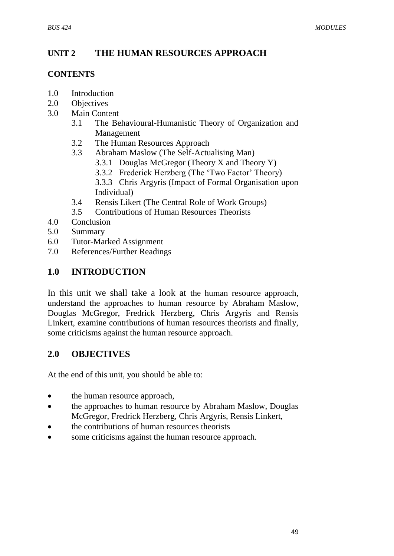# **UNIT 2 THE HUMAN RESOURCES APPROACH**

#### **CONTENTS**

- 1.0 Introduction
- 2.0 Objectives
- 3.0 Main Content
	- 3.1 The Behavioural-Humanistic Theory of Organization and Management
	- 3.2 The Human Resources Approach
	- 3.3 Abraham Maslow (The Self-Actualising Man)
		- 3.3.1 Douglas McGregor (Theory X and Theory Y)
		- 3.3.2 Frederick Herzberg (The 'Two Factor' Theory)
		- 3.3.3 Chris Argyris (Impact of Formal Organisation upon Individual)
	- 3.4 Rensis Likert (The Central Role of Work Groups)
	- 3.5 Contributions of Human Resources Theorists
- 4.0 Conclusion
- 5.0 Summary
- 6.0 Tutor-Marked Assignment
- 7.0 References/Further Readings

## **1.0 INTRODUCTION**

In this unit we shall take a look at the human resource approach, understand the approaches to human resource by Abraham Maslow, Douglas McGregor, Fredrick Herzberg, Chris Argyris and Rensis Linkert, examine contributions of human resources theorists and finally, some criticisms against the human resource approach.

## **2.0 OBJECTIVES**

At the end of this unit, you should be able to:

- the human resource approach,
- the approaches to human resource by Abraham Maslow, Douglas McGregor, Fredrick Herzberg, Chris Argyris, Rensis Linkert,
- the contributions of human resources theorists
- some criticisms against the human resource approach.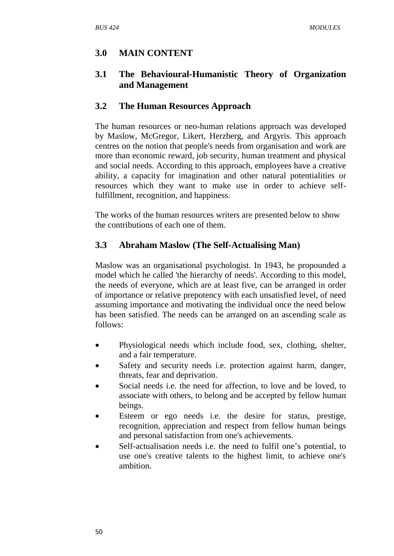# **3.0 MAIN CONTENT**

## **3.1 The Behavioural-Humanistic Theory of Organization and Management**

## **3.2 The Human Resources Approach**

The human resources or neo-human relations approach was developed by Maslow, McGregor, Likert, Herzberg, and Argyris. This approach centres on the notion that people's needs from organisation and work are more than economic reward, job security, human treatment and physical and social needs. According to this approach, employees have a creative ability, a capacity for imagination and other natural potentialities or resources which they want to make use in order to achieve selffulfillment, recognition, and happiness.

The works of the human resources writers are presented below to show the contributions of each one of them.

# **3.3 Abraham Maslow (The Self-Actualising Man)**

Maslow was an organisational psychologist. In 1943, he propounded a model which he called 'the hierarchy of needs'. According to this model, the needs of everyone, which are at least five, can be arranged in order of importance or relative prepotency with each unsatisfied level, of need assuming importance and motivating the individual once the need below has been satisfied. The needs can be arranged on an ascending scale as follows:

- Physiological needs which include food, sex, clothing, shelter, and a fair temperature.
- Safety and security needs i.e. protection against harm, danger, threats, fear and deprivation.
- Social needs i.e. the need for affection, to love and be loved, to associate with others, to belong and be accepted by fellow human beings.
- Esteem or ego needs i.e. the desire for status, prestige, recognition, appreciation and respect from fellow human beings and personal satisfaction from one's achievements.
- Self-actualisation needs i.e. the need to fulfil one"s potential, to use one's creative talents to the highest limit, to achieve one's ambition.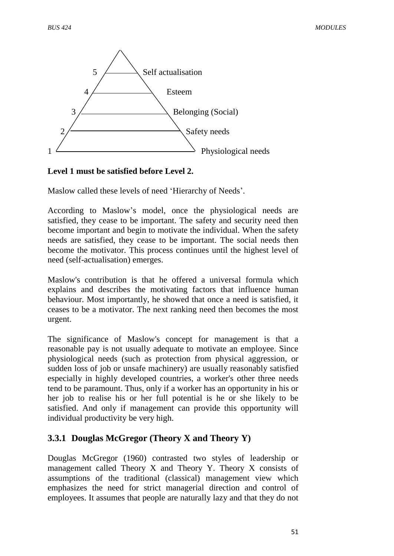

#### **Level 1 must be satisfied before Level 2.**

Maslow called these levels of need "Hierarchy of Needs".

According to Maslow"s model, once the physiological needs are satisfied, they cease to be important. The safety and security need then become important and begin to motivate the individual. When the safety needs are satisfied, they cease to be important. The social needs then become the motivator. This process continues until the highest level of need (self-actualisation) emerges.

Maslow's contribution is that he offered a universal formula which explains and describes the motivating factors that influence human behaviour. Most importantly, he showed that once a need is satisfied, it ceases to be a motivator. The next ranking need then becomes the most urgent.

The significance of Maslow's concept for management is that a reasonable pay is not usually adequate to motivate an employee. Since physiological needs (such as protection from physical aggression, or sudden loss of job or unsafe machinery) are usually reasonably satisfied especially in highly developed countries, a worker's other three needs tend to be paramount. Thus, only if a worker has an opportunity in his or her job to realise his or her full potential is he or she likely to be satisfied. And only if management can provide this opportunity will individual productivity be very high.

## **3.3.1 Douglas McGregor (Theory X and Theory Y)**

Douglas McGregor (1960) contrasted two styles of leadership or management called Theory X and Theory Y. Theory X consists of assumptions of the traditional (classical) management view which emphasizes the need for strict managerial direction and control of employees. It assumes that people are naturally lazy and that they do not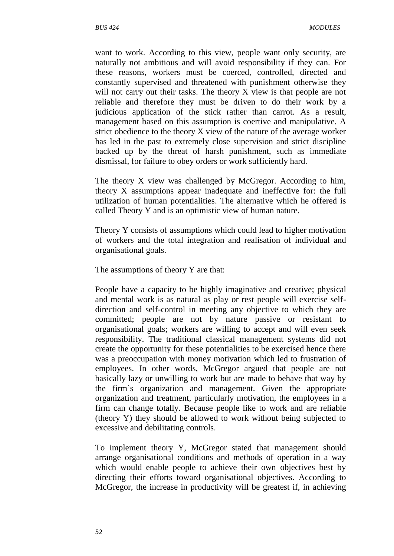want to work. According to this view, people want only security, are naturally not ambitious and will avoid responsibility if they can. For these reasons, workers must be coerced, controlled, directed and constantly supervised and threatened with punishment otherwise they will not carry out their tasks. The theory X view is that people are not reliable and therefore they must be driven to do their work by a judicious application of the stick rather than carrot. As a result, management based on this assumption is coertive and manipulative. A strict obedience to the theory X view of the nature of the average worker has led in the past to extremely close supervision and strict discipline backed up by the threat of harsh punishment, such as immediate dismissal, for failure to obey orders or work sufficiently hard.

The theory X view was challenged by McGregor. According to him, theory X assumptions appear inadequate and ineffective for: the full utilization of human potentialities. The alternative which he offered is called Theory Y and is an optimistic view of human nature.

Theory Y consists of assumptions which could lead to higher motivation of workers and the total integration and realisation of individual and organisational goals.

The assumptions of theory Y are that:

People have a capacity to be highly imaginative and creative; physical and mental work is as natural as play or rest people will exercise selfdirection and self-control in meeting any objective to which they are committed; people are not by nature passive or resistant to organisational goals; workers are willing to accept and will even seek responsibility. The traditional classical management systems did not create the opportunity for these potentialities to be exercised hence there was a preoccupation with money motivation which led to frustration of employees. In other words, McGregor argued that people are not basically lazy or unwilling to work but are made to behave that way by the firm"s organization and management. Given the appropriate organization and treatment, particularly motivation, the employees in a firm can change totally. Because people like to work and are reliable (theory Y) they should be allowed to work without being subjected to excessive and debilitating controls.

To implement theory Y, McGregor stated that management should arrange organisational conditions and methods of operation in a way which would enable people to achieve their own objectives best by directing their efforts toward organisational objectives. According to McGregor, the increase in productivity will be greatest if, in achieving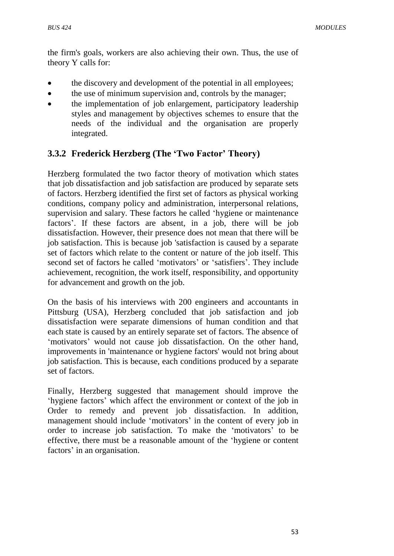the firm's goals, workers are also achieving their own. Thus, the use of theory Y calls for:

- the discovery and development of the potential in all employees;
- the use of minimum supervision and, controls by the manager;
- the implementation of job enlargement, participatory leadership styles and management by objectives schemes to ensure that the needs of the individual and the organisation are properly integrated.

# **3.3.2 Frederick Herzberg (The 'Two Factor' Theory)**

Herzberg formulated the two factor theory of motivation which states that job dissatisfaction and job satisfaction are produced by separate sets of factors. Herzberg identified the first set of factors as physical working conditions, company policy and administration, interpersonal relations, supervision and salary. These factors he called "hygiene or maintenance factors". If these factors are absent, in a job, there will be job dissatisfaction. However, their presence does not mean that there will be job satisfaction. This is because job 'satisfaction is caused by a separate set of factors which relate to the content or nature of the job itself. This second set of factors he called 'motivators' or 'satisfiers'. They include achievement, recognition, the work itself, responsibility, and opportunity for advancement and growth on the job.

On the basis of his interviews with 200 engineers and accountants in Pittsburg (USA), Herzberg concluded that job satisfaction and job dissatisfaction were separate dimensions of human condition and that each state is caused by an entirely separate set of factors. The absence of "motivators" would not cause job dissatisfaction. On the other hand, improvements in 'maintenance or hygiene factors' would not bring about job satisfaction. This is because, each conditions produced by a separate set of factors.

Finally, Herzberg suggested that management should improve the "hygiene factors" which affect the environment or context of the job in Order to remedy and prevent job dissatisfaction. In addition, management should include 'motivators' in the content of every job in order to increase job satisfaction. To make the "motivators" to be effective, there must be a reasonable amount of the "hygiene or content factors' in an organisation.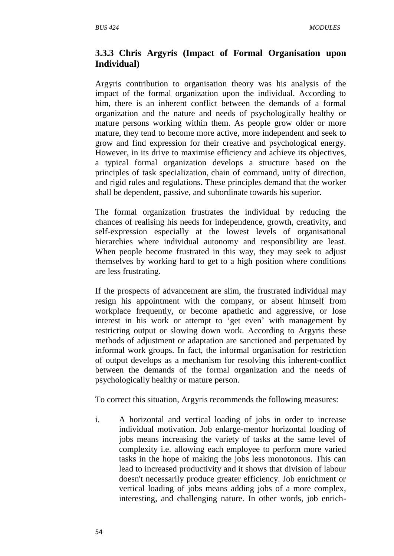#### **3.3.3 Chris Argyris (Impact of Formal Organisation upon Individual)**

Argyris contribution to organisation theory was his analysis of the impact of the formal organization upon the individual. According to him, there is an inherent conflict between the demands of a formal organization and the nature and needs of psychologically healthy or mature persons working within them. As people grow older or more mature, they tend to become more active, more independent and seek to grow and find expression for their creative and psychological energy. However, in its drive to maximise efficiency and achieve its objectives, a typical formal organization develops a structure based on the principles of task specialization, chain of command, unity of direction, and rigid rules and regulations. These principles demand that the worker shall be dependent, passive, and subordinate towards his superior.

The formal organization frustrates the individual by reducing the chances of realising his needs for independence, growth, creativity, and self-expression especially at the lowest levels of organisational hierarchies where individual autonomy and responsibility are least. When people become frustrated in this way, they may seek to adjust themselves by working hard to get to a high position where conditions are less frustrating.

If the prospects of advancement are slim, the frustrated individual may resign his appointment with the company, or absent himself from workplace frequently, or become apathetic and aggressive, or lose interest in his work or attempt to 'get even' with management by restricting output or slowing down work. According to Argyris these methods of adjustment or adaptation are sanctioned and perpetuated by informal work groups. In fact, the informal organisation for restriction of output develops as a mechanism for resolving this inherent-conflict between the demands of the formal organization and the needs of psychologically healthy or mature person.

To correct this situation, Argyris recommends the following measures:

i. A horizontal and vertical loading of jobs in order to increase individual motivation. Job enlarge-mentor horizontal loading of jobs means increasing the variety of tasks at the same level of complexity i.e. allowing each employee to perform more varied tasks in the hope of making the jobs less monotonous. This can lead to increased productivity and it shows that division of labour doesn't necessarily produce greater efficiency. Job enrichment or vertical loading of jobs means adding jobs of a more complex, interesting, and challenging nature. In other words, job enrich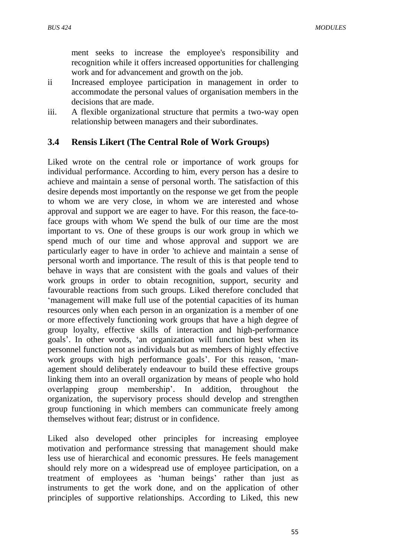ment seeks to increase the employee's responsibility and recognition while it offers increased opportunities for challenging work and for advancement and growth on the job.

- ii Increased employee participation in management in order to accommodate the personal values of organisation members in the decisions that are made.
- iii. A flexible organizational structure that permits a two-way open relationship between managers and their subordinates.

#### **3.4 Rensis Likert (The Central Role of Work Groups)**

Liked wrote on the central role or importance of work groups for individual performance. According to him, every person has a desire to achieve and maintain a sense of personal worth. The satisfaction of this desire depends most importantly on the response we get from the people to whom we are very close, in whom we are interested and whose approval and support we are eager to have. For this reason, the face-toface groups with whom We spend the bulk of our time are the most important to vs. One of these groups is our work group in which we spend much of our time and whose approval and support we are particularly eager to have in order 'to achieve and maintain a sense of personal worth and importance. The result of this is that people tend to behave in ways that are consistent with the goals and values of their work groups in order to obtain recognition, support, security and favourable reactions from such groups. Liked therefore concluded that "management will make full use of the potential capacities of its human resources only when each person in an organization is a member of one or more effectively functioning work groups that have a high degree of group loyalty, effective skills of interaction and high-performance goals". In other words, "an organization will function best when its personnel function not as individuals but as members of highly effective work groups with high performance goals'. For this reason, 'management should deliberately endeavour to build these effective groups linking them into an overall organization by means of people who hold overlapping group membership'. In addition, throughout the organization, the supervisory process should develop and strengthen group functioning in which members can communicate freely among themselves without fear; distrust or in confidence.

Liked also developed other principles for increasing employee motivation and performance stressing that management should make less use of hierarchical and economic pressures. He feels management should rely more on a widespread use of employee participation, on a treatment of employees as 'human beings' rather than just as instruments to get the work done, and on the application of other principles of supportive relationships. According to Liked, this new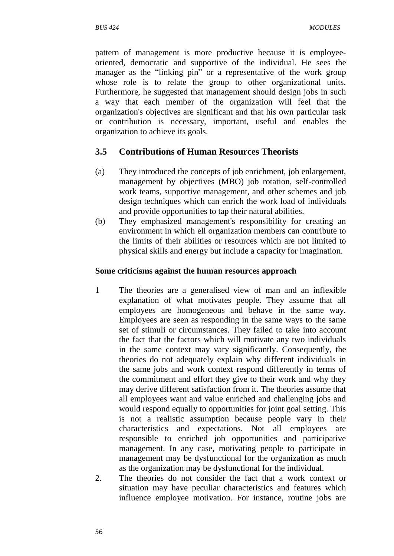pattern of management is more productive because it is employeeoriented, democratic and supportive of the individual. He sees the manager as the "linking pin" or a representative of the work group whose role is to relate the group to other organizational units. Furthermore, he suggested that management should design jobs in such a way that each member of the organization will feel that the organization's objectives are significant and that his own particular task or contribution is necessary, important, useful and enables the organization to achieve its goals.

#### **3.5 Contributions of Human Resources Theorists**

- (a) They introduced the concepts of job enrichment, job enlargement, management by objectives (MBO) job rotation, self-controlled work teams, supportive management, and other schemes and job design techniques which can enrich the work load of individuals and provide opportunities to tap their natural abilities.
- (b) They emphasized management's responsibility for creating an environment in which ell organization members can contribute to the limits of their abilities or resources which are not limited to physical skills and energy but include a capacity for imagination.

#### **Some criticisms against the human resources approach**

- 1 The theories are a generalised view of man and an inflexible explanation of what motivates people. They assume that all employees are homogeneous and behave in the same way. Employees are seen as responding in the same ways to the same set of stimuli or circumstances. They failed to take into account the fact that the factors which will motivate any two individuals in the same context may vary significantly. Consequently, the theories do not adequately explain why different individuals in the same jobs and work context respond differently in terms of the commitment and effort they give to their work and why they may derive different satisfaction from it. The theories assume that all employees want and value enriched and challenging jobs and would respond equally to opportunities for joint goal setting. This is not a realistic assumption because people vary in their characteristics and expectations. Not all employees are responsible to enriched job opportunities and participative management. In any case, motivating people to participate in management may be dysfunctional for the organization as much as the organization may be dysfunctional for the individual.
- 2. The theories do not consider the fact that a work context or situation may have peculiar characteristics and features which influence employee motivation. For instance, routine jobs are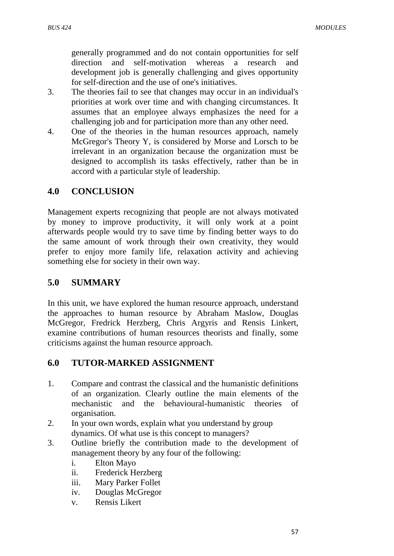generally programmed and do not contain opportunities for self direction and self-motivation whereas a research and development job is generally challenging and gives opportunity for self-direction and the use of one's initiatives.

- 3. The theories fail to see that changes may occur in an individual's priorities at work over time and with changing circumstances. It assumes that an employee always emphasizes the need for a challenging job and for participation more than any other need.
- 4. One of the theories in the human resources approach, namely McGregor's Theory Y, is considered by Morse and Lorsch to be irrelevant in an organization because the organization must be designed to accomplish its tasks effectively, rather than be in accord with a particular style of leadership.

## **4.0 CONCLUSION**

Management experts recognizing that people are not always motivated by money to improve productivity, it will only work at a point afterwards people would try to save time by finding better ways to do the same amount of work through their own creativity, they would prefer to enjoy more family life, relaxation activity and achieving something else for society in their own way.

## **5.0 SUMMARY**

In this unit, we have explored the human resource approach, understand the approaches to human resource by Abraham Maslow, Douglas McGregor, Fredrick Herzberg, Chris Argyris and Rensis Linkert, examine contributions of human resources theorists and finally, some criticisms against the human resource approach.

## **6.0 TUTOR-MARKED ASSIGNMENT**

- 1. Compare and contrast the classical and the humanistic definitions of an organization. Clearly outline the main elements of the mechanistic and the behavioural-humanistic theories of organisation.
- 2. In your own words, explain what you understand by group dynamics. Of what use is this concept to managers?
- 3. Outline briefly the contribution made to the development of management theory by any four of the following:
	- i. Elton Mayo
	- ii. Frederick Herzberg
	- iii. Mary Parker Follet
	- iv. Douglas McGregor
	- v. Rensis Likert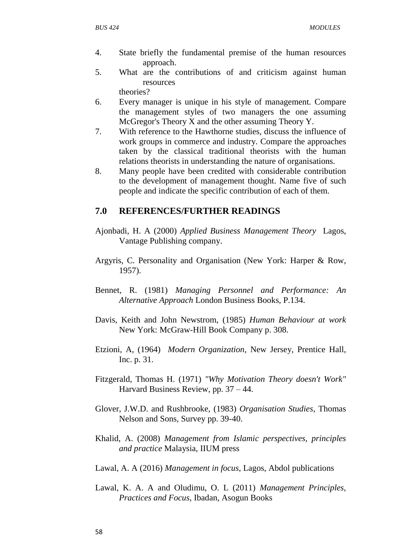- 4. State briefly the fundamental premise of the human resources approach.
- 5. What are the contributions of and criticism against human resources

theories?

- 6. Every manager is unique in his style of management. Compare the management styles of two managers the one assuming McGregor's Theory X and the other assuming Theory Y.
- 7. With reference to the Hawthorne studies, discuss the influence of work groups in commerce and industry. Compare the approaches taken by the classical traditional theorists with the human relations theorists in understanding the nature of organisations.
- 8. Many people have been credited with considerable contribution to the development of management thought. Name five of such people and indicate the specific contribution of each of them.

#### **7.0 REFERENCES/FURTHER READINGS**

- Ajonbadi, H. A (2000) *Applied Business Management Theory* Lagos, Vantage Publishing company.
- Argyris, C. Personality and Organisation (New York: Harper & Row, 1957).
- Bennet, R. (1981) *Managing Personnel and Performance: An Alternative Approach* London Business Books, P.134.
- Davis, Keith and John Newstrom, (1985) *Human Behaviour at work*  New York: McGraw-Hill Book Company p. 308.
- Etzioni, A, (1964) *Modern Organization*, New Jersey, Prentice Hall, Inc. p. 31.
- Fitzgerald, Thomas H. (1971) *"Why Motivation Theory doesn't Work"* Harvard Business Review, pp. 37 – 44.
- Glover, J.W.D. and Rushbrooke, (1983) *Organisation Studies*, Thomas Nelson and Sons, Survey pp. 39-40.
- Khalid, A. (2008) *Management from Islamic perspectives, principles and practice* Malaysia, IIUM press
- Lawal, A. A (2016) *Management in focus*, Lagos, Abdol publications
- Lawal, K. A. A and Oludimu, O. L (2011) *Management Principles, Practices and Focus*, Ibadan, Asogun Books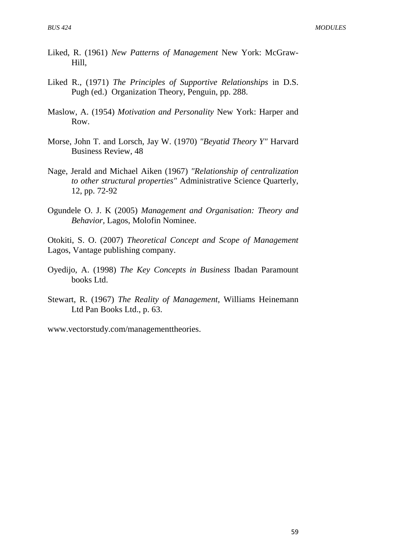- Liked, R. (1961) *New Patterns of Management* New York: McGraw-Hill,
- Liked R., (1971) *The Principles of Supportive Relationships* in D.S. Pugh (ed.) Organization Theory, Penguin, pp. 288.
- Maslow, A. (1954) *Motivation and Personality* New York: Harper and Row.
- Morse, John T. and Lorsch, Jay W. (1970) *"Beyatid Theory Y"* Harvard Business Review, 48
- Nage, Jerald and Michael Aiken (1967) *"Relationship of centralization to other structural properties"* Administrative Science Quarterly, 12, pp. 72-92
- Ogundele O. J. K (2005) *Management and Organisation: Theory and Behavior,* Lagos, Molofin Nominee.

Otokiti, S. O. (2007) *Theoretical Concept and Scope of Management*  Lagos, Vantage publishing company.

- Oyedijo, A. (1998) *The Key Concepts in Business* Ibadan Paramount books Ltd.
- Stewart, R. (1967) *The Reality of Management*, Williams Heinemann Ltd Pan Books Ltd., p. 63.

[www.vectorstudy.com/managementtheories.](http://www.vectorstudy.com/managementtheories)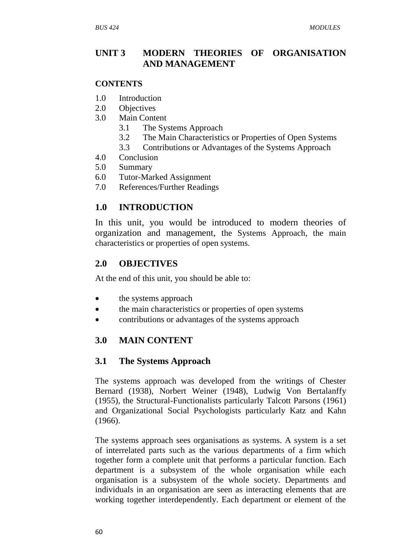## **UNIT 3 MODERN THEORIES OF ORGANISATION AND MANAGEMENT**

#### **CONTENTS**

- 1.0 Introduction
- 2.0 Objectives
- 3.0 Main Content
	- 3.1 The Systems Approach
	- 3.2 The Main Characteristics or Properties of Open Systems
	- 3.3 Contributions or Advantages of the Systems Approach
- 4.0 Conclusion
- 5.0 Summary
- 6.0 Tutor-Marked Assignment
- 7.0 References/Further Readings

## **1.0 INTRODUCTION**

In this unit, you would be introduced to modern theories of organization and management, the Systems Approach, the main characteristics or properties of open systems.

#### **2.0 OBJECTIVES**

At the end of this unit, you should be able to:

- the systems approach
- the main characteristics or properties of open systems
- contributions or advantages of the systems approach

## **3.0 MAIN CONTENT**

#### **3.1 The Systems Approach**

The systems approach was developed from the writings of Chester Bernard (1938), Norbert Weiner (1948), Ludwig Von Bertalanffy (1955), the Structural-Functionalists particularly Talcott Parsons (1961) and Organizational Social Psychologists particularly Katz and Kahn (1966).

The systems approach sees organisations as systems. A system is a set of interrelated parts such as the various departments of a firm which together form a complete unit that performs a particular function. Each department is a subsystem of the whole organisation while each organisation is a subsystem of the whole society. Departments and individuals in an organisation are seen as interacting elements that are working together interdependently. Each department or element of the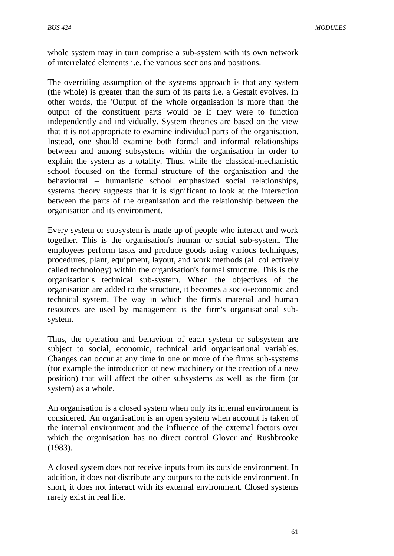whole system may in turn comprise a sub-system with its own network of interrelated elements i.e. the various sections and positions.

The overriding assumption of the systems approach is that any system (the whole) is greater than the sum of its parts i.e. a Gestalt evolves. In other words, the 'Output of the whole organisation is more than the output of the constituent parts would be if they were to function independently and individually. System theories are based on the view that it is not appropriate to examine individual parts of the organisation. Instead, one should examine both formal and informal relationships between and among subsystems within the organisation in order to explain the system as a totality. Thus, while the classical-mechanistic school focused on the formal structure of the organisation and the behavioural – humanistic school emphasized social relationships, systems theory suggests that it is significant to look at the interaction between the parts of the organisation and the relationship between the organisation and its environment.

Every system or subsystem is made up of people who interact and work together. This is the organisation's human or social sub-system. The employees perform tasks and produce goods using various techniques, procedures, plant, equipment, layout, and work methods (all collectively called technology) within the organisation's formal structure. This is the organisation's technical sub-system. When the objectives of the organisation are added to the structure, it becomes a socio-economic and technical system. The way in which the firm's material and human resources are used by management is the firm's organisational subsystem.

Thus, the operation and behaviour of each system or subsystem are subject to social, economic, technical arid organisational variables. Changes can occur at any time in one or more of the firms sub-systems (for example the introduction of new machinery or the creation of a new position) that will affect the other subsystems as well as the firm (or system) as a whole.

An organisation is a closed system when only its internal environment is considered. An organisation is an open system when account is taken of the internal environment and the influence of the external factors over which the organisation has no direct control Glover and Rushbrooke (1983).

A closed system does not receive inputs from its outside environment. In addition, it does not distribute any outputs to the outside environment. In short, it does not interact with its external environment. Closed systems rarely exist in real life.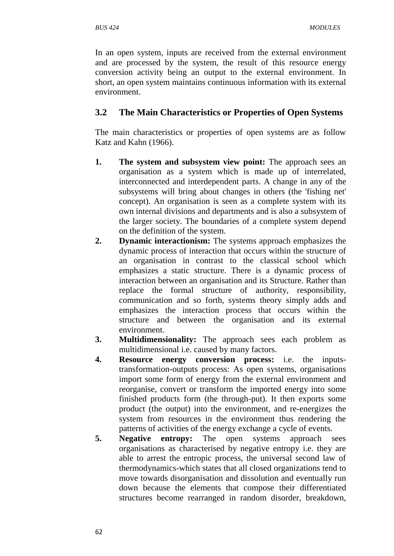In an open system, inputs are received from the external environment and are processed by the system, the result of this resource energy conversion activity being an output to the external environment. In short, an open system maintains continuous information with its external environment.

# **3.2 The Main Characteristics or Properties of Open Systems**

The main characteristics or properties of open systems are as follow Katz and Kahn (1966).

- **1. The system and subsystem view point:** The approach sees an organisation as a system which is made up of interrelated, interconnected and interdependent parts. A change in any of the subsystems will bring about changes in others (the 'fishing net' concept). An organisation is seen as a complete system with its own internal divisions and departments and is also a subsystem of the larger society. The boundaries of a complete system depend on the definition of the system.
- **2. Dynamic interactionism:** The systems approach emphasizes the dynamic process of interaction that occurs within the structure of an organisation in contrast to the classical school which emphasizes a static structure. There is a dynamic process of interaction between an organisation and its Structure. Rather than replace the formal structure of authority, responsibility, communication and so forth, systems theory simply adds and emphasizes the interaction process that occurs within the structure and between the organisation and its external environment.
- **3. Multidimensionality:** The approach sees each problem as multidimensional i.e. caused by many factors.
- **4. Resource energy conversion process:** i.e. the inputstransformation-outputs process: As open systems, organisations import some form of energy from the external environment and reorganise, convert or transform the imported energy into some finished products form (the through-put). It then exports some product (the output) into the environment, and re-energizes the system from resources in the environment thus rendering the patterns of activities of the energy exchange a cycle of events.
- **5. Negative entropy:** The open systems approach sees organisations as characterised by negative entropy i.e. they are able to arrest the entropic process, the universal second law of thermodynamics-which states that all closed organizations tend to move towards disorganisation and dissolution and eventually run down because the elements that compose their differentiated structures become rearranged in random disorder, breakdown,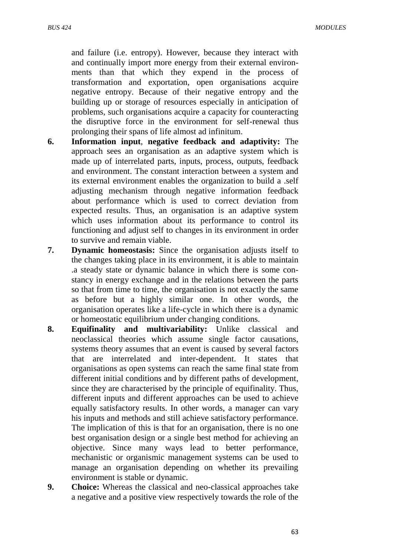and failure (i.e. entropy). However, because they interact with and continually import more energy from their external environments than that which they expend in the process of transformation and exportation, open organisations acquire negative entropy. Because of their negative entropy and the building up or storage of resources especially in anticipation of problems, such organisations acquire a capacity for counteracting the disruptive force in the environment for self-renewal thus prolonging their spans of life almost ad infinitum.

- **6. Information input**, **negative feedback and adaptivity:** The approach sees an organisation as an adaptive system which is made up of interrelated parts, inputs, process, outputs, feedback and environment. The constant interaction between a system and its external environment enables the organization to build a .self adjusting mechanism through negative information feedback about performance which is used to correct deviation from expected results. Thus, an organisation is an adaptive system which uses information about its performance to control its functioning and adjust self to changes in its environment in order to survive and remain viable.
- **7. Dynamic homeostasis:** Since the organisation adjusts itself to the changes taking place in its environment, it is able to maintain .a steady state or dynamic balance in which there is some constancy in energy exchange and in the relations between the parts so that from time to time, the organisation is not exactly the same as before but a highly similar one. In other words, the organisation operates like a life-cycle in which there is a dynamic or homeostatic equilibrium under changing conditions.
- **8. Equifinality and multivariability:** Unlike classical and neoclassical theories which assume single factor causations, systems theory assumes that an event is caused by several factors that are interrelated and inter-dependent. It states that organisations as open systems can reach the same final state from different initial conditions and by different paths of development, since they are characterised by the principle of equifinality. Thus, different inputs and different approaches can be used to achieve equally satisfactory results. In other words, a manager can vary his inputs and methods and still achieve satisfactory performance. The implication of this is that for an organisation, there is no one best organisation design or a single best method for achieving an objective. Since many ways lead to better performance, mechanistic or organismic management systems can be used to manage an organisation depending on whether its prevailing environment is stable or dynamic.
- **9. Choice:** Whereas the classical and neo-classical approaches take a negative and a positive view respectively towards the role of the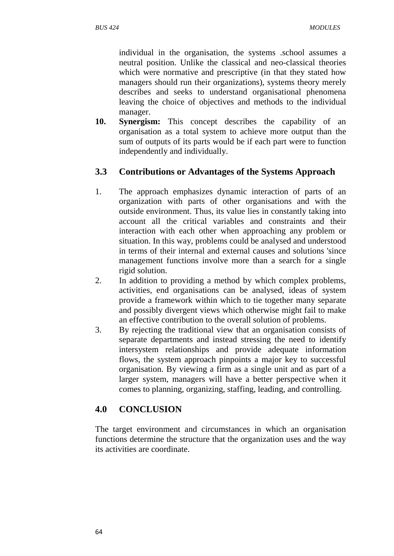individual in the organisation, the systems .school assumes a neutral position. Unlike the classical and neo-classical theories which were normative and prescriptive (in that they stated how managers should run their organizations), systems theory merely describes and seeks to understand organisational phenomena leaving the choice of objectives and methods to the individual manager.

**10. Synergism:** This concept describes the capability of an organisation as a total system to achieve more output than the sum of outputs of its parts would be if each part were to function independently and individually.

# **3.3 Contributions or Advantages of the Systems Approach**

- 1. The approach emphasizes dynamic interaction of parts of an organization with parts of other organisations and with the outside environment. Thus, its value lies in constantly taking into account all the critical variables and constraints and their interaction with each other when approaching any problem or situation. In this way, problems could be analysed and understood in terms of their internal and external causes and solutions 'since management functions involve more than a search for a single rigid solution.
- 2. In addition to providing a method by which complex problems, activities, end organisations can be analysed, ideas of system provide a framework within which to tie together many separate and possibly divergent views which otherwise might fail to make an effective contribution to the overall solution of problems.
- 3. By rejecting the traditional view that an organisation consists of separate departments and instead stressing the need to identify intersystem relationships and provide adequate information flows, the system approach pinpoints a major key to successful organisation. By viewing a firm as a single unit and as part of a larger system, managers will have a better perspective when it comes to planning, organizing, staffing, leading, and controlling.

# **4.0 CONCLUSION**

The target environment and circumstances in which an organisation functions determine the structure that the organization uses and the way its activities are coordinate.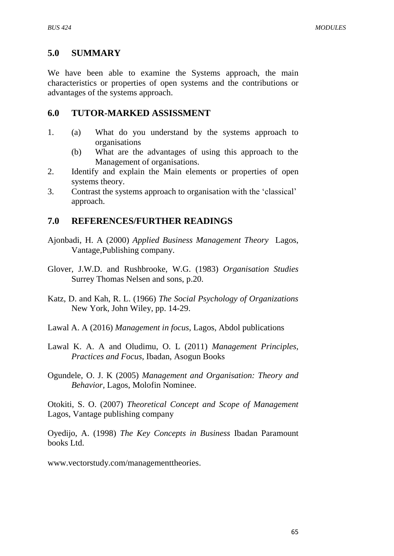#### **5.0 SUMMARY**

We have been able to examine the Systems approach, the main characteristics or properties of open systems and the contributions or advantages of the systems approach.

#### **6.0 TUTOR-MARKED ASSISSMENT**

- 1. (a) What do you understand by the systems approach to organisations
	- (b) What are the advantages of using this approach to the Management of organisations.
- 2. Identify and explain the Main elements or properties of open systems theory.
- 3. Contrast the systems approach to organisation with the "classical" approach.

#### **7.0 REFERENCES/FURTHER READINGS**

- Ajonbadi, H. A (2000) *Applied Business Management Theory* Lagos, Vantage,Publishing company.
- Glover, J.W.D. and Rushbrooke, W.G. (1983) *Organisation Studies* Surrey Thomas Nelsen and sons, p.20.
- Katz, D. and Kah, R. L. (1966) *The Social Psychology of Organizations* New York, John Wiley, pp. 14-29.
- Lawal A. A (2016) *Management in focus*, Lagos, Abdol publications
- Lawal K. A. A and Oludimu, O. L (2011) *Management Principles, Practices and Focus*, Ibadan, Asogun Books
- Ogundele, O. J. K (2005) *Management and Organisation: Theory and Behavior,* Lagos, Molofin Nominee.

Otokiti, S. O. (2007) *Theoretical Concept and Scope of Management*  Lagos, Vantage publishing company

Oyedijo, A. (1998) *The Key Concepts in Business* Ibadan Paramount books Ltd.

[www.vectorstudy.com/managementtheories.](http://www.vectorstudy.com/managementtheories)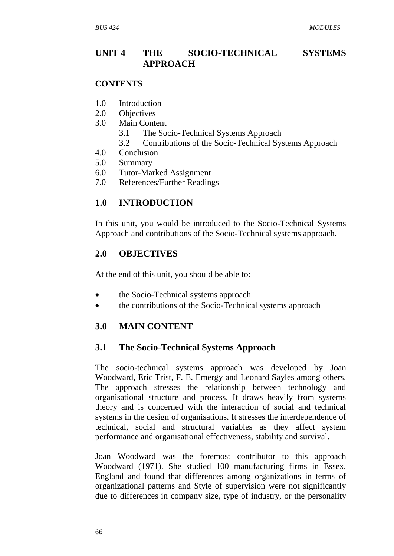# **UNIT 4 THE SOCIO-TECHNICAL SYSTEMS APPROACH**

#### **CONTENTS**

- 1.0 Introduction
- 2.0 Objectives
- 3.0 Main Content
	- 3.1 The Socio-Technical Systems Approach
	- 3.2 Contributions of the Socio-Technical Systems Approach
- 4.0 Conclusion
- 5.0 Summary
- 6.0 Tutor-Marked Assignment
- 7.0 References/Further Readings

# **1.0 INTRODUCTION**

In this unit, you would be introduced to the Socio-Technical Systems Approach and contributions of the Socio-Technical systems approach.

#### **2.0 OBJECTIVES**

At the end of this unit, you should be able to:

- the Socio-Technical systems approach
- the contributions of the Socio-Technical systems approach

#### **3.0 MAIN CONTENT**

#### **3.1 The Socio-Technical Systems Approach**

The socio-technical systems approach was developed by Joan Woodward, Eric Trist, F. E. Emergy and Leonard Sayles among others. The approach stresses the relationship between technology and organisational structure and process. It draws heavily from systems theory and is concerned with the interaction of social and technical systems in the design of organisations. It stresses the interdependence of technical, social and structural variables as they affect system performance and organisational effectiveness, stability and survival.

Joan Woodward was the foremost contributor to this approach Woodward (1971). She studied 100 manufacturing firms in Essex, England and found that differences among organizations in terms of organizational patterns and Style of supervision were not significantly due to differences in company size, type of industry, or the personality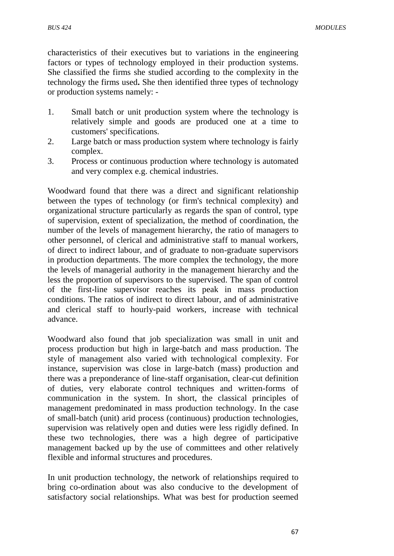characteristics of their executives but to variations in the engineering factors or types of technology employed in their production systems. She classified the firms she studied according to the complexity in the technology the firms used**.** She then identified three types of technology or production systems namely: -

- 1. Small batch or unit production system where the technology is relatively simple and goods are produced one at a time to customers' specifications.
- 2. Large batch or mass production system where technology is fairly complex.
- 3. Process or continuous production where technology is automated and very complex e.g. chemical industries.

Woodward found that there was a direct and significant relationship between the types of technology (or firm's technical complexity) and organizational structure particularly as regards the span of control, type of supervision, extent of specialization, the method of coordination, the number of the levels of management hierarchy, the ratio of managers to other personnel, of clerical and administrative staff to manual workers, of direct to indirect labour, and of graduate to non-graduate supervisors in production departments. The more complex the technology, the more the levels of managerial authority in the management hierarchy and the less the proportion of supervisors to the supervised. The span of control of the first-line supervisor reaches its peak in mass production conditions. The ratios of indirect to direct labour, and of administrative and clerical staff to hourly-paid workers, increase with technical advance.

Woodward also found that job specialization was small in unit and process production but high in large-batch and mass production. The style of management also varied with technological complexity. For instance, supervision was close in large-batch (mass) production and there was a preponderance of line-staff organisation, clear-cut definition of duties, very elaborate control techniques and written-forms of communication in the system. In short, the classical principles of management predominated in mass production technology. In the case of small-batch (unit) arid process (continuous) production technologies, supervision was relatively open and duties were less rigidly defined. In these two technologies, there was a high degree of participative management backed up by the use of committees and other relatively flexible and informal structures and procedures.

In unit production technology, the network of relationships required to bring co-ordination about was also conducive to the development of satisfactory social relationships. What was best for production seemed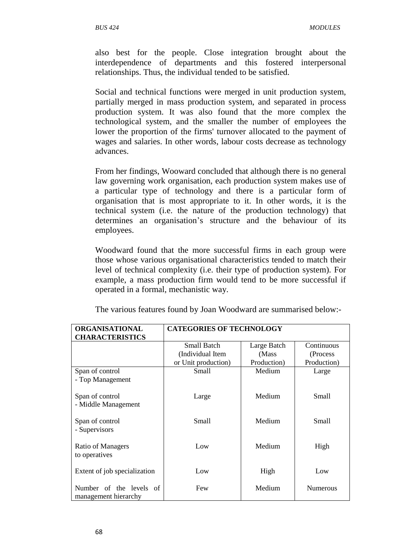also best for the people. Close integration brought about the interdependence of departments and this fostered interpersonal relationships. Thus, the individual tended to be satisfied.

Social and technical functions were merged in unit production system, partially merged in mass production system, and separated in process production system. It was also found that the more complex the technological system, and the smaller the number of employees the lower the proportion of the firms' turnover allocated to the payment of wages and salaries. In other words, labour costs decrease as technology advances.

From her findings, Wooward concluded that although there is no general law governing work organisation, each production system makes use of a particular type of technology and there is a particular form of organisation that is most appropriate to it. In other words, it is the technical system (i.e. the nature of the production technology) that determines an organisation"s structure and the behaviour of its employees.

Woodward found that the more successful firms in each group were those whose various organisational characteristics tended to match their level of technical complexity (i.e. their type of production system). For example, a mass production firm would tend to be more successful if operated in a formal, mechanistic way.

| ORGANISATIONAL                                  | <b>CATEGORIES OF TECHNOLOGY</b> |             |                 |
|-------------------------------------------------|---------------------------------|-------------|-----------------|
| <b>CHARACTERISTICS</b>                          |                                 |             |                 |
|                                                 | Small Batch                     | Large Batch | Continuous      |
|                                                 | (Individual Item                | (Mass)      | (Process)       |
|                                                 | or Unit production)             | Production) | Production)     |
| Span of control                                 | <b>Small</b>                    | Medium      | Large           |
| - Top Management                                |                                 |             |                 |
| Span of control                                 | Large                           | Medium      | Small           |
| - Middle Management                             |                                 |             |                 |
| Span of control<br>- Supervisors                | <b>Small</b>                    | Medium      | <b>Small</b>    |
| Ratio of Managers<br>to operatives              | Low                             | Medium      | High            |
| Extent of job specialization                    | Low                             | High        | Low             |
| Number of the levels of<br>management hierarchy | Few                             | Medium      | <b>Numerous</b> |

The various features found by Joan Woodward are summarised below:-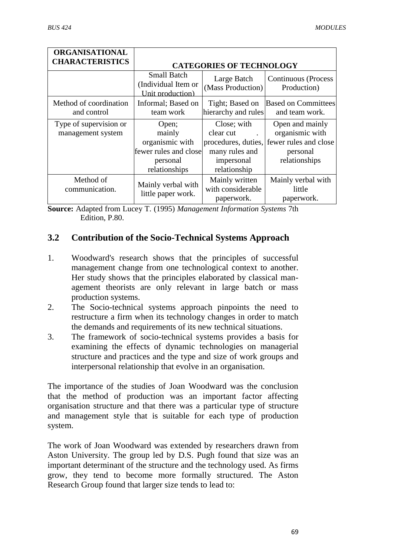| <b>ORGANISATIONAL</b><br><b>CHARACTERISTICS</b> | <b>CATEGORIES OF TECHNOLOGY</b>                                                          |                                                                                                 |                                                                                          |
|-------------------------------------------------|------------------------------------------------------------------------------------------|-------------------------------------------------------------------------------------------------|------------------------------------------------------------------------------------------|
|                                                 | <b>Small Batch</b><br>(Individual Item or<br>Unit production)                            | Large Batch<br>(Mass Production)                                                                | Continuous (Process<br>Production)                                                       |
| Method of coordination<br>and control           | Informal; Based on<br>team work                                                          | Tight; Based on<br>hierarchy and rules                                                          | <b>Based on Committees</b><br>and team work.                                             |
| Type of supervision or<br>management system     | Open;<br>mainly<br>organismic with<br>fewer rules and close<br>personal<br>relationships | Close; with<br>clear cut<br>procedures, duties,<br>many rules and<br>impersonal<br>relationship | Open and mainly<br>organismic with<br>fewer rules and close<br>personal<br>relationships |
| Method of<br>communication.                     | Mainly verbal with<br>little paper work.                                                 | Mainly written<br>with considerable<br>paperwork.                                               | Mainly verbal with<br>little<br>paperwork.                                               |

**Source:** Adapted from Lucey T. (1995) *Management Information Systems* 7th Edition, P.80.

# **3.2 Contribution of the Socio-Technical Systems Approach**

- 1. Woodward's research shows that the principles of successful management change from one technological context to another. Her study shows that the principles elaborated by classical management theorists are only relevant in large batch or mass production systems.
- 2. The Socio-technical systems approach pinpoints the need to restructure a firm when its technology changes in order to match the demands and requirements of its new technical situations.
- 3. The framework of socio-technical systems provides a basis for examining the effects of dynamic technologies on managerial structure and practices and the type and size of work groups and interpersonal relationship that evolve in an organisation.

The importance of the studies of Joan Woodward was the conclusion that the method of production was an important factor affecting organisation structure and that there was a particular type of structure and management style that is suitable for each type of production system.

The work of Joan Woodward was extended by researchers drawn from Aston University. The group led by D.S. Pugh found that size was an important determinant of the structure and the technology used. As firms grow, they tend to become more formally structured. The Aston Research Group found that larger size tends to lead to: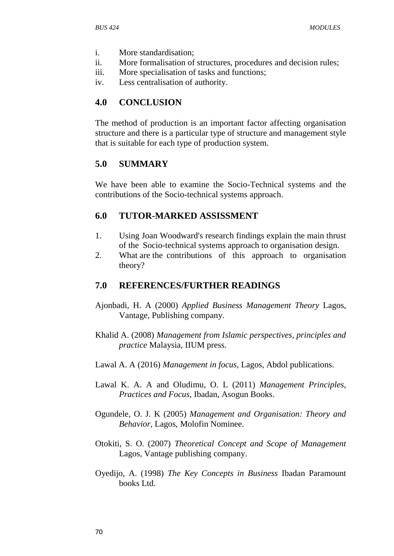- i. More standardisation;
- ii. More formalisation of structures, procedures and decision rules;
- iii. More specialisation of tasks and functions;
- iv. Less centralisation of authority.

# **4.0 CONCLUSION**

The method of production is an important factor affecting organisation structure and there is a particular type of structure and management style that is suitable for each type of production system.

# **5.0 SUMMARY**

We have been able to examine the Socio-Technical systems and the contributions of the Socio-technical systems approach.

# **6.0 TUTOR-MARKED ASSISSMENT**

- 1. Using Joan Woodward's research findings explain the main thrust of the Socio-technical systems approach to organisation design.
- 2. What are the contributions of this approach to organisation theory?

# **7.0 REFERENCES/FURTHER READINGS**

- Ajonbadi, H. A (2000) *Applied Business Management Theory* Lagos, Vantage, Publishing company.
- Khalid A. (2008) *Management from Islamic perspectives, principles and practice* Malaysia, IIUM press.
- Lawal A. A (2016) *Management in focus*, Lagos, Abdol publications.
- Lawal K. A. A and Oludimu, O. L (2011) *Management Principles, Practices and Focus*, Ibadan, Asogun Books.
- Ogundele, O. J. K (2005) *Management and Organisation: Theory and Behavior,* Lagos, Molofin Nominee.
- Otokiti, S. O. (2007) *Theoretical Concept and Scope of Management*  Lagos, Vantage publishing company.
- Oyedijo, A. (1998) *The Key Concepts in Business* Ibadan Paramount books Ltd.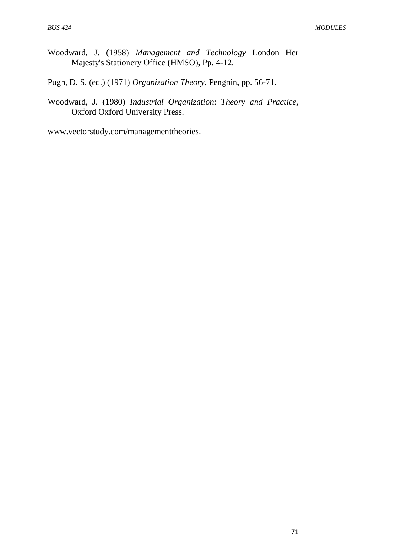Woodward, J. (1958) *Management and Technology* London Her Majesty's Stationery Office (HMSO), Pp. 4-12.

Pugh, D. S. (ed.) (1971) *Organization Theory*, Pengnin, pp. 56-71.

Woodward, J. (1980) *Industrial Organization*: *Theory and Practice*, Oxford Oxford University Press.

[www.vectorstudy.com/managementtheories.](http://www.vectorstudy.com/managementtheories)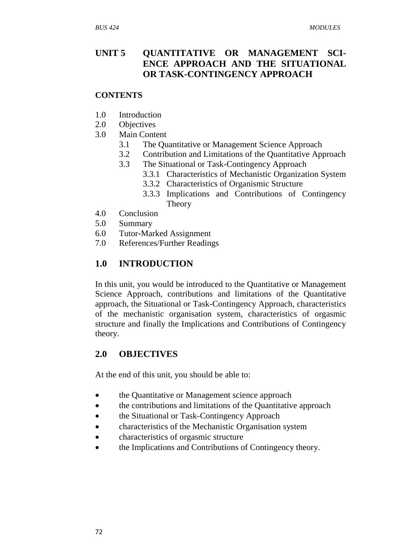# **UNIT 5 QUANTITATIVE OR MANAGEMENT SCI-ENCE APPROACH AND THE SITUATIONAL OR TASK-CONTINGENCY APPROACH**

#### **CONTENTS**

- 1.0 Introduction
- 2.0 Objectives
- 3.0 Main Content
	- 3.1 The Quantitative or Management Science Approach
	- 3.2 Contribution and Limitations of the Quantitative Approach
	- 3.3 The Situational or Task-Contingency Approach
		- 3.3.1 Characteristics of Mechanistic Organization System
		- 3.3.2 Characteristics of Organismic Structure
		- 3.3.3 Implications and Contributions of Contingency Theory
- 4.0 Conclusion
- 5.0 Summary
- 6.0 Tutor-Marked Assignment
- 7.0 References/Further Readings

# **1.0 INTRODUCTION**

In this unit, you would be introduced to the Quantitative or Management Science Approach, contributions and limitations of the Quantitative approach, the Situational or Task-Contingency Approach, characteristics of the mechanistic organisation system, characteristics of orgasmic structure and finally the Implications and Contributions of Contingency theory.

# **2.0 OBJECTIVES**

At the end of this unit, you should be able to:

- the Quantitative or Management science approach
- the contributions and limitations of the Quantitative approach
- the Situational or Task-Contingency Approach
- characteristics of the Mechanistic Organisation system
- characteristics of orgasmic structure
- the Implications and Contributions of Contingency theory.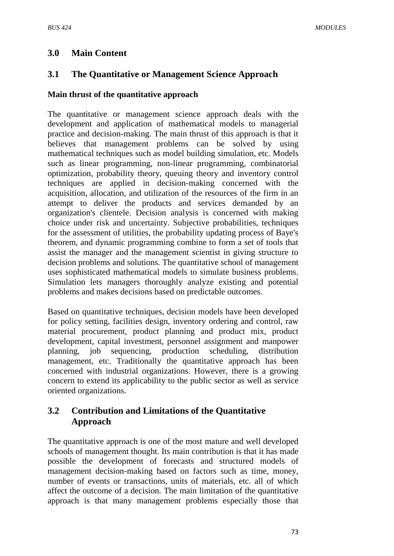# **3.0 Main Content**

# **3.1 The Quantitative or Management Science Approach**

#### **Main thrust of the quantitative approach**

The quantitative or management science approach deals with the development and application of mathematical models to managerial practice and decision-making. The main thrust of this approach is that it believes that management problems can be solved by using mathematical techniques such as model building simulation, etc. Models such as linear programming, non-linear programming, combinatorial optimization, probability theory, queuing theory and inventory control techniques are applied in decision-making concerned with the acquisition, allocation, and utilization of the resources of the firm in an attempt to deliver the products and services demanded by an organization's clientele. Decision analysis is concerned with making choice under risk and uncertainty. Subjective probabilities, techniques for the assessment of utilities, the probability updating process of Baye's theorem, and dynamic programming combine to form a set of tools that assist the manager and the management scientist in giving structure to decision problems and solutions. The quantitative school of management uses sophisticated mathematical models to simulate business problems. Simulation lets managers thoroughly analyze existing and potential problems and makes decisions based on predictable outcomes.

Based on quantitative techniques, decision models have been developed for policy setting, facilities design, inventory ordering and control, raw material procurement, product planning and product mix, product development, capital investment, personnel assignment and manpower planning, job sequencing, production scheduling, distribution management, etc. Traditionally the quantitative approach has been concerned with industrial organizations. However, there is a growing concern to extend its applicability to the public sector as well as service oriented organizations.

# **3.2 Contribution and Limitations of the Quantitative Approach**

The quantitative approach is one of the most mature and well developed schools of management thought. Its main contribution is that it has made possible the development of forecasts and structured models of management decision-making based on factors such as time, money, number of events or transactions, units of materials, etc. all of which affect the outcome of a decision. The main limitation of the quantitative approach is that many management problems especially those that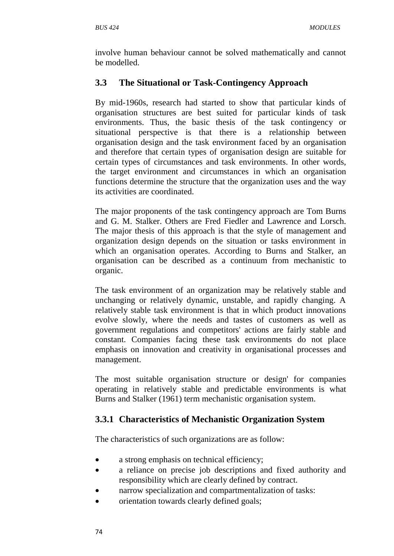involve human behaviour cannot be solved mathematically and cannot be modelled.

# **3.3 The Situational or Task-Contingency Approach**

By mid-1960s, research had started to show that particular kinds of organisation structures are best suited for particular kinds of task environments. Thus, the basic thesis of the task contingency or situational perspective is that there is a relationship between organisation design and the task environment faced by an organisation and therefore that certain types of organisation design are suitable for certain types of circumstances and task environments. In other words, the target environment and circumstances in which an organisation functions determine the structure that the organization uses and the way its activities are coordinated.

The major proponents of the task contingency approach are Tom Burns and G. M. Stalker. Others are Fred Fiedler and Lawrence and Lorsch. The major thesis of this approach is that the style of management and organization design depends on the situation or tasks environment in which an organisation operates. According to Burns and Stalker, an organisation can be described as a continuum from mechanistic to organic.

The task environment of an organization may be relatively stable and unchanging or relatively dynamic, unstable, and rapidly changing. A relatively stable task environment is that in which product innovations evolve slowly, where the needs and tastes of customers as well as government regulations and competitors' actions are fairly stable and constant. Companies facing these task environments do not place emphasis on innovation and creativity in organisational processes and management.

The most suitable organisation structure or design' for companies operating in relatively stable and predictable environments is what Burns and Stalker (1961) term mechanistic organisation system.

# **3.3.1 Characteristics of Mechanistic Organization System**

The characteristics of such organizations are as follow:

- a strong emphasis on technical efficiency;
- a reliance on precise job descriptions and fixed authority and responsibility which are clearly defined by contract.
- narrow specialization and compartmentalization of tasks:
- orientation towards clearly defined goals;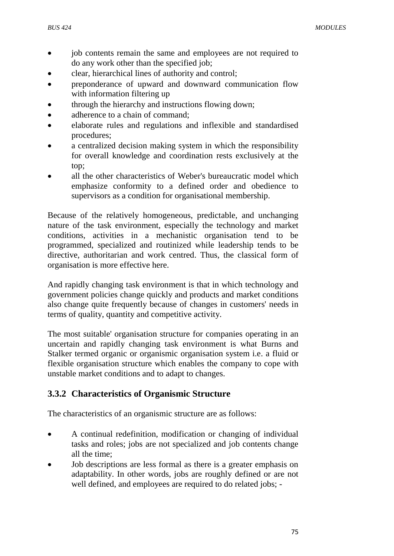- job contents remain the same and employees are not required to do any work other than the specified job;
- clear, hierarchical lines of authority and control;
- preponderance of upward and downward communication flow with information filtering up
- through the hierarchy and instructions flowing down;
- adherence to a chain of command;
- elaborate rules and regulations and inflexible and standardised procedures;
- a centralized decision making system in which the responsibility for overall knowledge and coordination rests exclusively at the top;
- all the other characteristics of Weber's bureaucratic model which emphasize conformity to a defined order and obedience to supervisors as a condition for organisational membership.

Because of the relatively homogeneous, predictable, and unchanging nature of the task environment, especially the technology and market conditions, activities in a mechanistic organisation tend to be programmed, specialized and routinized while leadership tends to be directive, authoritarian and work centred. Thus, the classical form of organisation is more effective here.

And rapidly changing task environment is that in which technology and government policies change quickly and products and market conditions also change quite frequently because of changes in customers' needs in terms of quality, quantity and competitive activity.

The most suitable' organisation structure for companies operating in an uncertain and rapidly changing task environment is what Burns and Stalker termed organic or organismic organisation system i.e. a fluid or flexible organisation structure which enables the company to cope with unstable market conditions and to adapt to changes.

# **3.3.2 Characteristics of Organismic Structure**

The characteristics of an organismic structure are as follows:

- A continual redefinition, modification or changing of individual tasks and roles; jobs are not specialized and job contents change all the time;
- Job descriptions are less formal as there is a greater emphasis on adaptability. In other words, jobs are roughly defined or are not well defined, and employees are required to do related jobs; -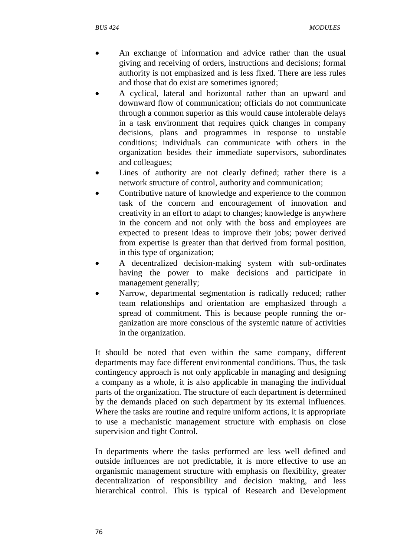- An exchange of information and advice rather than the usual giving and receiving of orders, instructions and decisions; formal authority is not emphasized and is less fixed. There are less rules and those that do exist are sometimes ignored;
- A cyclical, lateral and horizontal rather than an upward and downward flow of communication; officials do not communicate through a common superior as this would cause intolerable delays in a task environment that requires quick changes in company decisions, plans and programmes in response to unstable conditions; individuals can communicate with others in the organization besides their immediate supervisors, subordinates and colleagues;
- Lines of authority are not clearly defined; rather there is a network structure of control, authority and communication;
- Contributive nature of knowledge and experience to the common task of the concern and encouragement of innovation and creativity in an effort to adapt to changes; knowledge is anywhere in the concern and not only with the boss and employees are expected to present ideas to improve their jobs; power derived from expertise is greater than that derived from formal position, in this type of organization;
- A decentralized decision-making system with sub-ordinates having the power to make decisions and participate in management generally;
- Narrow, departmental segmentation is radically reduced; rather team relationships and orientation are emphasized through a spread of commitment. This is because people running the organization are more conscious of the systemic nature of activities in the organization.

It should be noted that even within the same company, different departments may face different environmental conditions. Thus, the task contingency approach is not only applicable in managing and designing a company as a whole, it is also applicable in managing the individual parts of the organization. The structure of each department is determined by the demands placed on such department by its external influences. Where the tasks are routine and require uniform actions, it is appropriate to use a mechanistic management structure with emphasis on close supervision and tight Control.

In departments where the tasks performed are less well defined and outside influences are not predictable, it is more effective to use an organismic management structure with emphasis on flexibility, greater decentralization of responsibility and decision making, and less hierarchical control. This is typical of Research and Development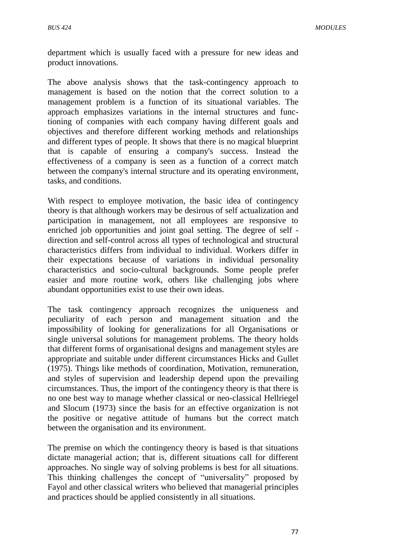department which is usually faced with a pressure for new ideas and product innovations.

The above analysis shows that the task-contingency approach to management is based on the notion that the correct solution to a management problem is a function of its situational variables. The approach emphasizes variations in the internal structures and functioning of companies with each company having different goals and objectives and therefore different working methods and relationships and different types of people. It shows that there is no magical blueprint that is capable of ensuring a company's success. Instead the effectiveness of a company is seen as a function of a correct match between the company's internal structure and its operating environment, tasks, and conditions.

With respect to employee motivation, the basic idea of contingency theory is that although workers may be desirous of self actualization and participation in management, not all employees are responsive to enriched job opportunities and joint goal setting. The degree of self direction and self-control across all types of technological and structural characteristics differs from individual to individual. Workers differ in their expectations because of variations in individual personality characteristics and socio-cultural backgrounds. Some people prefer easier and more routine work, others like challenging jobs where abundant opportunities exist to use their own ideas.

The task contingency approach recognizes the uniqueness and peculiarity of each person and management situation and the impossibility of looking for generalizations for all Organisations or single universal solutions for management problems. The theory holds that different forms of organisational designs and management styles are appropriate and suitable under different circumstances Hicks and Gullet (1975). Things like methods of coordination, Motivation, remuneration, and styles of supervision and leadership depend upon the prevailing circumstances. Thus, the import of the contingency theory is that there is no one best way to manage whether classical or neo-classical Hellriegel and Slocum (1973) since the basis for an effective organization is not the positive or negative attitude of humans but the correct match between the organisation and its environment.

The premise on which the contingency theory is based is that situations dictate managerial action; that is, different situations call for different approaches. No single way of solving problems is best for all situations. This thinking challenges the concept of "universality" proposed by Fayol and other classical writers who believed that managerial principles and practices should be applied consistently in all situations.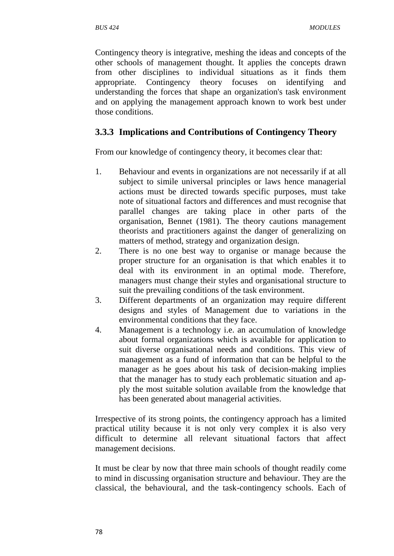Contingency theory is integrative, meshing the ideas and concepts of the other schools of management thought. It applies the concepts drawn from other disciplines to individual situations as it finds them appropriate. Contingency theory focuses on identifying and understanding the forces that shape an organization's task environment and on applying the management approach known to work best under those conditions.

# **3.3.3 Implications and Contributions of Contingency Theory**

From our knowledge of contingency theory, it becomes clear that:

- 1. Behaviour and events in organizations are not necessarily if at all subject to simile universal principles or laws hence managerial actions must be directed towards specific purposes, must take note of situational factors and differences and must recognise that parallel changes are taking place in other parts of the organisation, Bennet (1981). The theory cautions management theorists and practitioners against the danger of generalizing on matters of method, strategy and organization design.
- 2. There is no one best way to organise or manage because the proper structure for an organisation is that which enables it to deal with its environment in an optimal mode. Therefore, managers must change their styles and organisational structure to suit the prevailing conditions of the task environment.
- 3. Different departments of an organization may require different designs and styles of Management due to variations in the environmental conditions that they face.
- 4. Management is a technology i.e. an accumulation of knowledge about formal organizations which is available for application to suit diverse organisational needs and conditions. This view of management as a fund of information that can be helpful to the manager as he goes about his task of decision-making implies that the manager has to study each problematic situation and apply the most suitable solution available from the knowledge that has been generated about managerial activities.

Irrespective of its strong points, the contingency approach has a limited practical utility because it is not only very complex it is also very difficult to determine all relevant situational factors that affect management decisions.

It must be clear by now that three main schools of thought readily come to mind in discussing organisation structure and behaviour. They are the classical, the behavioural, and the task-contingency schools. Each of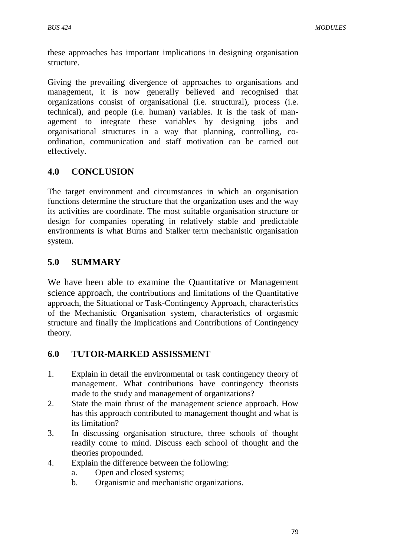these approaches has important implications in designing organisation structure.

Giving the prevailing divergence of approaches to organisations and management, it is now generally believed and recognised that organizations consist of organisational (i.e. structural), process (i.e. technical), and people (i.e. human) variables. It is the task of management to integrate these variables by designing jobs and organisational structures in a way that planning, controlling, coordination, communication and staff motivation can be carried out effectively.

# **4.0 CONCLUSION**

The target environment and circumstances in which an organisation functions determine the structure that the organization uses and the way its activities are coordinate. The most suitable organisation structure or design for companies operating in relatively stable and predictable environments is what Burns and Stalker term mechanistic organisation system.

# **5.0 SUMMARY**

We have been able to examine the Quantitative or Management science approach, the contributions and limitations of the Quantitative approach, the Situational or Task-Contingency Approach, characteristics of the Mechanistic Organisation system, characteristics of orgasmic structure and finally the Implications and Contributions of Contingency theory.

# **6.0 TUTOR-MARKED ASSISSMENT**

- 1. Explain in detail the environmental or task contingency theory of management. What contributions have contingency theorists made to the study and management of organizations?
- 2. State the main thrust of the management science approach. How has this approach contributed to management thought and what is its limitation?
- 3. In discussing organisation structure, three schools of thought readily come to mind. Discuss each school of thought and the theories propounded.
- 4. Explain the difference between the following:
	- a. Open and closed systems;
	- b. Organismic and mechanistic organizations.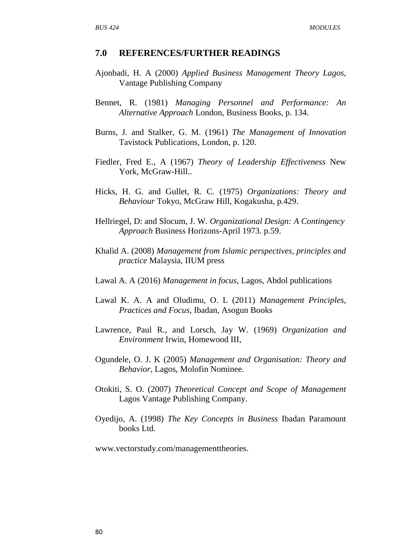#### **7.0 REFERENCES/FURTHER READINGS**

- Ajonbadi, H. A (2000) *Applied Business Management Theory Lagos*, Vantage Publishing Company
- Bennet, R. (1981) *Managing Personnel and Performance: An Alternative Approach* London, Business Books, p. 134.
- Burns, J. and Stalker, G. M. (1961) *The Management of Innovation* Tavistock Publications, London, p. 120.
- Fiedler, Fred E., A (1967) *Theory of Leadership Effectiveness* New York, McGraw-Hill..
- Hicks, H. G. and Gullet, R. C. (1975) *Organizations: Theory and Behaviour* Tokyo, McGraw Hill, Kogakusha, p.429.
- Hellriegel, D: and Slocum, J. W. *Organizational Design: A Contingency Approach* Business Horizons-April 1973. p.59.
- Khalid A. (2008) *Management from Islamic perspectives, principles and practice* Malaysia, IIUM press
- Lawal A. A (2016) *Management in focus*, Lagos, Abdol publications
- Lawal K. A. A and Oludimu, O. L (2011) *Management Principles, Practices and Focus*, Ibadan, Asogun Books
- Lawrence, Paul R., and Lorsch, Jay W. (1969) *Organization and Environment* Irwin, Homewood III,
- Ogundele, O. J. K (2005) *Management and Organisation: Theory and Behavior,* Lagos, Molofin Nominee.
- Otokiti, S. O. (2007) *Theoretical Concept and Scope of Management*  Lagos Vantage Publishing Company.
- Oyedijo, A. (1998) *The Key Concepts in Business* Ibadan Paramount books Ltd.

[www.vectorstudy.com/managementtheories.](http://www.vectorstudy.com/managementtheories)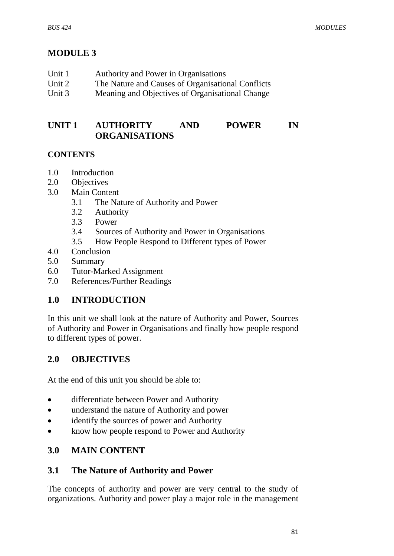# **MODULE 3**

| Unit 1   | Authority and Power in Organisations              |
|----------|---------------------------------------------------|
| Unit 2   | The Nature and Causes of Organisational Conflicts |
| Unit $3$ | Meaning and Objectives of Organisational Change   |

# **UNIT 1 AUTHORITY AND POWER IN ORGANISATIONS**

#### **CONTENTS**

- 1.0 Introduction
- 2.0 Objectives
- 3.0 Main Content
	- 3.1 The Nature of Authority and Power
	- 3.2 Authority
	- 3.3 Power
	- 3.4 Sources of Authority and Power in Organisations
	- 3.5 How People Respond to Different types of Power
- 4.0 Conclusion
- 5.0 Summary
- 6.0 Tutor-Marked Assignment
- 7.0 References/Further Readings

# **1.0 INTRODUCTION**

In this unit we shall look at the nature of Authority and Power, Sources of Authority and Power in Organisations and finally how people respond to different types of power.

# **2.0 OBJECTIVES**

At the end of this unit you should be able to:

- differentiate between Power and Authority
- understand the nature of Authority and power
- identify the sources of power and Authority
- know how people respond to Power and Authority

# **3.0 MAIN CONTENT**

# **3.1 The Nature of Authority and Power**

The concepts of authority and power are very central to the study of organizations. Authority and power play a major role in the management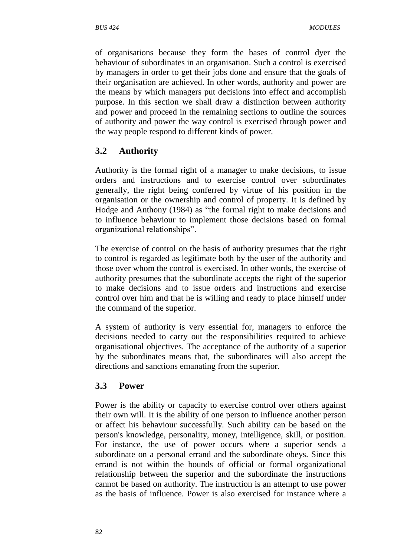of organisations because they form the bases of control dyer the behaviour of subordinates in an organisation. Such a control is exercised by managers in order to get their jobs done and ensure that the goals of their organisation are achieved. In other words, authority and power are the means by which managers put decisions into effect and accomplish purpose. In this section we shall draw a distinction between authority and power and proceed in the remaining sections to outline the sources of authority and power the way control is exercised through power and the way people respond to different kinds of power.

#### **3.2 Authority**

Authority is the formal right of a manager to make decisions, to issue orders and instructions and to exercise control over subordinates generally, the right being conferred by virtue of his position in the organisation or the ownership and control of property. It is defined by Hodge and Anthony (1984) as "the formal right to make decisions and to influence behaviour to implement those decisions based on formal organizational relationships".

The exercise of control on the basis of authority presumes that the right to control is regarded as legitimate both by the user of the authority and those over whom the control is exercised. In other words, the exercise of authority presumes that the subordinate accepts the right of the superior to make decisions and to issue orders and instructions and exercise control over him and that he is willing and ready to place himself under the command of the superior.

A system of authority is very essential for, managers to enforce the decisions needed to carry out the responsibilities required to achieve organisational objectives. The acceptance of the authority of a superior by the subordinates means that, the subordinates will also accept the directions and sanctions emanating from the superior.

#### **3.3 Power**

Power is the ability or capacity to exercise control over others against their own will. It is the ability of one person to influence another person or affect his behaviour successfully. Such ability can be based on the person's knowledge, personality, money, intelligence, skill, or position. For instance, the use of power occurs where a superior sends a subordinate on a personal errand and the subordinate obeys. Since this errand is not within the bounds of official or formal organizational relationship between the superior and the subordinate the instructions cannot be based on authority. The instruction is an attempt to use power as the basis of influence. Power is also exercised for instance where a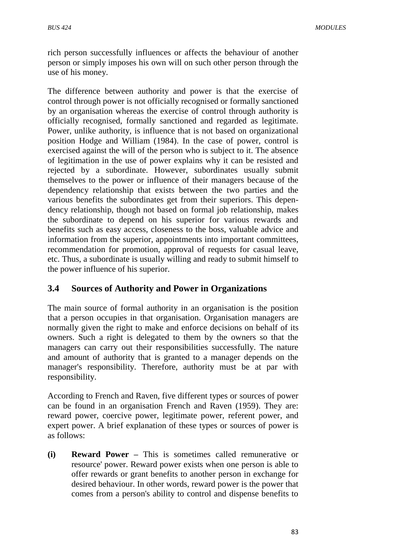rich person successfully influences or affects the behaviour of another person or simply imposes his own will on such other person through the use of his money.

The difference between authority and power is that the exercise of control through power is not officially recognised or formally sanctioned by an organisation whereas the exercise of control through authority is officially recognised, formally sanctioned and regarded as legitimate. Power, unlike authority, is influence that is not based on organizational position Hodge and William (1984). In the case of power, control is exercised against the will of the person who is subject to it. The absence of legitimation in the use of power explains why it can be resisted and rejected by a subordinate. However, subordinates usually submit themselves to the power or influence of their managers because of the dependency relationship that exists between the two parties and the various benefits the subordinates get from their superiors. This dependency relationship, though not based on formal job relationship, makes the subordinate to depend on his superior for various rewards and benefits such as easy access, closeness to the boss, valuable advice and information from the superior, appointments into important committees, recommendation for promotion, approval of requests for casual leave, etc. Thus, a subordinate is usually willing and ready to submit himself to the power influence of his superior.

#### **3.4 Sources of Authority and Power in Organizations**

The main source of formal authority in an organisation is the position that a person occupies in that organisation. Organisation managers are normally given the right to make and enforce decisions on behalf of its owners. Such a right is delegated to them by the owners so that the managers can carry out their responsibilities successfully. The nature and amount of authority that is granted to a manager depends on the manager's responsibility. Therefore, authority must be at par with responsibility.

According to French and Raven, five different types or sources of power can be found in an organisation French and Raven (1959). They are: reward power, coercive power, legitimate power, referent power, and expert power. A brief explanation of these types or sources of power is as follows:

**(i) Reward Power –** This is sometimes called remunerative or resource' power. Reward power exists when one person is able to offer rewards or grant benefits to another person in exchange for desired behaviour. In other words, reward power is the power that comes from a person's ability to control and dispense benefits to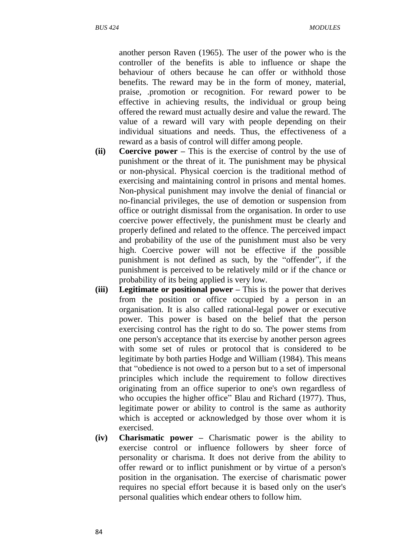another person Raven (1965). The user of the power who is the controller of the benefits is able to influence or shape the behaviour of others because he can offer or withhold those benefits. The reward may be in the form of money, material, praise, .promotion or recognition. For reward power to be effective in achieving results, the individual or group being offered the reward must actually desire and value the reward. The value of a reward will vary with people depending on their individual situations and needs. Thus, the effectiveness of a reward as a basis of control will differ among people.

- **(ii) Coercive power –** This is the exercise of control by the use of punishment or the threat of it. The punishment may be physical or non-physical. Physical coercion is the traditional method of exercising and maintaining control in prisons and mental homes. Non-physical punishment may involve the denial of financial or no-financial privileges, the use of demotion or suspension from office or outright dismissal from the organisation. In order to use coercive power effectively, the punishment must be clearly and properly defined and related to the offence. The perceived impact and probability of the use of the punishment must also be very high. Coercive power will not be effective if the possible punishment is not defined as such, by the "offender", if the punishment is perceived to be relatively mild or if the chance or probability of its being applied is very low.
- **(iii) Legitimate or positional power –** This is the power that derives from the position or office occupied by a person in an organisation. It is also called rational-legal power or executive power. This power is based on the belief that the person exercising control has the right to do so. The power stems from one person's acceptance that its exercise by another person agrees with some set of rules or protocol that is considered to be legitimate by both parties Hodge and William (1984). This means that "obedience is not owed to a person but to a set of impersonal principles which include the requirement to follow directives originating from an office superior to one's own regardless of who occupies the higher office" Blau and Richard (1977). Thus, legitimate power or ability to control is the same as authority which is accepted or acknowledged by those over whom it is exercised.
- **(iv) Charismatic power –** Charismatic power is the ability to exercise control or influence followers by sheer force of personality or charisma. It does not derive from the ability to offer reward or to inflict punishment or by virtue of a person's position in the organisation. The exercise of charismatic power requires no special effort because it is based only on the user's personal qualities which endear others to follow him.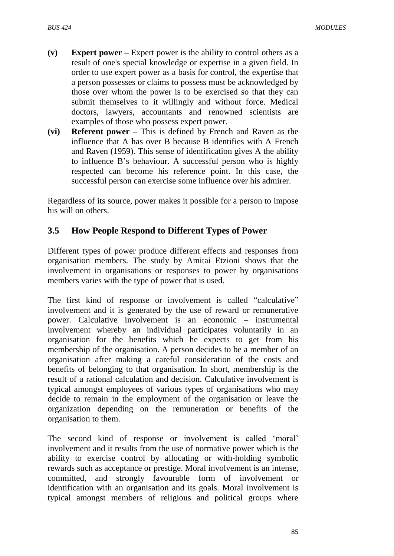- **(v) Expert power –** Expert power is the ability to control others as a result of one's special knowledge or expertise in a given field. In order to use expert power as a basis for control, the expertise that a person possesses or claims to possess must be acknowledged by those over whom the power is to be exercised so that they can submit themselves to it willingly and without force. Medical doctors, lawyers, accountants and renowned scientists are examples of those who possess expert power.
- **(vi) Referent power –** This is defined by French and Raven as the influence that A has over B because B identifies with A French and Raven (1959). This sense of identification gives A the ability to influence B"s behaviour. A successful person who is highly respected can become his reference point. In this case, the successful person can exercise some influence over his admirer.

Regardless of its source, power makes it possible for a person to impose his will on others.

#### **3.5 How People Respond to Different Types of Power**

Different types of power produce different effects and responses from organisation members. The study by Amitai Etzioni shows that the involvement in organisations or responses to power by organisations members varies with the type of power that is used.

The first kind of response or involvement is called "calculative" involvement and it is generated by the use of reward or remunerative power. Calculative involvement is an economic – instrumental involvement whereby an individual participates voluntarily in an organisation for the benefits which he expects to get from his membership of the organisation. A person decides to be a member of an organisation after making a careful consideration of the costs and benefits of belonging to that organisation. In short, membership is the result of a rational calculation and decision. Calculative involvement is typical amongst employees of various types of organisations who may decide to remain in the employment of the organisation or leave the organization depending on the remuneration or benefits of the organisation to them.

The second kind of response or involvement is called 'moral' involvement and it results from the use of normative power which is the ability to exercise control by allocating or with-holding symbolic rewards such as acceptance or prestige. Moral involvement is an intense, committed, and strongly favourable form of involvement or identification with an organisation and its goals. Moral involvement is typical amongst members of religious and political groups where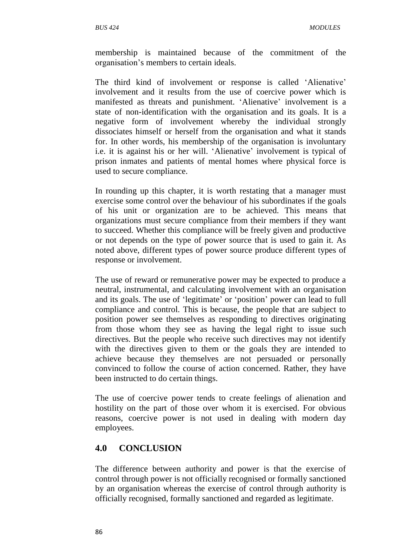membership is maintained because of the commitment of the organisation"s members to certain ideals.

The third kind of involvement or response is called 'Alienative' involvement and it results from the use of coercive power which is manifested as threats and punishment. 'Alienative' involvement is a state of non-identification with the organisation and its goals. It is a negative form of involvement whereby the individual strongly dissociates himself or herself from the organisation and what it stands for. In other words, his membership of the organisation is involuntary i.e. it is against his or her will. 'Alienative' involvement is typical of prison inmates and patients of mental homes where physical force is used to secure compliance.

In rounding up this chapter, it is worth restating that a manager must exercise some control over the behaviour of his subordinates if the goals of his unit or organization are to be achieved. This means that organizations must secure compliance from their members if they want to succeed. Whether this compliance will be freely given and productive or not depends on the type of power source that is used to gain it. As noted above, different types of power source produce different types of response or involvement.

The use of reward or remunerative power may be expected to produce a neutral, instrumental, and calculating involvement with an organisation and its goals. The use of 'legitimate' or 'position' power can lead to full compliance and control. This is because, the people that are subject to position power see themselves as responding to directives originating from those whom they see as having the legal right to issue such directives. But the people who receive such directives may not identify with the directives given to them or the goals they are intended to achieve because they themselves are not persuaded or personally convinced to follow the course of action concerned. Rather, they have been instructed to do certain things.

The use of coercive power tends to create feelings of alienation and hostility on the part of those over whom it is exercised. For obvious reasons, coercive power is not used in dealing with modern day employees.

# **4.0 CONCLUSION**

The difference between authority and power is that the exercise of control through power is not officially recognised or formally sanctioned by an organisation whereas the exercise of control through authority is officially recognised, formally sanctioned and regarded as legitimate.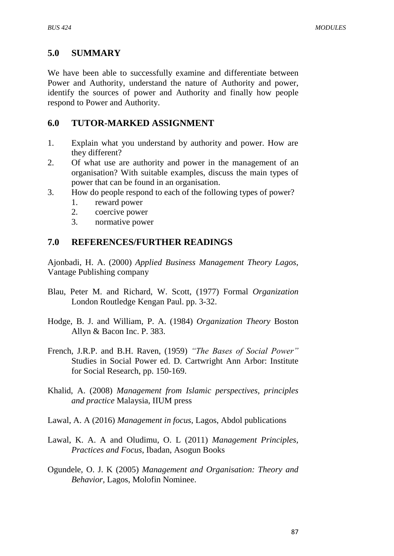#### **5.0 SUMMARY**

We have been able to successfully examine and differentiate between Power and Authority, understand the nature of Authority and power, identify the sources of power and Authority and finally how people respond to Power and Authority.

#### **6.0 TUTOR-MARKED ASSIGNMENT**

- 1. Explain what you understand by authority and power. How are they different?
- 2. Of what use are authority and power in the management of an organisation? With suitable examples, discuss the main types of power that can be found in an organisation.
- 3. How do people respond to each of the following types of power?
	- 1. reward power
	- 2. coercive power
	- 3. normative power

#### **7.0 REFERENCES/FURTHER READINGS**

Ajonbadi, H. A. (2000) *Applied Business Management Theory Lagos*, Vantage Publishing company

- Blau, Peter M. and Richard, W. Scott, (1977) Formal *Organization* London Routledge Kengan Paul. pp. 3-32.
- Hodge, B. J. and William, P. A. (1984) *Organization Theory* Boston Allyn & Bacon Inc. P. 383.
- French, J.R.P. and B.H. Raven, (1959) *"The Bases of Social Power"* Studies in Social Power ed. D. Cartwright Ann Arbor: Institute for Social Research, pp. 150-169.
- Khalid, A. (2008) *Management from Islamic perspectives, principles and practice* Malaysia, IIUM press
- Lawal, A. A (2016) *Management in focus*, Lagos, Abdol publications
- Lawal, K. A. A and Oludimu, O. L (2011) *Management Principles, Practices and Focus*, Ibadan, Asogun Books
- Ogundele, O. J. K (2005) *Management and Organisation: Theory and Behavior,* Lagos, Molofin Nominee.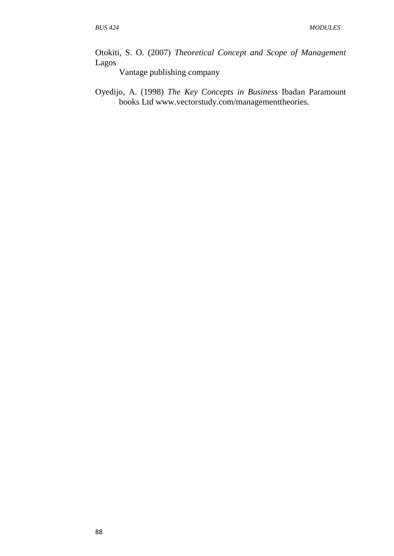Otokiti, S. O. (2007) *Theoretical Concept and Scope of Management*  Lagos

Vantage publishing company

Oyedijo, A. (1998) *The Key Concepts in Business* Ibadan Paramount books Ltd [www.vectorstudy.com/managementtheories.](http://www.vectorstudy.com/managementtheories)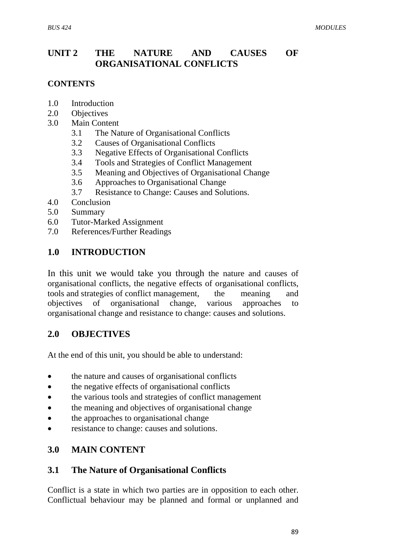# **UNIT 2 THE NATURE AND CAUSES OF ORGANISATIONAL CONFLICTS**

#### **CONTENTS**

- 1.0 Introduction
- 2.0 Objectives
- 3.0 Main Content
	- 3.1 The Nature of Organisational Conflicts
	- 3.2 Causes of Organisational Conflicts
	- 3.3 Negative Effects of Organisational Conflicts
	- 3.4 Tools and Strategies of Conflict Management
	- 3.5 Meaning and Objectives of Organisational Change
	- 3.6 Approaches to Organisational Change
	- 3.7 Resistance to Change: Causes and Solutions.
- 4.0 Conclusion
- 5.0 Summary
- 6.0 Tutor-Marked Assignment
- 7.0 References/Further Readings

# **1.0 INTRODUCTION**

In this unit we would take you through the nature and causes of organisational conflicts, the negative effects of organisational conflicts, tools and strategies of conflict management, the meaning and objectives of organisational change, various approaches to organisational change and resistance to change: causes and solutions.

# **2.0 OBJECTIVES**

At the end of this unit, you should be able to understand:

- the nature and causes of organisational conflicts
- the negative effects of organisational conflicts
- the various tools and strategies of conflict management
- the meaning and objectives of organisational change
- the approaches to organisational change
- resistance to change: causes and solutions.

# **3.0 MAIN CONTENT**

# **3.1 The Nature of Organisational Conflicts**

Conflict is a state in which two parties are in opposition to each other. Conflictual behaviour may be planned and formal or unplanned and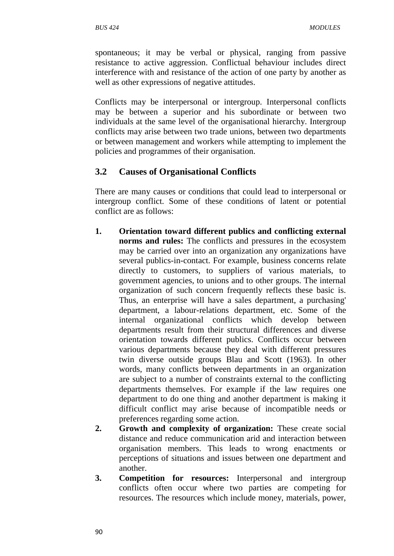spontaneous; it may be verbal or physical, ranging from passive resistance to active aggression. Conflictual behaviour includes direct interference with and resistance of the action of one party by another as well as other expressions of negative attitudes.

Conflicts may be interpersonal or intergroup. Interpersonal conflicts may be between a superior and his subordinate or between two individuals at the same level of the organisational hierarchy. Intergroup conflicts may arise between two trade unions, between two departments or between management and workers while attempting to implement the policies and programmes of their organisation.

# **3.2 Causes of Organisational Conflicts**

There are many causes or conditions that could lead to interpersonal or intergroup conflict. Some of these conditions of latent or potential conflict are as follows:

- **1. Orientation toward different publics and conflicting external norms and rules:** The conflicts and pressures in the ecosystem may be carried over into an organization any organizations have several publics-in-contact. For example, business concerns relate directly to customers, to suppliers of various materials, to government agencies, to unions and to other groups. The internal organization of such concern frequently reflects these basic is. Thus, an enterprise will have a sales department, a purchasing' department, a labour-relations department, etc. Some of the internal organizational conflicts which develop between departments result from their structural differences and diverse orientation towards different publics. Conflicts occur between various departments because they deal with different pressures twin diverse outside groups Blau and Scott (1963). In other words, many conflicts between departments in an organization are subject to a number of constraints external to the conflicting departments themselves. For example if the law requires one department to do one thing and another department is making it difficult conflict may arise because of incompatible needs or preferences regarding some action.
- **2. Growth and complexity of organization:** These create social distance and reduce communication arid and interaction between organisation members. This leads to wrong enactments or perceptions of situations and issues between one department and another.
- **3. Competition for resources:** Interpersonal and intergroup conflicts often occur where two parties are competing for resources. The resources which include money, materials, power,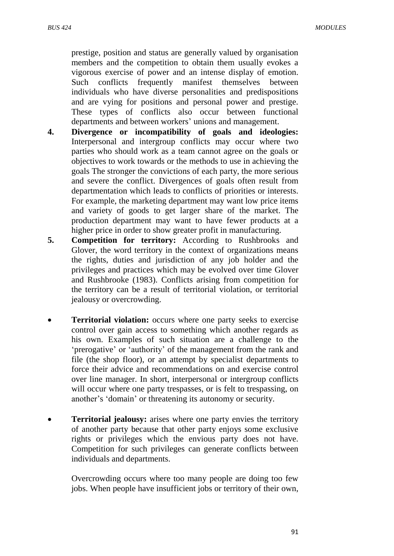prestige, position and status are generally valued by organisation members and the competition to obtain them usually evokes a vigorous exercise of power and an intense display of emotion. Such conflicts frequently manifest themselves between individuals who have diverse personalities and predispositions and are vying for positions and personal power and prestige. These types of conflicts also occur between functional departments and between workers' unions and management.

- **4. Divergence or incompatibility of goals and ideologies:** Interpersonal and intergroup conflicts may occur where two parties who should work as a team cannot agree on the goals or objectives to work towards or the methods to use in achieving the goals The stronger the convictions of each party, the more serious and severe the conflict. Divergences of goals often result from departmentation which leads to conflicts of priorities or interests. For example, the marketing department may want low price items and variety of goods to get larger share of the market. The production department may want to have fewer products at a higher price in order to show greater profit in manufacturing.
- **5. Competition for territory:** According to Rushbrooks and Glover, the word territory in the context of organizations means the rights, duties and jurisdiction of any job holder and the privileges and practices which may be evolved over time Glover and Rushbrooke (1983). Conflicts arising from competition for the territory can be a result of territorial violation, or territorial jealousy or overcrowding.
- **Territorial violation:** occurs where one party seeks to exercise control over gain access to something which another regards as his own. Examples of such situation are a challenge to the "prerogative" or "authority" of the management from the rank and file (the shop floor), or an attempt by specialist departments to force their advice and recommendations on and exercise control over line manager. In short, interpersonal or intergroup conflicts will occur where one party trespasses, or is felt to trespassing, on another"s "domain" or threatening its autonomy or security.
- **Territorial jealousy:** arises where one party envies the territory of another party because that other party enjoys some exclusive rights or privileges which the envious party does not have. Competition for such privileges can generate conflicts between individuals and departments.

Overcrowding occurs where too many people are doing too few jobs. When people have insufficient jobs or territory of their own,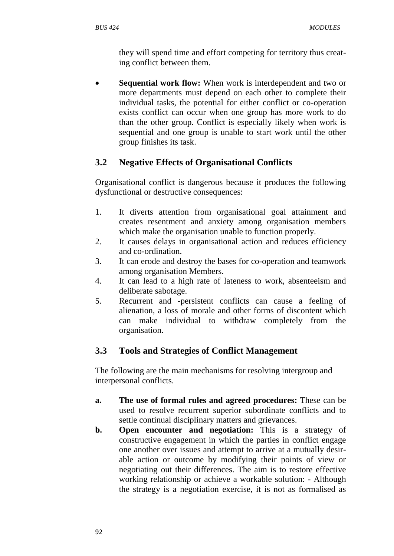they will spend time and effort competing for territory thus creating conflict between them.

 **Sequential work flow:** When work is interdependent and two or more departments must depend on each other to complete their individual tasks, the potential for either conflict or co-operation exists conflict can occur when one group has more work to do than the other group. Conflict is especially likely when work is sequential and one group is unable to start work until the other group finishes its task.

# **3.2 Negative Effects of Organisational Conflicts**

Organisational conflict is dangerous because it produces the following dysfunctional or destructive consequences:

- 1. It diverts attention from organisational goal attainment and creates resentment and anxiety among organisation members which make the organisation unable to function properly.
- 2. It causes delays in organisational action and reduces efficiency and co-ordination.
- 3. It can erode and destroy the bases for co-operation and teamwork among organisation Members.
- 4. It can lead to a high rate of lateness to work, absenteeism and deliberate sabotage.
- 5. Recurrent and -persistent conflicts can cause a feeling of alienation, a loss of morale and other forms of discontent which can make individual to withdraw completely from the organisation.

# **3.3 Tools and Strategies of Conflict Management**

The following are the main mechanisms for resolving intergroup and interpersonal conflicts.

- **a. The use of formal rules and agreed procedures:** These can be used to resolve recurrent superior subordinate conflicts and to settle continual disciplinary matters and grievances.
- **b.** Open encounter and negotiation: This is a strategy of constructive engagement in which the parties in conflict engage one another over issues and attempt to arrive at a mutually desirable action or outcome by modifying their points of view or negotiating out their differences. The aim is to restore effective working relationship or achieve a workable solution: - Although the strategy is a negotiation exercise, it is not as formalised as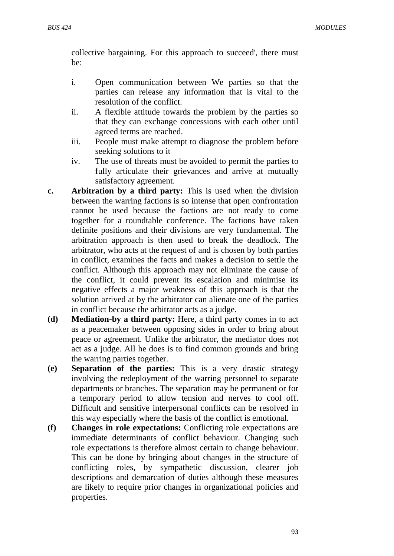collective bargaining. For this approach to succeed', there must be:

- i. Open communication between We parties so that the parties can release any information that is vital to the resolution of the conflict.
- ii. A flexible attitude towards the problem by the parties so that they can exchange concessions with each other until agreed terms are reached.
- iii. People must make attempt to diagnose the problem before seeking solutions to it
- iv. The use of threats must be avoided to permit the parties to fully articulate their grievances and arrive at mutually satisfactory agreement.
- **c. Arbitration by a third party:** This is used when the division between the warring factions is so intense that open confrontation cannot be used because the factions are not ready to come together for a roundtable conference. The factions have taken definite positions and their divisions are very fundamental. The arbitration approach is then used to break the deadlock. The arbitrator, who acts at the request of and is chosen by both parties in conflict, examines the facts and makes a decision to settle the conflict. Although this approach may not eliminate the cause of the conflict, it could prevent its escalation and minimise its negative effects a major weakness of this approach is that the solution arrived at by the arbitrator can alienate one of the parties in conflict because the arbitrator acts as a judge.
- **(d) Mediation-by a third party:** Here, a third party comes in to act as a peacemaker between opposing sides in order to bring about peace or agreement. Unlike the arbitrator, the mediator does not act as a judge. All he does is to find common grounds and bring the warring parties together.
- **(e) Separation of the parties:** This is a very drastic strategy involving the redeployment of the warring personnel to separate departments or branches. The separation may be permanent or for a temporary period to allow tension and nerves to cool off. Difficult and sensitive interpersonal conflicts can be resolved in this way especially where the basis of the conflict is emotional.
- **(f) Changes in role expectations:** Conflicting role expectations are immediate determinants of conflict behaviour. Changing such role expectations is therefore almost certain to change behaviour. This can be done by bringing about changes in the structure of conflicting roles, by sympathetic discussion, clearer job descriptions and demarcation of duties although these measures are likely to require prior changes in organizational policies and properties.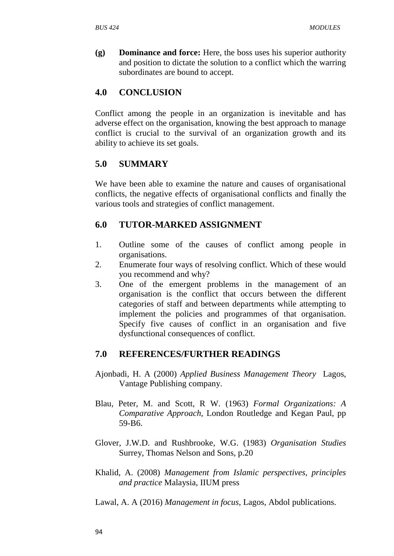**(g) Dominance and force:** Here, the boss uses his superior authority and position to dictate the solution to a conflict which the warring subordinates are bound to accept.

#### **4.0 CONCLUSION**

Conflict among the people in an organization is inevitable and has adverse effect on the organisation, knowing the best approach to manage conflict is crucial to the survival of an organization growth and its ability to achieve its set goals.

#### **5.0 SUMMARY**

We have been able to examine the nature and causes of organisational conflicts, the negative effects of organisational conflicts and finally the various tools and strategies of conflict management.

#### **6.0 TUTOR-MARKED ASSIGNMENT**

- 1. Outline some of the causes of conflict among people in organisations.
- 2. Enumerate four ways of resolving conflict. Which of these would you recommend and why?
- 3. One of the emergent problems in the management of an organisation is the conflict that occurs between the different categories of staff and between departments while attempting to implement the policies and programmes of that organisation. Specify five causes of conflict in an organisation and five dysfunctional consequences of conflict.

#### **7.0 REFERENCES/FURTHER READINGS**

- Ajonbadi, H. A (2000) *Applied Business Management Theory* Lagos, Vantage Publishing company.
- Blau, Peter, M. and Scott, R W. (1963) *Formal Organizations: A Comparative Approach*, London Routledge and Kegan Paul, pp 59-B6.
- Glover, J.W.D. and Rushbrooke, W.G. (1983) *Organisation Studies* Surrey, Thomas Nelson and Sons, p.20
- Khalid, A. (2008) *Management from Islamic perspectives, principles and practice* Malaysia, IIUM press
- Lawal, A. A (2016) *Management in focus*, Lagos, Abdol publications.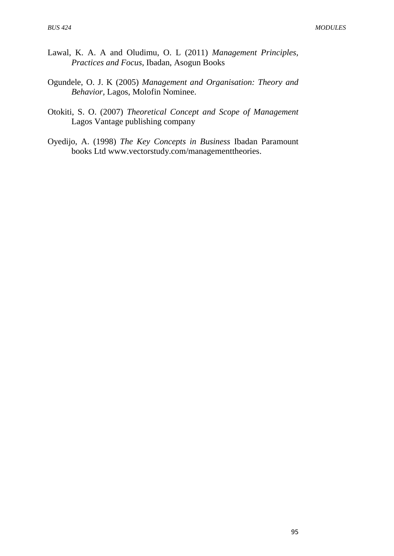- Lawal, K. A. A and Oludimu, O. L (2011) *Management Principles, Practices and Focus*, Ibadan, Asogun Books
- Ogundele, O. J. K (2005) *Management and Organisation: Theory and Behavior,* Lagos, Molofin Nominee.
- Otokiti, S. O. (2007) *Theoretical Concept and Scope of Management*  Lagos Vantage publishing company
- Oyedijo, A. (1998) *The Key Concepts in Business* Ibadan Paramount books Ltd [www.vectorstudy.com/managementtheories.](http://www.vectorstudy.com/managementtheories)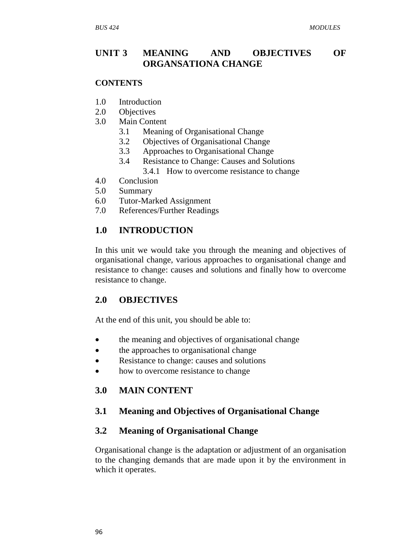# **UNIT 3 MEANING AND OBJECTIVES OF ORGANSATIONA CHANGE**

#### **CONTENTS**

- 1.0 Introduction
- 2.0 Objectives
- 3.0 Main Content
	- 3.1 Meaning of Organisational Change
	- 3.2 Objectives of Organisational Change
	- 3.3 Approaches to Organisational Change
	- 3.4 Resistance to Change: Causes and Solutions 3.4.1 How to overcome resistance to change
- 4.0 Conclusion
- 
- 5.0 Summary
- 6.0 Tutor-Marked Assignment
- 7.0 References/Further Readings

#### **1.0 INTRODUCTION**

In this unit we would take you through the meaning and objectives of organisational change, various approaches to organisational change and resistance to change: causes and solutions and finally how to overcome resistance to change.

#### **2.0 OBJECTIVES**

At the end of this unit, you should be able to:

- the meaning and objectives of organisational change
- the approaches to organisational change
- Resistance to change: causes and solutions
- how to overcome resistance to change

# **3.0 MAIN CONTENT**

#### **3.1 Meaning and Objectives of Organisational Change**

#### **3.2 Meaning of Organisational Change**

Organisational change is the adaptation or adjustment of an organisation to the changing demands that are made upon it by the environment in which it operates.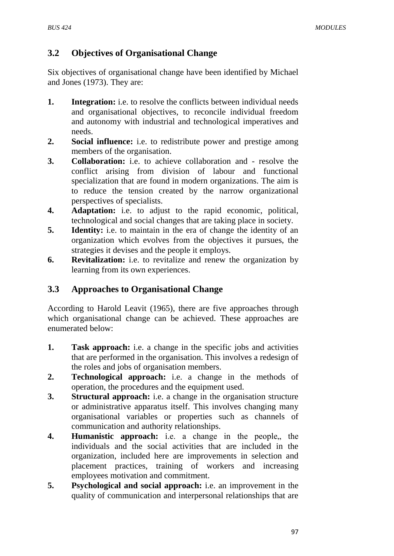# **3.2 Objectives of Organisational Change**

Six objectives of organisational change have been identified by Michael and Jones (1973). They are:

- **1. Integration:** i.e. to resolve the conflicts between individual needs and organisational objectives, to reconcile individual freedom and autonomy with industrial and technological imperatives and needs.
- **2. Social influence:** i.e. to redistribute power and prestige among members of the organisation.
- **3. Collaboration:** i.e. to achieve collaboration and resolve the conflict arising from division of labour and functional specialization that are found in modern organizations. The aim is to reduce the tension created by the narrow organizational perspectives of specialists.
- **4. Adaptation:** i.e. to adjust to the rapid economic, political, technological and social changes that are taking place in society.
- **5. Identity:** i.e. to maintain in the era of change the identity of an organization which evolves from the objectives it pursues, the strategies it devises and the people it employs.
- **6. Revitalization:** i.e. to revitalize and renew the organization by learning from its own experiences.

# **3.3 Approaches to Organisational Change**

According to Harold Leavit (1965), there are five approaches through which organisational change can be achieved. These approaches are enumerated below:

- **1. Task approach:** i.e. a change in the specific jobs and activities that are performed in the organisation. This involves a redesign of the roles and jobs of organisation members.
- **2. Technological approach:** i.e. a change in the methods of operation, the procedures and the equipment used.
- **3. Structural approach:** i.e. a change in the organisation structure or administrative apparatus itself. This involves changing many organisational variables or properties such as channels of communication and authority relationships.
- **4. Humanistic approach:** i.e. a change in the people, the individuals and the social activities that are included in the organization, included here are improvements in selection and placement practices, training of workers and increasing employees motivation and commitment.
- **5. Psychological and social [approach:](http://approach.i.e.an/)** i.e. an improvement in the quality of communication and interpersonal relationships that are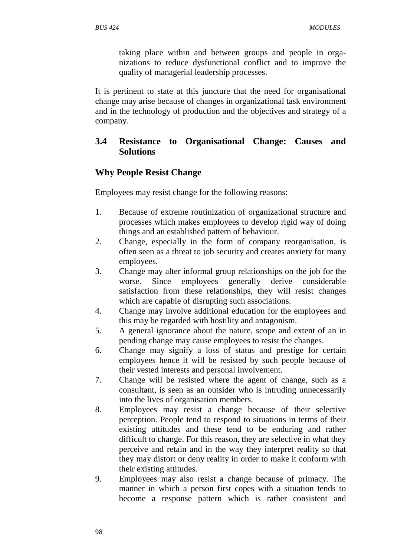taking place within and between groups and people in organizations to reduce dysfunctional conflict and to improve the quality of managerial leadership processes.

It is pertinent to state at this juncture that the need for organisational change may arise because of changes in organizational task environment and in the technology of production and the objectives and strategy of a company.

# **3.4 Resistance to Organisational Change: Causes and Solutions**

#### **Why People Resist Change**

Employees may resist change for the following reasons:

- 1. Because of extreme routinization of organizational structure and processes which makes employees to develop rigid way of doing things and an established pattern of behaviour.
- 2. Change, especially in the form of company reorganisation, is often seen as a threat to job security and creates anxiety for many employees.
- 3. Change may alter informal group relationships on the job for the worse. Since employees generally derive considerable satisfaction from these relationships, they will resist changes which are capable of disrupting such associations.
- 4. Change may involve additional education for the employees and this may be regarded with hostility and antagonism.
- 5. A general ignorance about the nature, scope and extent of an in pending change may cause employees to resist the changes.
- 6. Change may signify a loss of status and prestige for certain employees hence it will be resisted by such people because of their vested interests and personal involvement.
- 7. Change will be resisted where the agent of change, such as a consultant, is seen as an outsider who is intruding unnecessarily into the lives of organisation members.
- 8. Employees may resist a change because of their selective perception. People tend to respond to situations in terms of their existing attitudes and these tend to be enduring and rather difficult to change. For this reason, they are selective in what they perceive and retain and in the way they interpret reality so that they may distort or deny reality in order to make it conform with their existing attitudes.
- 9. Employees may also resist a change because of primacy. The manner in which a person first copes with a situation tends to become a response pattern which is rather consistent and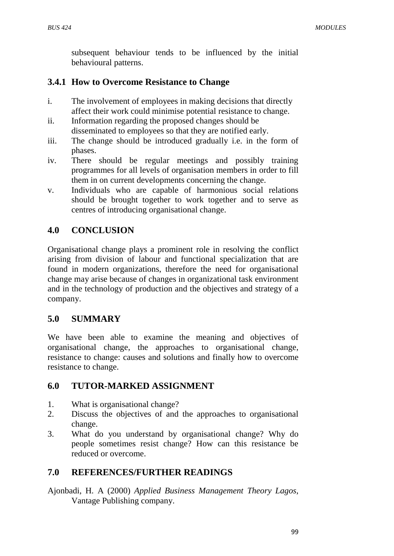subsequent behaviour tends to be influenced by the initial behavioural patterns.

## **3.4.1 How to Overcome Resistance to Change**

- i. The involvement of employees in making decisions that directly affect their work could minimise potential resistance to change.
- ii. Information regarding the proposed changes should be disseminated to employees so that they are notified early.
- iii. The change should be introduced gradually i.e. in the form of phases.
- iv. There should be regular meetings and possibly training programmes for all levels of organisation members in order to fill them in on current developments concerning the change.
- v. Individuals who are capable of harmonious social relations should be brought together to work together and to serve as centres of introducing organisational change.

# **4.0 CONCLUSION**

Organisational change plays a prominent role in resolving the conflict arising from division of labour and functional specialization that are found in modern organizations, therefore the need for organisational change may arise because of changes in organizational task environment and in the technology of production and the objectives and strategy of a company.

### **5.0 SUMMARY**

We have been able to examine the meaning and objectives of organisational change, the approaches to organisational change, resistance to change: causes and solutions and finally how to overcome resistance to change.

# **6.0 TUTOR-MARKED ASSIGNMENT**

- 1. What is organisational change?
- 2. Discuss the objectives of and the approaches to organisational change.
- 3. What do you understand by organisational change? Why do people sometimes resist change? How can this resistance be reduced or overcome.

# **7.0 REFERENCES/FURTHER READINGS**

Ajonbadi, H. A (2000) *Applied Business Management Theory Lagos*, Vantage Publishing company.